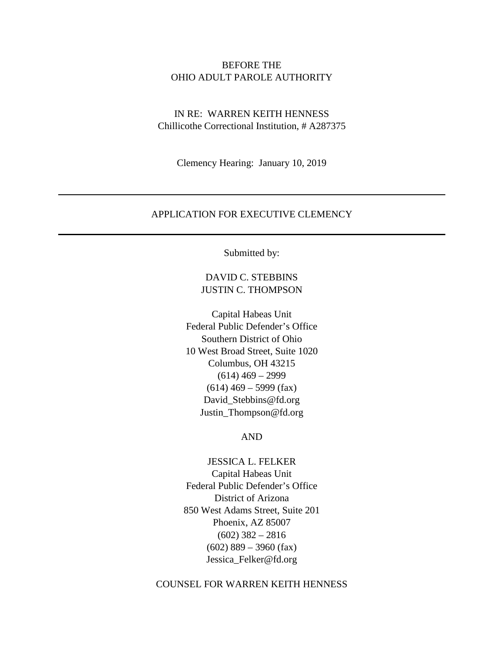## BEFORE THE OHIO ADULT PAROLE AUTHORITY

# IN RE: WARREN KEITH HENNESS Chillicothe Correctional Institution, # A287375

Clemency Hearing: January 10, 2019

## APPLICATION FOR EXECUTIVE CLEMENCY

Submitted by:

# DAVID C. STEBBINS JUSTIN C. THOMPSON

Capital Habeas Unit Federal Public Defender's Office Southern District of Ohio 10 West Broad Street, Suite 1020 Columbus, OH 43215  $(614)$  469 – 2999  $(614)$  469 – 5999 (fax) David\_Stebbins@fd.org [Justin\\_Thompson@fd.org](mailto:Justin_Thompson@fd.org)

## AND

JESSICA L. FELKER Capital Habeas Unit Federal Public Defender's Office District of Arizona 850 West Adams Street, Suite 201 Phoenix, AZ 85007  $(602)$  382 – 2816  $(602)$  889 – 3960 (fax) Jessica\_Felker@fd.org

## COUNSEL FOR WARREN KEITH HENNESS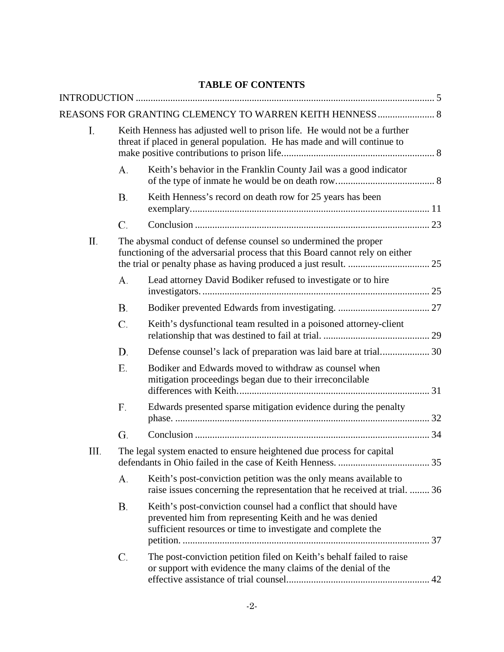# **TABLE OF CONTENTS**

|      |                                                                                                                                                       | REASONS FOR GRANTING CLEMENCY TO WARREN KEITH HENNESS  8                                                                                                                                   |  |  |
|------|-------------------------------------------------------------------------------------------------------------------------------------------------------|--------------------------------------------------------------------------------------------------------------------------------------------------------------------------------------------|--|--|
| I.   | Keith Henness has adjusted well to prison life. He would not be a further<br>threat if placed in general population. He has made and will continue to |                                                                                                                                                                                            |  |  |
|      | А.                                                                                                                                                    | Keith's behavior in the Franklin County Jail was a good indicator                                                                                                                          |  |  |
|      | В.                                                                                                                                                    | Keith Henness's record on death row for 25 years has been                                                                                                                                  |  |  |
|      | C.                                                                                                                                                    |                                                                                                                                                                                            |  |  |
| П.   | The abysmal conduct of defense counsel so undermined the proper<br>functioning of the adversarial process that this Board cannot rely on either       |                                                                                                                                                                                            |  |  |
|      | А.                                                                                                                                                    | Lead attorney David Bodiker refused to investigate or to hire                                                                                                                              |  |  |
|      | Β.                                                                                                                                                    |                                                                                                                                                                                            |  |  |
|      | C.                                                                                                                                                    | Keith's dysfunctional team resulted in a poisoned attorney-client                                                                                                                          |  |  |
|      | D.                                                                                                                                                    |                                                                                                                                                                                            |  |  |
|      | Е.                                                                                                                                                    | Bodiker and Edwards moved to withdraw as counsel when<br>mitigation proceedings began due to their irreconcilable                                                                          |  |  |
|      | F.                                                                                                                                                    | Edwards presented sparse mitigation evidence during the penalty                                                                                                                            |  |  |
|      | G.                                                                                                                                                    |                                                                                                                                                                                            |  |  |
| III. | The legal system enacted to ensure heightened due process for capital                                                                                 |                                                                                                                                                                                            |  |  |
|      | А.                                                                                                                                                    | Keith's post-conviction petition was the only means available to<br>raise issues concerning the representation that he received at trial.  36                                              |  |  |
|      | В.                                                                                                                                                    | Keith's post-conviction counsel had a conflict that should have<br>prevented him from representing Keith and he was denied<br>sufficient resources or time to investigate and complete the |  |  |
|      | C.                                                                                                                                                    | The post-conviction petition filed on Keith's behalf failed to raise<br>or support with evidence the many claims of the denial of the                                                      |  |  |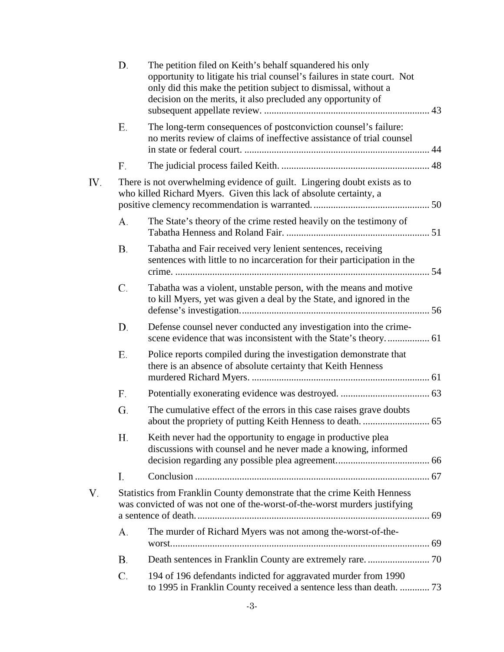|     | D.                                                                                                                                                    | The petition filed on Keith's behalf squandered his only<br>opportunity to litigate his trial counsel's failures in state court. Not<br>only did this make the petition subject to dismissal, without a<br>decision on the merits, it also precluded any opportunity of |  |  |
|-----|-------------------------------------------------------------------------------------------------------------------------------------------------------|-------------------------------------------------------------------------------------------------------------------------------------------------------------------------------------------------------------------------------------------------------------------------|--|--|
|     | Е.                                                                                                                                                    | The long-term consequences of postconviction counsel's failure:<br>no merits review of claims of ineffective assistance of trial counsel                                                                                                                                |  |  |
|     | F.                                                                                                                                                    |                                                                                                                                                                                                                                                                         |  |  |
| IV. | There is not overwhelming evidence of guilt. Lingering doubt exists as to<br>who killed Richard Myers. Given this lack of absolute certainty, a       |                                                                                                                                                                                                                                                                         |  |  |
|     | А.                                                                                                                                                    | The State's theory of the crime rested heavily on the testimony of                                                                                                                                                                                                      |  |  |
|     | Β.                                                                                                                                                    | Tabatha and Fair received very lenient sentences, receiving<br>sentences with little to no incarceration for their participation in the                                                                                                                                 |  |  |
|     | C.                                                                                                                                                    | Tabatha was a violent, unstable person, with the means and motive<br>to kill Myers, yet was given a deal by the State, and ignored in the                                                                                                                               |  |  |
|     | D.                                                                                                                                                    | Defense counsel never conducted any investigation into the crime-                                                                                                                                                                                                       |  |  |
|     | Е.                                                                                                                                                    | Police reports compiled during the investigation demonstrate that<br>there is an absence of absolute certainty that Keith Henness                                                                                                                                       |  |  |
|     | F.                                                                                                                                                    |                                                                                                                                                                                                                                                                         |  |  |
|     | G.                                                                                                                                                    | The cumulative effect of the errors in this case raises grave doubts                                                                                                                                                                                                    |  |  |
|     | Н.                                                                                                                                                    | Keith never had the opportunity to engage in productive plea<br>discussions with counsel and he never made a knowing, informed                                                                                                                                          |  |  |
|     | I.                                                                                                                                                    |                                                                                                                                                                                                                                                                         |  |  |
| V.  | Statistics from Franklin County demonstrate that the crime Keith Henness<br>was convicted of was not one of the-worst-of-the-worst murders justifying |                                                                                                                                                                                                                                                                         |  |  |
|     | А.                                                                                                                                                    | The murder of Richard Myers was not among the-worst-of-the-                                                                                                                                                                                                             |  |  |
|     | Β.                                                                                                                                                    |                                                                                                                                                                                                                                                                         |  |  |
|     | C.                                                                                                                                                    | 194 of 196 defendants indicted for aggravated murder from 1990<br>to 1995 in Franklin County received a sentence less than death.  73                                                                                                                                   |  |  |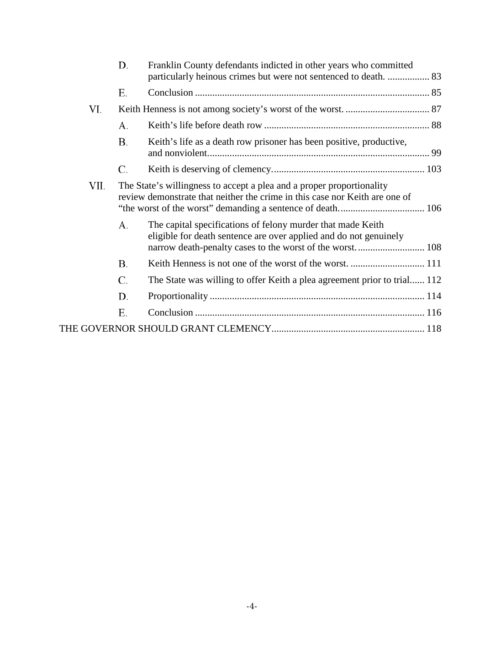|      | D. | Franklin County defendants indicted in other years who committed<br>particularly heinous crimes but were not sentenced to death.  83                                                         |  |  |
|------|----|----------------------------------------------------------------------------------------------------------------------------------------------------------------------------------------------|--|--|
|      | Е. |                                                                                                                                                                                              |  |  |
| VI.  |    |                                                                                                                                                                                              |  |  |
|      | А. |                                                                                                                                                                                              |  |  |
|      | Β. | Keith's life as a death row prisoner has been positive, productive,                                                                                                                          |  |  |
|      | C. |                                                                                                                                                                                              |  |  |
| VII. |    | The State's willingness to accept a plea and a proper proportionality<br>review demonstrate that neither the crime in this case nor Keith are one of                                         |  |  |
|      | А. | The capital specifications of felony murder that made Keith<br>eligible for death sentence are over applied and do not genuinely<br>narrow death-penalty cases to the worst of the worst 108 |  |  |
|      | Β. |                                                                                                                                                                                              |  |  |
|      | C. | The State was willing to offer Keith a plea agreement prior to trial 112                                                                                                                     |  |  |
|      | D. |                                                                                                                                                                                              |  |  |
|      | Е. |                                                                                                                                                                                              |  |  |
|      |    |                                                                                                                                                                                              |  |  |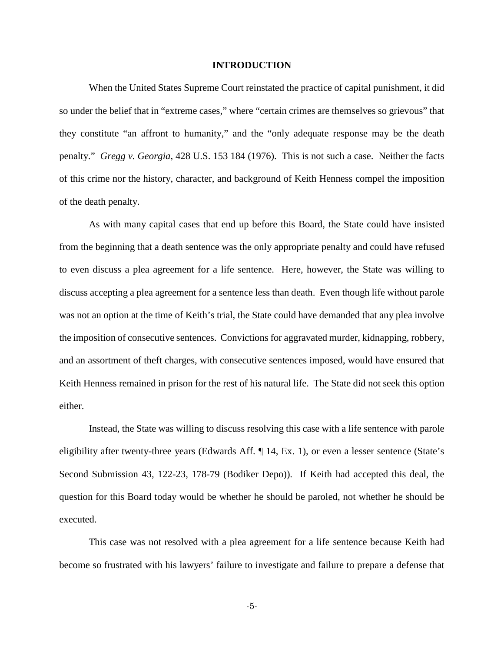## **INTRODUCTION**

<span id="page-4-0"></span>When the United States Supreme Court reinstated the practice of capital punishment, it did so under the belief that in "extreme cases," where "certain crimes are themselves so grievous" that they constitute "an affront to humanity," and the "only adequate response may be the death penalty." *Gregg v. Georgia*, 428 U.S. 153 184 (1976). This is not such a case. Neither the facts of this crime nor the history, character, and background of Keith Henness compel the imposition of the death penalty.

As with many capital cases that end up before this Board, the State could have insisted from the beginning that a death sentence was the only appropriate penalty and could have refused to even discuss a plea agreement for a life sentence. Here, however, the State was willing to discuss accepting a plea agreement for a sentence less than death. Even though life without parole was not an option at the time of Keith's trial, the State could have demanded that any plea involve the imposition of consecutive sentences. Convictions for aggravated murder, kidnapping, robbery, and an assortment of theft charges, with consecutive sentences imposed, would have ensured that Keith Henness remained in prison for the rest of his natural life. The State did not seek this option either.

Instead, the State was willing to discuss resolving this case with a life sentence with parole eligibility after twenty-three years (Edwards Aff. ¶ 14, Ex. 1), or even a lesser sentence (State's Second Submission 43, 122-23, 178-79 (Bodiker Depo)). If Keith had accepted this deal, the question for this Board today would be whether he should be paroled, not whether he should be executed.

This case was not resolved with a plea agreement for a life sentence because Keith had become so frustrated with his lawyers' failure to investigate and failure to prepare a defense that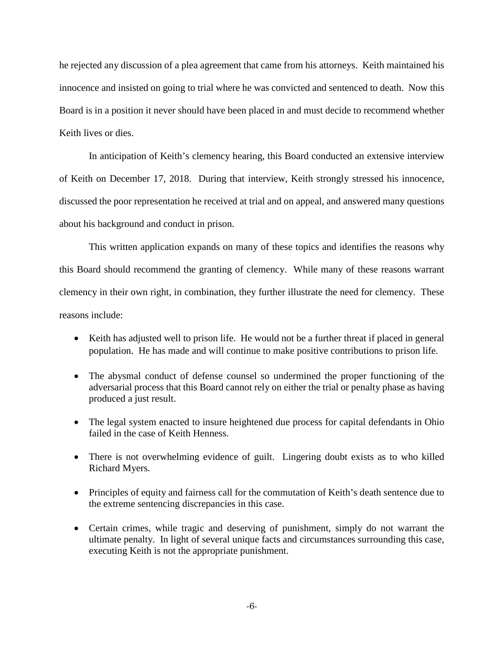he rejected any discussion of a plea agreement that came from his attorneys. Keith maintained his innocence and insisted on going to trial where he was convicted and sentenced to death. Now this Board is in a position it never should have been placed in and must decide to recommend whether Keith lives or dies.

In anticipation of Keith's clemency hearing, this Board conducted an extensive interview of Keith on December 17, 2018. During that interview, Keith strongly stressed his innocence, discussed the poor representation he received at trial and on appeal, and answered many questions about his background and conduct in prison.

This written application expands on many of these topics and identifies the reasons why this Board should recommend the granting of clemency. While many of these reasons warrant clemency in their own right, in combination, they further illustrate the need for clemency. These reasons include:

- Keith has adjusted well to prison life. He would not be a further threat if placed in general population. He has made and will continue to make positive contributions to prison life.
- The abysmal conduct of defense counsel so undermined the proper functioning of the adversarial process that this Board cannot rely on either the trial or penalty phase as having produced a just result.
- The legal system enacted to insure heightened due process for capital defendants in Ohio failed in the case of Keith Henness.
- There is not overwhelming evidence of guilt. Lingering doubt exists as to who killed Richard Myers.
- Principles of equity and fairness call for the commutation of Keith's death sentence due to the extreme sentencing discrepancies in this case.
- Certain crimes, while tragic and deserving of punishment, simply do not warrant the ultimate penalty. In light of several unique facts and circumstances surrounding this case, executing Keith is not the appropriate punishment.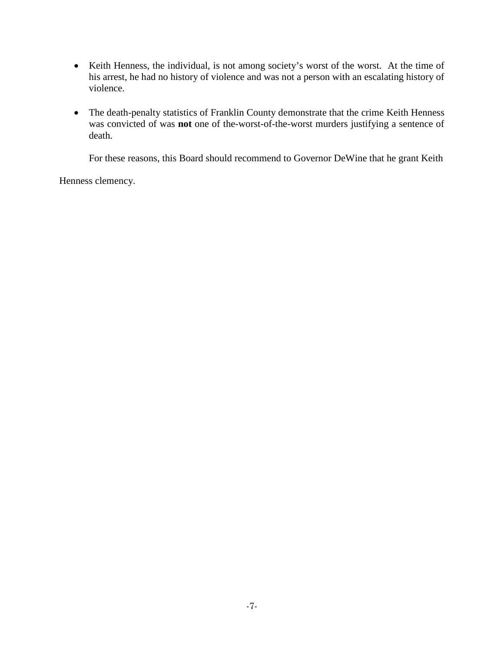- Keith Henness, the individual, is not among society's worst of the worst. At the time of his arrest, he had no history of violence and was not a person with an escalating history of violence.
- The death-penalty statistics of Franklin County demonstrate that the crime Keith Henness was convicted of was **not** one of the-worst-of-the-worst murders justifying a sentence of death.

For these reasons, this Board should recommend to Governor DeWine that he grant Keith

Henness clemency.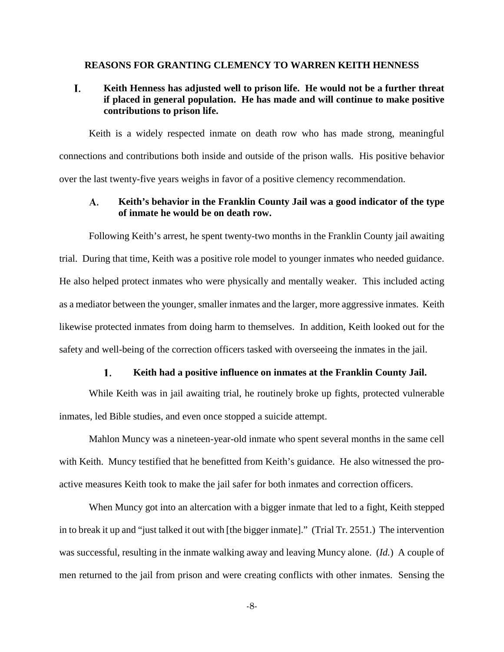## <span id="page-7-0"></span>**REASONS FOR GRANTING CLEMENCY TO WARREN KEITH HENNESS**

## <span id="page-7-1"></span>L. **Keith Henness has adjusted well to prison life. He would not be a further threat if placed in general population. He has made and will continue to make positive contributions to prison life.**

Keith is a widely respected inmate on death row who has made strong, meaningful connections and contributions both inside and outside of the prison walls. His positive behavior over the last twenty-five years weighs in favor of a positive clemency recommendation.

## <span id="page-7-2"></span>A. **Keith's behavior in the Franklin County Jail was a good indicator of the type of inmate he would be on death row.**

Following Keith's arrest, he spent twenty-two months in the Franklin County jail awaiting trial. During that time, Keith was a positive role model to younger inmates who needed guidance. He also helped protect inmates who were physically and mentally weaker. This included acting as a mediator between the younger, smaller inmates and the larger, more aggressive inmates. Keith likewise protected inmates from doing harm to themselves. In addition, Keith looked out for the safety and well-being of the correction officers tasked with overseeing the inmates in the jail.

#### $\mathbf{1}$ . **Keith had a positive influence on inmates at the Franklin County Jail.**

While Keith was in jail awaiting trial, he routinely broke up fights, protected vulnerable inmates, led Bible studies, and even once stopped a suicide attempt.

Mahlon Muncy was a nineteen-year-old inmate who spent several months in the same cell with Keith. Muncy testified that he benefitted from Keith's guidance. He also witnessed the proactive measures Keith took to make the jail safer for both inmates and correction officers.

When Muncy got into an altercation with a bigger inmate that led to a fight, Keith stepped in to break it up and "just talked it out with [the bigger inmate]." (Trial Tr. 2551.) The intervention was successful, resulting in the inmate walking away and leaving Muncy alone. (*Id.*) A couple of men returned to the jail from prison and were creating conflicts with other inmates. Sensing the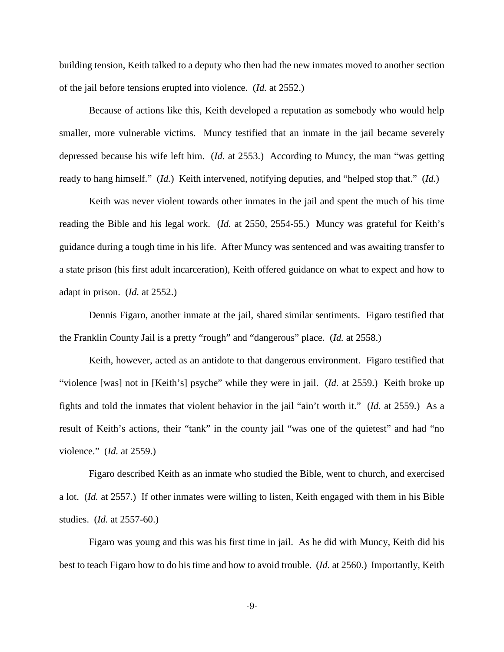building tension, Keith talked to a deputy who then had the new inmates moved to another section of the jail before tensions erupted into violence. (*Id.* at 2552.)

Because of actions like this, Keith developed a reputation as somebody who would help smaller, more vulnerable victims. Muncy testified that an inmate in the jail became severely depressed because his wife left him. (*Id.* at 2553.) According to Muncy, the man "was getting ready to hang himself." (*Id.*) Keith intervened, notifying deputies, and "helped stop that." (*Id.*)

Keith was never violent towards other inmates in the jail and spent the much of his time reading the Bible and his legal work. (*Id.* at 2550, 2554-55.) Muncy was grateful for Keith's guidance during a tough time in his life. After Muncy was sentenced and was awaiting transfer to a state prison (his first adult incarceration), Keith offered guidance on what to expect and how to adapt in prison. (*Id.* at 2552.)

Dennis Figaro, another inmate at the jail, shared similar sentiments. Figaro testified that the Franklin County Jail is a pretty "rough" and "dangerous" place. (*Id.* at 2558.)

Keith, however, acted as an antidote to that dangerous environment. Figaro testified that "violence [was] not in [Keith's] psyche" while they were in jail. (*Id.* at 2559.) Keith broke up fights and told the inmates that violent behavior in the jail "ain't worth it." (*Id.* at 2559.) As a result of Keith's actions, their "tank" in the county jail "was one of the quietest" and had "no violence." (*Id.* at 2559.)

Figaro described Keith as an inmate who studied the Bible, went to church, and exercised a lot. (*Id.* at 2557.) If other inmates were willing to listen, Keith engaged with them in his Bible studies. (*Id.* at 2557-60.)

Figaro was young and this was his first time in jail. As he did with Muncy, Keith did his best to teach Figaro how to do his time and how to avoid trouble. (*Id.* at 2560.) Importantly, Keith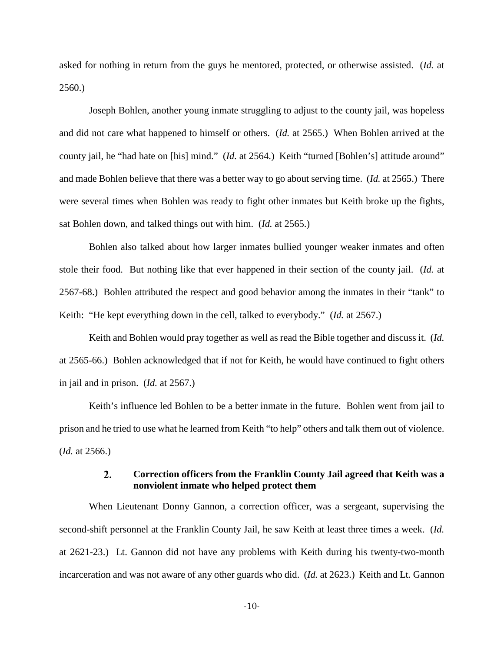asked for nothing in return from the guys he mentored, protected, or otherwise assisted. (*Id.* at 2560.)

Joseph Bohlen, another young inmate struggling to adjust to the county jail, was hopeless and did not care what happened to himself or others. (*Id.* at 2565.) When Bohlen arrived at the county jail, he "had hate on [his] mind." (*Id.* at 2564.) Keith "turned [Bohlen's] attitude around" and made Bohlen believe that there was a better way to go about serving time. (*Id.* at 2565.) There were several times when Bohlen was ready to fight other inmates but Keith broke up the fights, sat Bohlen down, and talked things out with him. (*Id.* at 2565.)

Bohlen also talked about how larger inmates bullied younger weaker inmates and often stole their food. But nothing like that ever happened in their section of the county jail. (*Id.* at 2567-68.) Bohlen attributed the respect and good behavior among the inmates in their "tank" to Keith: "He kept everything down in the cell, talked to everybody." (*Id.* at 2567.)

Keith and Bohlen would pray together as well as read the Bible together and discuss it. (*Id.*  at 2565-66.) Bohlen acknowledged that if not for Keith, he would have continued to fight others in jail and in prison. (*Id.* at 2567.)

Keith's influence led Bohlen to be a better inmate in the future. Bohlen went from jail to prison and he tried to use what he learned from Keith "to help" others and talk them out of violence. (*Id.* at 2566.)

### $\overline{2}$ . **Correction officers from the Franklin County Jail agreed that Keith was a nonviolent inmate who helped protect them**

When Lieutenant Donny Gannon, a correction officer, was a sergeant, supervising the second-shift personnel at the Franklin County Jail, he saw Keith at least three times a week. (*Id.* at 2621-23.) Lt. Gannon did not have any problems with Keith during his twenty-two-month incarceration and was not aware of any other guards who did. (*Id.* at 2623.) Keith and Lt. Gannon

-10-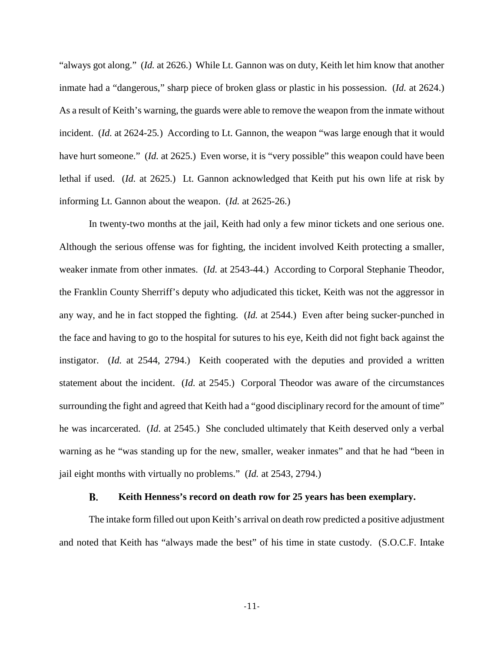"always got along." (*Id.* at 2626.) While Lt. Gannon was on duty, Keith let him know that another inmate had a "dangerous," sharp piece of broken glass or plastic in his possession. (*Id.* at 2624.) As a result of Keith's warning, the guards were able to remove the weapon from the inmate without incident. (*Id.* at 2624-25*.*) According to Lt. Gannon, the weapon "was large enough that it would have hurt someone." *(Id. at 2625.)* Even worse, it is "very possible" this weapon could have been lethal if used. (*Id.* at 2625.) Lt. Gannon acknowledged that Keith put his own life at risk by informing Lt. Gannon about the weapon. (*Id.* at 2625-26.)

In twenty-two months at the jail, Keith had only a few minor tickets and one serious one. Although the serious offense was for fighting, the incident involved Keith protecting a smaller, weaker inmate from other inmates. (*Id.* at 2543-44.) According to Corporal Stephanie Theodor, the Franklin County Sherriff's deputy who adjudicated this ticket, Keith was not the aggressor in any way, and he in fact stopped the fighting. (*Id.* at 2544.) Even after being sucker-punched in the face and having to go to the hospital for sutures to his eye, Keith did not fight back against the instigator. (*Id.* at 2544, 2794.) Keith cooperated with the deputies and provided a written statement about the incident. (*Id.* at 2545.) Corporal Theodor was aware of the circumstances surrounding the fight and agreed that Keith had a "good disciplinary record for the amount of time" he was incarcerated. (*Id.* at 2545.) She concluded ultimately that Keith deserved only a verbal warning as he "was standing up for the new, smaller, weaker inmates" and that he had "been in jail eight months with virtually no problems." (*Id.* at 2543, 2794.)

#### **Keith Henness's record on death row for 25 years has been exemplary.** В.

<span id="page-10-0"></span>The intake form filled out upon Keith's arrival on death row predicted a positive adjustment and noted that Keith has "always made the best" of his time in state custody. (S.O.C.F. Intake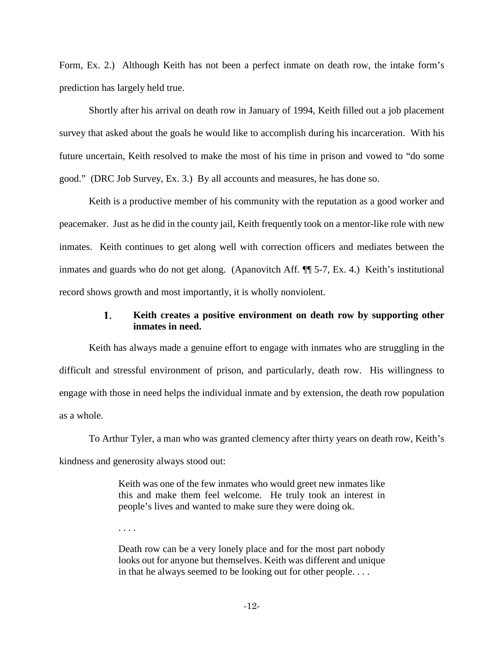Form, Ex. 2.) Although Keith has not been a perfect inmate on death row, the intake form's prediction has largely held true.

Shortly after his arrival on death row in January of 1994, Keith filled out a job placement survey that asked about the goals he would like to accomplish during his incarceration. With his future uncertain, Keith resolved to make the most of his time in prison and vowed to "do some good." (DRC Job Survey, Ex. 3.) By all accounts and measures, he has done so.

Keith is a productive member of his community with the reputation as a good worker and peacemaker. Just as he did in the county jail, Keith frequently took on a mentor-like role with new inmates. Keith continues to get along well with correction officers and mediates between the inmates and guards who do not get along. (Apanovitch Aff. ¶¶ 5-7, Ex. 4.) Keith's institutional record shows growth and most importantly, it is wholly nonviolent.

### 1. **Keith creates a positive environment on death row by supporting other inmates in need.**

Keith has always made a genuine effort to engage with inmates who are struggling in the difficult and stressful environment of prison, and particularly, death row. His willingness to engage with those in need helps the individual inmate and by extension, the death row population as a whole.

To Arthur Tyler, a man who was granted clemency after thirty years on death row, Keith's kindness and generosity always stood out:

> Keith was one of the few inmates who would greet new inmates like this and make them feel welcome. He truly took an interest in people's lives and wanted to make sure they were doing ok.

. . . .

Death row can be a very lonely place and for the most part nobody looks out for anyone but themselves. Keith was different and unique in that he always seemed to be looking out for other people. . . .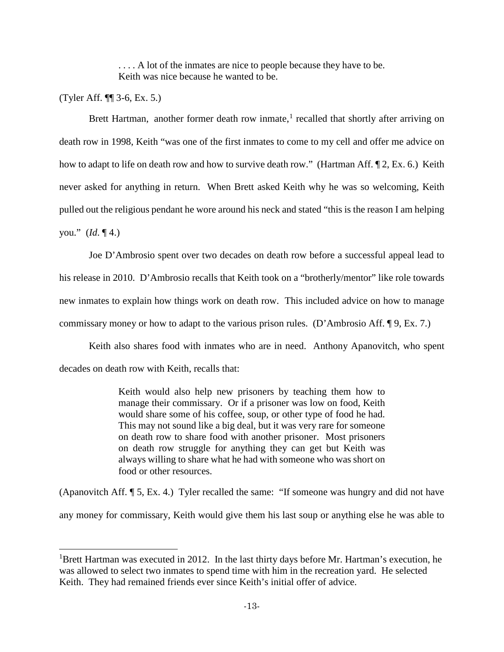... A lot of the inmates are nice to people because they have to be. Keith was nice because he wanted to be.

(Tyler Aff. ¶¶ 3-6, Ex. 5.)

 $\overline{\phantom{a}}$ 

Brett Hartman, another former death row inmate,<sup>[1](#page-12-0)</sup> recalled that shortly after arriving on death row in 1998, Keith "was one of the first inmates to come to my cell and offer me advice on how to adapt to life on death row and how to survive death row." (Hartman Aff.  $\P$ 2, Ex. 6.) Keith never asked for anything in return. When Brett asked Keith why he was so welcoming, Keith pulled out the religious pendant he wore around his neck and stated "this is the reason I am helping you." (*Id*. ¶ 4.)

Joe D'Ambrosio spent over two decades on death row before a successful appeal lead to his release in 2010. D'Ambrosio recalls that Keith took on a "brotherly/mentor" like role towards new inmates to explain how things work on death row. This included advice on how to manage commissary money or how to adapt to the various prison rules. (D'Ambrosio Aff. ¶ 9, Ex. 7.)

Keith also shares food with inmates who are in need. Anthony Apanovitch, who spent decades on death row with Keith, recalls that:

> Keith would also help new prisoners by teaching them how to manage their commissary. Or if a prisoner was low on food, Keith would share some of his coffee, soup, or other type of food he had. This may not sound like a big deal, but it was very rare for someone on death row to share food with another prisoner. Most prisoners on death row struggle for anything they can get but Keith was always willing to share what he had with someone who was short on food or other resources.

(Apanovitch Aff. ¶ 5, Ex. 4.) Tyler recalled the same: "If someone was hungry and did not have any money for commissary, Keith would give them his last soup or anything else he was able to

<span id="page-12-0"></span><sup>&</sup>lt;sup>1</sup>Brett Hartman was executed in 2012. In the last thirty days before Mr. Hartman's execution, he was allowed to select two inmates to spend time with him in the recreation yard. He selected Keith. They had remained friends ever since Keith's initial offer of advice.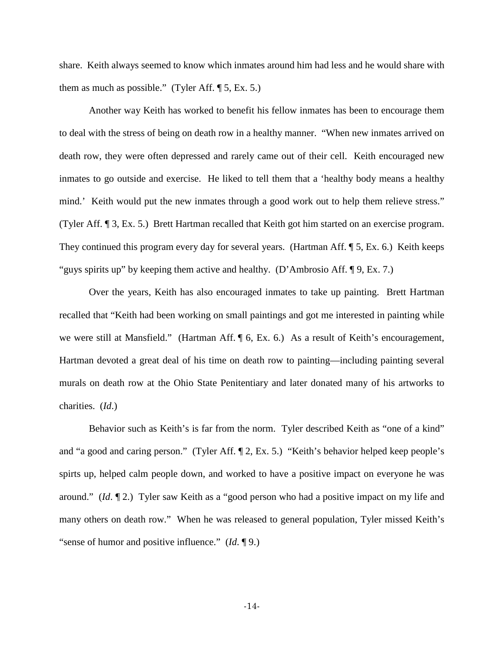share. Keith always seemed to know which inmates around him had less and he would share with them as much as possible." (Tyler Aff.  $\P$  5, Ex. 5.)

Another way Keith has worked to benefit his fellow inmates has been to encourage them to deal with the stress of being on death row in a healthy manner. "When new inmates arrived on death row, they were often depressed and rarely came out of their cell. Keith encouraged new inmates to go outside and exercise. He liked to tell them that a 'healthy body means a healthy mind.' Keith would put the new inmates through a good work out to help them relieve stress." (Tyler Aff. ¶ 3, Ex. 5.) Brett Hartman recalled that Keith got him started on an exercise program. They continued this program every day for several years. (Hartman Aff. ¶ 5, Ex. 6.) Keith keeps "guys spirits up" by keeping them active and healthy. (D'Ambrosio Aff. ¶ 9, Ex. 7.)

Over the years, Keith has also encouraged inmates to take up painting. Brett Hartman recalled that "Keith had been working on small paintings and got me interested in painting while we were still at Mansfield." (Hartman Aff.  $\parallel$  6, Ex. 6.) As a result of Keith's encouragement, Hartman devoted a great deal of his time on death row to painting—including painting several murals on death row at the Ohio State Penitentiary and later donated many of his artworks to charities. (*Id*.)

Behavior such as Keith's is far from the norm. Tyler described Keith as "one of a kind" and "a good and caring person." (Tyler Aff. ¶ 2, Ex. 5.) "Keith's behavior helped keep people's spirts up, helped calm people down, and worked to have a positive impact on everyone he was around." (*Id*. ¶ 2.) Tyler saw Keith as a "good person who had a positive impact on my life and many others on death row." When he was released to general population, Tyler missed Keith's "sense of humor and positive influence." (*Id*. ¶ 9.)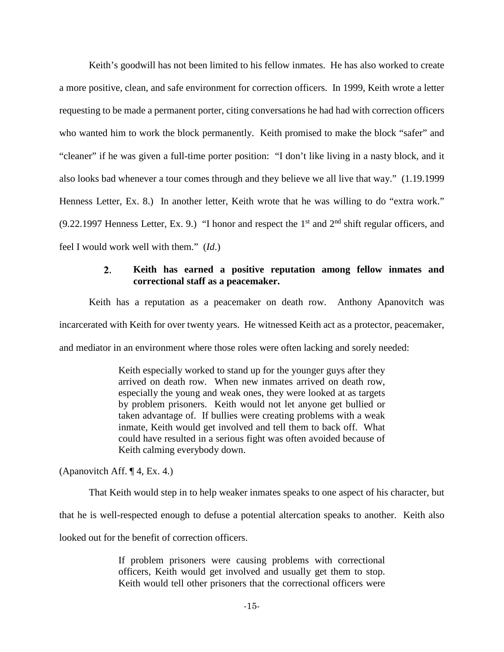Keith's goodwill has not been limited to his fellow inmates. He has also worked to create a more positive, clean, and safe environment for correction officers. In 1999, Keith wrote a letter requesting to be made a permanent porter, citing conversations he had had with correction officers who wanted him to work the block permanently. Keith promised to make the block "safer" and "cleaner" if he was given a full-time porter position: "I don't like living in a nasty block, and it also looks bad whenever a tour comes through and they believe we all live that way." (1.19.1999 Henness Letter, Ex. 8.) In another letter, Keith wrote that he was willing to do "extra work." (9.22.1997 Henness Letter, Ex. 9.) "I honor and respect the  $1<sup>st</sup>$  and  $2<sup>nd</sup>$  shift regular officers, and feel I would work well with them." (*Id*.)

### $2.$ **Keith has earned a positive reputation among fellow inmates and correctional staff as a peacemaker.**

Keith has a reputation as a peacemaker on death row. Anthony Apanovitch was incarcerated with Keith for over twenty years. He witnessed Keith act as a protector, peacemaker, and mediator in an environment where those roles were often lacking and sorely needed:

> Keith especially worked to stand up for the younger guys after they arrived on death row. When new inmates arrived on death row, especially the young and weak ones, they were looked at as targets by problem prisoners. Keith would not let anyone get bullied or taken advantage of. If bullies were creating problems with a weak inmate, Keith would get involved and tell them to back off. What could have resulted in a serious fight was often avoided because of Keith calming everybody down.

(Apanovitch Aff. ¶ 4, Ex. 4.)

That Keith would step in to help weaker inmates speaks to one aspect of his character, but

that he is well-respected enough to defuse a potential altercation speaks to another. Keith also

looked out for the benefit of correction officers.

If problem prisoners were causing problems with correctional officers, Keith would get involved and usually get them to stop. Keith would tell other prisoners that the correctional officers were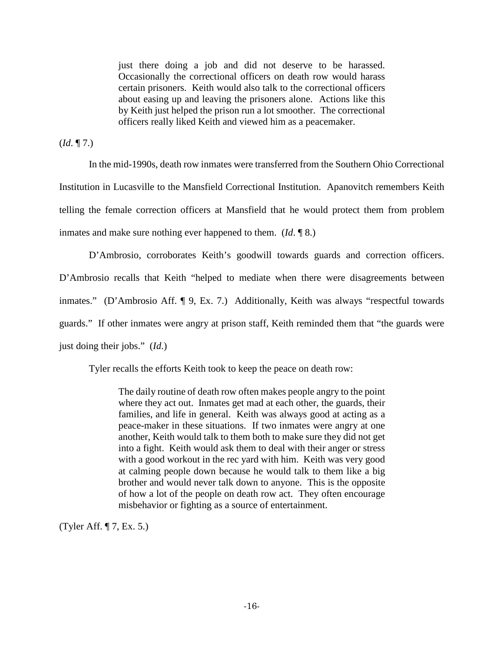just there doing a job and did not deserve to be harassed. Occasionally the correctional officers on death row would harass certain prisoners. Keith would also talk to the correctional officers about easing up and leaving the prisoners alone. Actions like this by Keith just helped the prison run a lot smoother. The correctional officers really liked Keith and viewed him as a peacemaker.

(*Id*. ¶ 7.)

In the mid-1990s, death row inmates were transferred from the Southern Ohio Correctional Institution in Lucasville to the Mansfield Correctional Institution. Apanovitch remembers Keith telling the female correction officers at Mansfield that he would protect them from problem inmates and make sure nothing ever happened to them. (*Id*. ¶ 8.)

D'Ambrosio, corroborates Keith's goodwill towards guards and correction officers. D'Ambrosio recalls that Keith "helped to mediate when there were disagreements between inmates." (D'Ambrosio Aff. ¶ 9, Ex. 7.) Additionally, Keith was always "respectful towards guards." If other inmates were angry at prison staff, Keith reminded them that "the guards were just doing their jobs." (*Id*.)

Tyler recalls the efforts Keith took to keep the peace on death row:

The daily routine of death row often makes people angry to the point where they act out. Inmates get mad at each other, the guards, their families, and life in general. Keith was always good at acting as a peace-maker in these situations. If two inmates were angry at one another, Keith would talk to them both to make sure they did not get into a fight. Keith would ask them to deal with their anger or stress with a good workout in the rec yard with him. Keith was very good at calming people down because he would talk to them like a big brother and would never talk down to anyone. This is the opposite of how a lot of the people on death row act. They often encourage misbehavior or fighting as a source of entertainment.

(Tyler Aff. ¶ 7, Ex. 5.)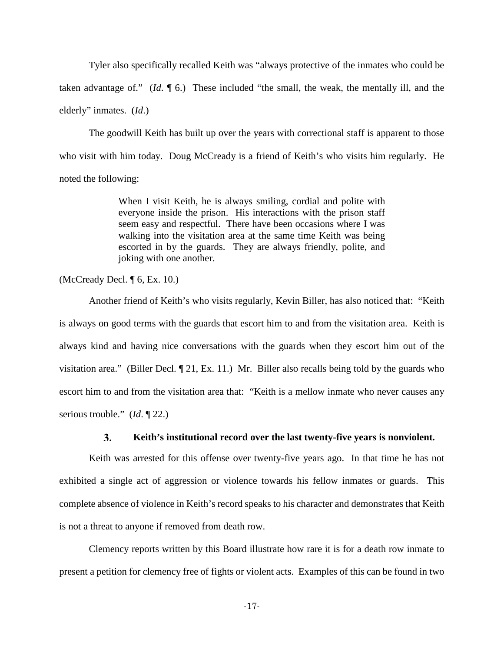Tyler also specifically recalled Keith was "always protective of the inmates who could be taken advantage of." (*Id*. ¶ 6.) These included "the small, the weak, the mentally ill, and the elderly" inmates. (*Id*.)

The goodwill Keith has built up over the years with correctional staff is apparent to those who visit with him today. Doug McCready is a friend of Keith's who visits him regularly. He noted the following:

> When I visit Keith, he is always smiling, cordial and polite with everyone inside the prison. His interactions with the prison staff seem easy and respectful. There have been occasions where I was walking into the visitation area at the same time Keith was being escorted in by the guards. They are always friendly, polite, and joking with one another.

(McCready Decl. ¶ 6, Ex. 10.)

Another friend of Keith's who visits regularly, Kevin Biller, has also noticed that: "Keith is always on good terms with the guards that escort him to and from the visitation area. Keith is always kind and having nice conversations with the guards when they escort him out of the visitation area." (Biller Decl. ¶ 21, Ex. 11.) Mr. Biller also recalls being told by the guards who escort him to and from the visitation area that: "Keith is a mellow inmate who never causes any serious trouble." (*Id*. ¶ 22.)

#### **Keith's institutional record over the last twenty-five years is nonviolent. 3.**

Keith was arrested for this offense over twenty-five years ago. In that time he has not exhibited a single act of aggression or violence towards his fellow inmates or guards. This complete absence of violence in Keith's record speaks to his character and demonstrates that Keith is not a threat to anyone if removed from death row.

Clemency reports written by this Board illustrate how rare it is for a death row inmate to present a petition for clemency free of fights or violent acts. Examples of this can be found in two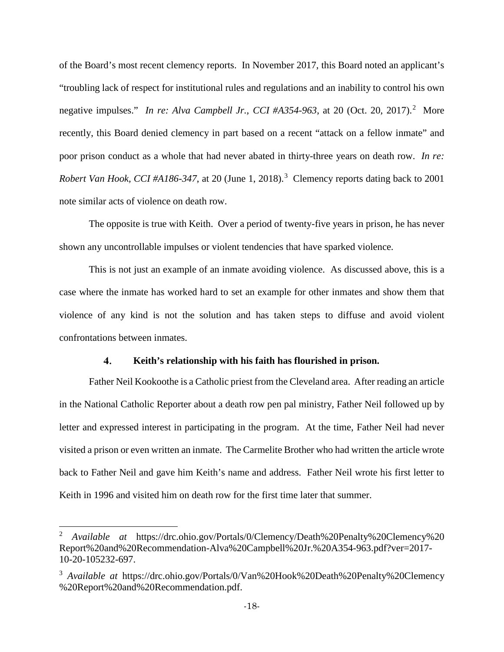of the Board's most recent clemency reports. In November 2017, this Board noted an applicant's "troubling lack of respect for institutional rules and regulations and an inability to control his own negative impulses." In re: Alva Campbell Jr., CCI #A354-963, at [2](#page-17-0)0 (Oct. 20, 2017).<sup>2</sup> More recently, this Board denied clemency in part based on a recent "attack on a fellow inmate" and poor prison conduct as a whole that had never abated in thirty-three years on death row. *In re: Robert Van Hook, CCI #A186-347*, at 20 (June 1, 2018). [3](#page-17-1) Clemency reports dating back to 2001 note similar acts of violence on death row.

The opposite is true with Keith. Over a period of twenty-five years in prison, he has never shown any uncontrollable impulses or violent tendencies that have sparked violence.

This is not just an example of an inmate avoiding violence. As discussed above, this is a case where the inmate has worked hard to set an example for other inmates and show them that violence of any kind is not the solution and has taken steps to diffuse and avoid violent confrontations between inmates.

#### $\mathbf{4}$ . **Keith's relationship with his faith has flourished in prison.**

Father Neil Kookoothe is a Catholic priest from the Cleveland area. After reading an article in the National Catholic Reporter about a death row pen pal ministry, Father Neil followed up by letter and expressed interest in participating in the program. At the time, Father Neil had never visited a prison or even written an inmate. The Carmelite Brother who had written the article wrote back to Father Neil and gave him Keith's name and address. Father Neil wrote his first letter to Keith in 1996 and visited him on death row for the first time later that summer.

 $\overline{a}$ 

<span id="page-17-0"></span><sup>2</sup> *Available at* https://drc.ohio.gov/Portals/0/Clemency/Death%20Penalty%20Clemency%20 Report%20and%20Recommendation-Alva%20Campbell%20Jr.%20A354-963.pdf?ver=2017- 10-20-105232-697.

<span id="page-17-1"></span><sup>&</sup>lt;sup>3</sup> *Available at https://drc.ohio.gov/Portals/0/Van%20Hook%20Death%20Penalty%20Clemency* %20Report%20and%20Recommendation.pdf.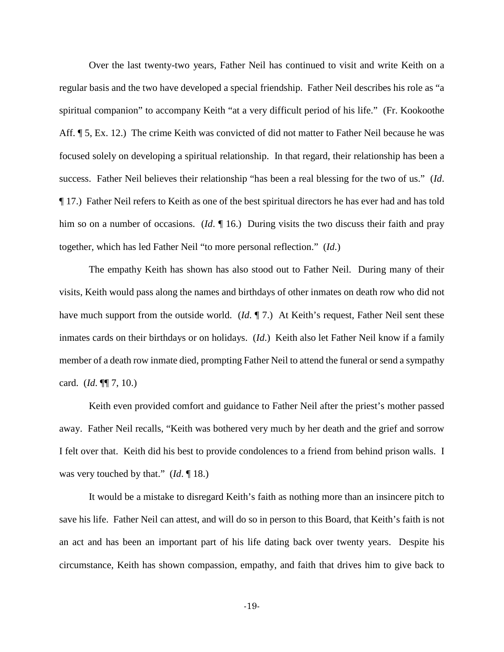Over the last twenty-two years, Father Neil has continued to visit and write Keith on a regular basis and the two have developed a special friendship. Father Neil describes his role as "a spiritual companion" to accompany Keith "at a very difficult period of his life." (Fr. Kookoothe Aff.  $\P$  5, Ex. 12.) The crime Keith was convicted of did not matter to Father Neil because he was focused solely on developing a spiritual relationship. In that regard, their relationship has been a success. Father Neil believes their relationship "has been a real blessing for the two of us." (*Id*. ¶ 17.) Father Neil refers to Keith as one of the best spiritual directors he has ever had and has told him so on a number of occasions. (*Id.*  $\parallel$  16.) During visits the two discuss their faith and pray together, which has led Father Neil "to more personal reflection." (*Id*.)

The empathy Keith has shown has also stood out to Father Neil. During many of their visits, Keith would pass along the names and birthdays of other inmates on death row who did not have much support from the outside world. (*Id.* ¶ 7.) At Keith's request, Father Neil sent these inmates cards on their birthdays or on holidays. (*Id*.) Keith also let Father Neil know if a family member of a death row inmate died, prompting Father Neil to attend the funeral or send a sympathy card. (*Id*. ¶¶ 7, 10.)

Keith even provided comfort and guidance to Father Neil after the priest's mother passed away. Father Neil recalls, "Keith was bothered very much by her death and the grief and sorrow I felt over that. Keith did his best to provide condolences to a friend from behind prison walls. I was very touched by that." (*Id*. ¶ 18.)

It would be a mistake to disregard Keith's faith as nothing more than an insincere pitch to save his life. Father Neil can attest, and will do so in person to this Board, that Keith's faith is not an act and has been an important part of his life dating back over twenty years. Despite his circumstance, Keith has shown compassion, empathy, and faith that drives him to give back to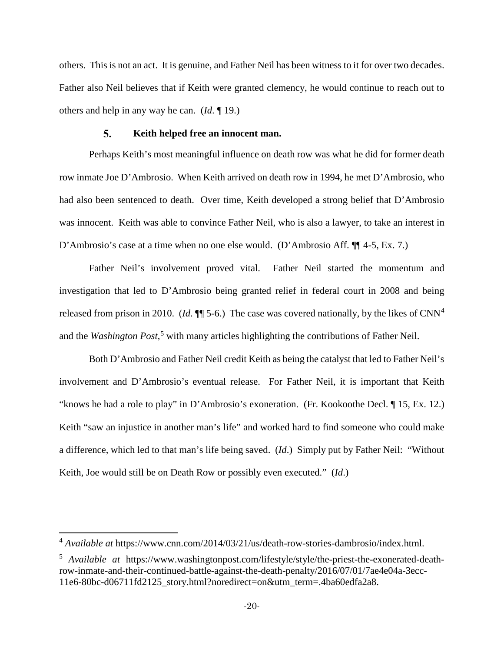others. This is not an act. It is genuine, and Father Neil has been witness to it for over two decades. Father also Neil believes that if Keith were granted clemency, he would continue to reach out to others and help in any way he can. (*Id*. ¶ 19.)

#### 5. **Keith helped free an innocent man.**

Perhaps Keith's most meaningful influence on death row was what he did for former death row inmate Joe D'Ambrosio. When Keith arrived on death row in 1994, he met D'Ambrosio, who had also been sentenced to death. Over time, Keith developed a strong belief that D'Ambrosio was innocent. Keith was able to convince Father Neil, who is also a lawyer, to take an interest in D'Ambrosio's case at a time when no one else would. (D'Ambrosio Aff. ¶¶ 4-5, Ex. 7.)

Father Neil's involvement proved vital. Father Neil started the momentum and investigation that led to D'Ambrosio being granted relief in federal court in 2008 and being released from prison in 2010. (*Id.*  $\P\P$  5-6.) The case was covered nationally, by the likes of CNN<sup>[4](#page-19-0)</sup> and the *Washington Post*, [5](#page-19-1) with many articles highlighting the contributions of Father Neil.

Both D'Ambrosio and Father Neil credit Keith as being the catalyst that led to Father Neil's involvement and D'Ambrosio's eventual release. For Father Neil, it is important that Keith "knows he had a role to play" in D'Ambrosio's exoneration. (Fr. Kookoothe Decl. ¶ 15, Ex. 12.) Keith "saw an injustice in another man's life" and worked hard to find someone who could make a difference, which led to that man's life being saved. (*Id*.) Simply put by Father Neil: "Without Keith, Joe would still be on Death Row or possibly even executed." (*Id*.)

 $\overline{\phantom{a}}$ 

<span id="page-19-0"></span><sup>4</sup> *Available at* https://www.cnn.com/2014/03/21/us/death-row-stories-dambrosio/index.html.

<span id="page-19-1"></span><sup>5</sup> *Available at* https://www.washingtonpost.com/lifestyle/style/the-priest-the-exonerated-deathrow-inmate-and-their-continued-battle-against-the-death-penalty/2016/07/01/7ae4e04a-3ecc-11e6-80bc-d06711fd2125\_story.html?noredirect=on&utm\_term=.4ba60edfa2a8.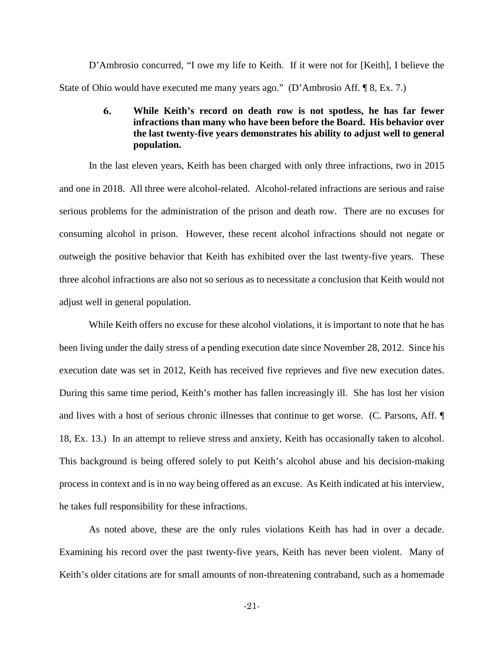D'Ambrosio concurred, "I owe my life to Keith. If it were not for [Keith], I believe the State of Ohio would have executed me many years ago." (D'Ambrosio Aff. ¶ 8, Ex. 7.)

## 6. **While Keith's record on death row is not spotless, he has far fewer infractions than many who have been before the Board. His behavior over the last twenty-five years demonstrates his ability to adjust well to general population.**

In the last eleven years, Keith has been charged with only three infractions, two in 2015 and one in 2018. All three were alcohol-related. Alcohol-related infractions are serious and raise serious problems for the administration of the prison and death row. There are no excuses for consuming alcohol in prison. However, these recent alcohol infractions should not negate or outweigh the positive behavior that Keith has exhibited over the last twenty-five years. These three alcohol infractions are also not so serious as to necessitate a conclusion that Keith would not adjust well in general population.

While Keith offers no excuse for these alcohol violations, it is important to note that he has been living under the daily stress of a pending execution date since November 28, 2012. Since his execution date was set in 2012, Keith has received five reprieves and five new execution dates. During this same time period, Keith's mother has fallen increasingly ill. She has lost her vision and lives with a host of serious chronic illnesses that continue to get worse. (C. Parsons, Aff. ¶ 18, Ex. 13.) In an attempt to relieve stress and anxiety, Keith has occasionally taken to alcohol. This background is being offered solely to put Keith's alcohol abuse and his decision-making process in context and is in no way being offered as an excuse. As Keith indicated at his interview, he takes full responsibility for these infractions.

As noted above, these are the only rules violations Keith has had in over a decade. Examining his record over the past twenty-five years, Keith has never been violent. Many of Keith's older citations are for small amounts of non-threatening contraband, such as a homemade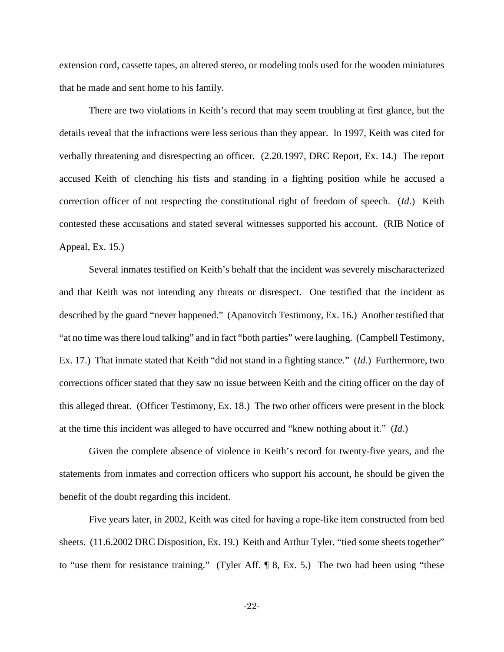extension cord, cassette tapes, an altered stereo, or modeling tools used for the wooden miniatures that he made and sent home to his family.

There are two violations in Keith's record that may seem troubling at first glance, but the details reveal that the infractions were less serious than they appear. In 1997, Keith was cited for verbally threatening and disrespecting an officer. (2.20.1997, DRC Report, Ex. 14.) The report accused Keith of clenching his fists and standing in a fighting position while he accused a correction officer of not respecting the constitutional right of freedom of speech. (*Id*.) Keith contested these accusations and stated several witnesses supported his account. (RIB Notice of Appeal, Ex. 15.)

Several inmates testified on Keith's behalf that the incident was severely mischaracterized and that Keith was not intending any threats or disrespect. One testified that the incident as described by the guard "never happened." (Apanovitch Testimony, Ex. 16.) Another testified that "at no time was there loud talking" and in fact "both parties" were laughing. (Campbell Testimony, Ex. 17.) That inmate stated that Keith "did not stand in a fighting stance." (*Id.*) Furthermore, two corrections officer stated that they saw no issue between Keith and the citing officer on the day of this alleged threat. (Officer Testimony, Ex. 18.) The two other officers were present in the block at the time this incident was alleged to have occurred and "knew nothing about it." (*Id*.)

Given the complete absence of violence in Keith's record for twenty-five years, and the statements from inmates and correction officers who support his account, he should be given the benefit of the doubt regarding this incident.

Five years later, in 2002, Keith was cited for having a rope-like item constructed from bed sheets. (11.6.2002 DRC Disposition, Ex. 19.) Keith and Arthur Tyler, "tied some sheets together" to "use them for resistance training." (Tyler Aff. ¶ 8, Ex. 5.) The two had been using "these

-22-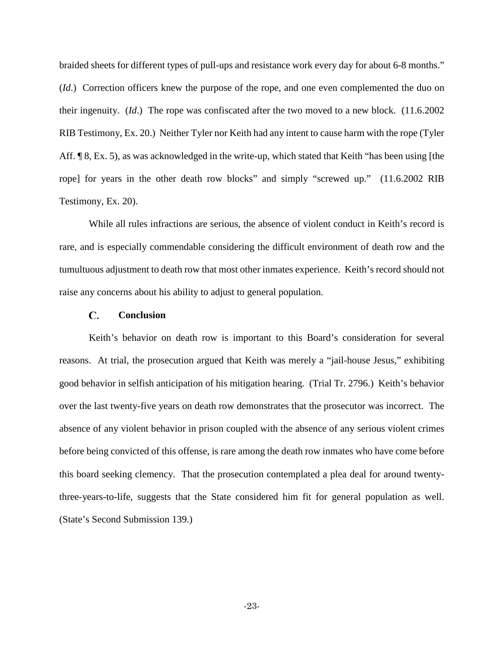braided sheets for different types of pull-ups and resistance work every day for about 6-8 months." (*Id*.) Correction officers knew the purpose of the rope, and one even complemented the duo on their ingenuity. (*Id*.) The rope was confiscated after the two moved to a new block. (11.6.2002 RIB Testimony, Ex. 20.) Neither Tyler nor Keith had any intent to cause harm with the rope (Tyler Aff. ¶ 8, Ex. 5), as was acknowledged in the write-up, which stated that Keith "has been using [the rope] for years in the other death row blocks" and simply "screwed up." (11.6.2002 RIB Testimony, Ex. 20).

While all rules infractions are serious, the absence of violent conduct in Keith's record is rare, and is especially commendable considering the difficult environment of death row and the tumultuous adjustment to death row that most other inmates experience. Keith's record should not raise any concerns about his ability to adjust to general population.

#### C. **Conclusion**

<span id="page-22-0"></span>Keith's behavior on death row is important to this Board's consideration for several reasons. At trial, the prosecution argued that Keith was merely a "jail-house Jesus," exhibiting good behavior in selfish anticipation of his mitigation hearing. (Trial Tr. 2796.) Keith's behavior over the last twenty-five years on death row demonstrates that the prosecutor was incorrect. The absence of any violent behavior in prison coupled with the absence of any serious violent crimes before being convicted of this offense, is rare among the death row inmates who have come before this board seeking clemency. That the prosecution contemplated a plea deal for around twentythree-years-to-life, suggests that the State considered him fit for general population as well. (State's Second Submission 139.)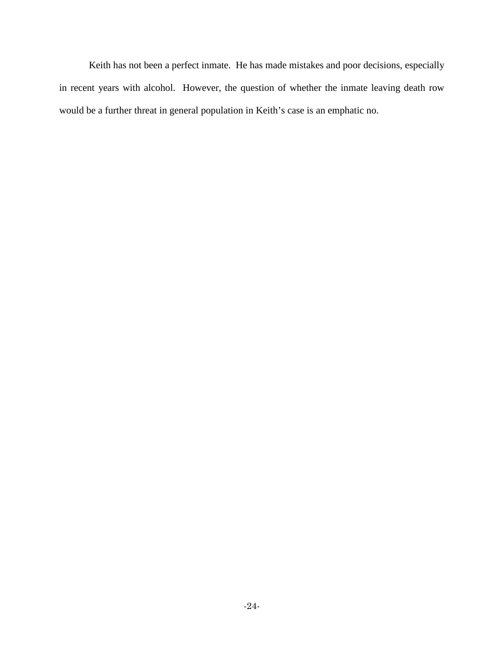Keith has not been a perfect inmate. He has made mistakes and poor decisions, especially in recent years with alcohol. However, the question of whether the inmate leaving death row would be a further threat in general population in Keith's case is an emphatic no.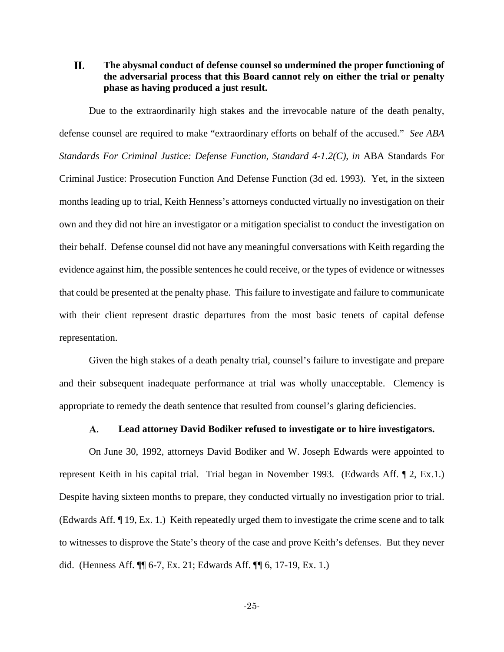## <span id="page-24-0"></span>H. **The abysmal conduct of defense counsel so undermined the proper functioning of the adversarial process that this Board cannot rely on either the trial or penalty phase as having produced a just result.**

Due to the extraordinarily high stakes and the irrevocable nature of the death penalty, defense counsel are required to make "extraordinary efforts on behalf of the accused." *See ABA Standards For Criminal Justice: Defense Function, Standard 4-1.2(C)*, *in* ABA Standards For Criminal Justice: Prosecution Function And Defense Function (3d ed. 1993). Yet, in the sixteen months leading up to trial, Keith Henness's attorneys conducted virtually no investigation on their own and they did not hire an investigator or a mitigation specialist to conduct the investigation on their behalf. Defense counsel did not have any meaningful conversations with Keith regarding the evidence against him, the possible sentences he could receive, or the types of evidence or witnesses that could be presented at the penalty phase. This failure to investigate and failure to communicate with their client represent drastic departures from the most basic tenets of capital defense representation.

Given the high stakes of a death penalty trial, counsel's failure to investigate and prepare and their subsequent inadequate performance at trial was wholly unacceptable. Clemency is appropriate to remedy the death sentence that resulted from counsel's glaring deficiencies.

#### **Lead attorney David Bodiker refused to investigate or to hire investigators.** A.

<span id="page-24-1"></span>On June 30, 1992, attorneys David Bodiker and W. Joseph Edwards were appointed to represent Keith in his capital trial. Trial began in November 1993. (Edwards Aff. ¶ 2, Ex.1.) Despite having sixteen months to prepare, they conducted virtually no investigation prior to trial. (Edwards Aff. ¶ 19, Ex. 1.) Keith repeatedly urged them to investigate the crime scene and to talk to witnesses to disprove the State's theory of the case and prove Keith's defenses. But they never did. (Henness Aff. ¶¶ 6-7, Ex. 21; Edwards Aff. ¶¶ 6, 17-19, Ex. 1.)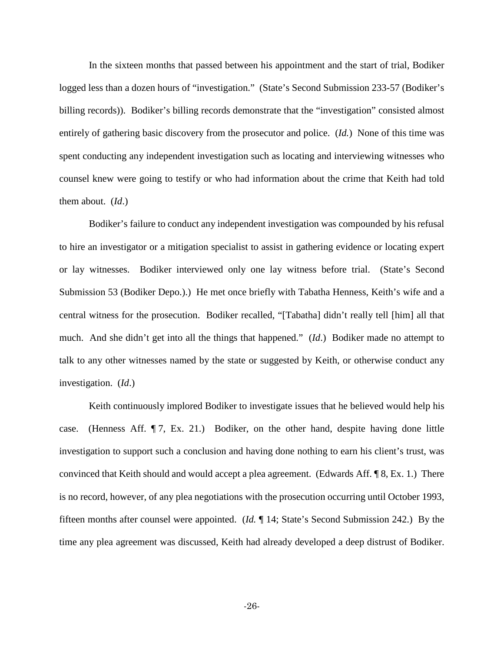In the sixteen months that passed between his appointment and the start of trial, Bodiker logged less than a dozen hours of "investigation." (State's Second Submission 233-57 (Bodiker's billing records)). Bodiker's billing records demonstrate that the "investigation" consisted almost entirely of gathering basic discovery from the prosecutor and police. (*Id.*) None of this time was spent conducting any independent investigation such as locating and interviewing witnesses who counsel knew were going to testify or who had information about the crime that Keith had told them about. (*Id*.)

Bodiker's failure to conduct any independent investigation was compounded by his refusal to hire an investigator or a mitigation specialist to assist in gathering evidence or locating expert or lay witnesses. Bodiker interviewed only one lay witness before trial. (State's Second Submission 53 (Bodiker Depo.).) He met once briefly with Tabatha Henness, Keith's wife and a central witness for the prosecution. Bodiker recalled, "[Tabatha] didn't really tell [him] all that much. And she didn't get into all the things that happened." (*Id*.) Bodiker made no attempt to talk to any other witnesses named by the state or suggested by Keith, or otherwise conduct any investigation. (*Id*.)

Keith continuously implored Bodiker to investigate issues that he believed would help his case. (Henness Aff. ¶ 7, Ex. 21.) Bodiker, on the other hand, despite having done little investigation to support such a conclusion and having done nothing to earn his client's trust, was convinced that Keith should and would accept a plea agreement. (Edwards Aff. ¶ 8, Ex. 1.) There is no record, however, of any plea negotiations with the prosecution occurring until October 1993, fifteen months after counsel were appointed. (*Id.* ¶ 14; State's Second Submission 242.) By the time any plea agreement was discussed, Keith had already developed a deep distrust of Bodiker.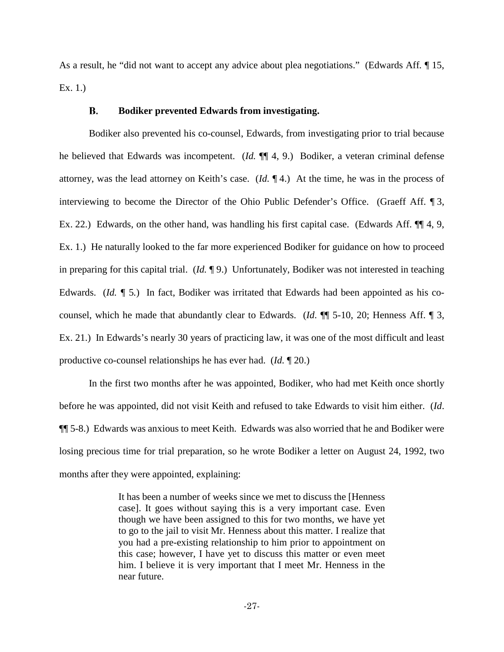As a result, he "did not want to accept any advice about plea negotiations." (Edwards Aff*.* ¶ 15, Ex. 1.)

#### **B. Bodiker prevented Edwards from investigating.**

<span id="page-26-0"></span>Bodiker also prevented his co-counsel, Edwards, from investigating prior to trial because he believed that Edwards was incompetent. (*Id.* ¶¶ 4, 9.) Bodiker, a veteran criminal defense attorney, was the lead attorney on Keith's case. (*Id.* ¶ 4.) At the time, he was in the process of interviewing to become the Director of the Ohio Public Defender's Office. (Graeff Aff. ¶ 3, Ex. 22.) Edwards, on the other hand, was handling his first capital case. (Edwards Aff. ¶¶ 4, 9, Ex. 1.) He naturally looked to the far more experienced Bodiker for guidance on how to proceed in preparing for this capital trial. (*Id.* ¶ 9.) Unfortunately, Bodiker was not interested in teaching Edwards. (*Id.* 15.) In fact, Bodiker was irritated that Edwards had been appointed as his cocounsel, which he made that abundantly clear to Edwards. (*Id*. ¶¶ 5-10, 20; Henness Aff. ¶ 3, Ex. 21.) In Edwards's nearly 30 years of practicing law, it was one of the most difficult and least productive co-counsel relationships he has ever had. (*Id.* ¶ 20.)

In the first two months after he was appointed, Bodiker, who had met Keith once shortly before he was appointed, did not visit Keith and refused to take Edwards to visit him either. (*Id*. ¶¶ 5-8.) Edwards was anxious to meet Keith. Edwards was also worried that he and Bodiker were losing precious time for trial preparation, so he wrote Bodiker a letter on August 24, 1992, two months after they were appointed, explaining:

> It has been a number of weeks since we met to discuss the [Henness case]. It goes without saying this is a very important case. Even though we have been assigned to this for two months, we have yet to go to the jail to visit Mr. Henness about this matter. I realize that you had a pre-existing relationship to him prior to appointment on this case; however, I have yet to discuss this matter or even meet him. I believe it is very important that I meet Mr. Henness in the near future.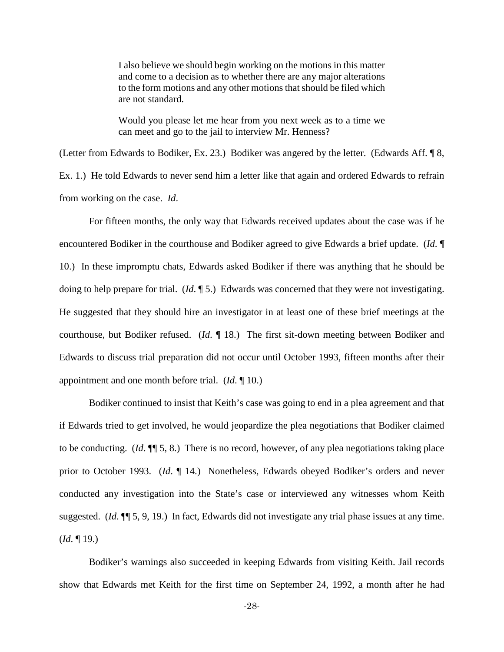I also believe we should begin working on the motions in this matter and come to a decision as to whether there are any major alterations to the form motions and any other motions that should be filed which are not standard.

Would you please let me hear from you next week as to a time we can meet and go to the jail to interview Mr. Henness?

(Letter from Edwards to Bodiker, Ex. 23.) Bodiker was angered by the letter. (Edwards Aff. ¶ 8, Ex. 1.) He told Edwards to never send him a letter like that again and ordered Edwards to refrain from working on the case. *Id*.

For fifteen months, the only way that Edwards received updates about the case was if he encountered Bodiker in the courthouse and Bodiker agreed to give Edwards a brief update. (*Id*. ¶ 10.) In these impromptu chats, Edwards asked Bodiker if there was anything that he should be doing to help prepare for trial. (*Id*. ¶ 5.) Edwards was concerned that they were not investigating. He suggested that they should hire an investigator in at least one of these brief meetings at the courthouse, but Bodiker refused. (*Id*. ¶ 18.) The first sit-down meeting between Bodiker and Edwards to discuss trial preparation did not occur until October 1993, fifteen months after their appointment and one month before trial. (*Id*. ¶ 10.)

Bodiker continued to insist that Keith's case was going to end in a plea agreement and that if Edwards tried to get involved, he would jeopardize the plea negotiations that Bodiker claimed to be conducting. (*Id*. ¶¶ 5, 8.) There is no record, however, of any plea negotiations taking place prior to October 1993. (*Id*. ¶ 14.) Nonetheless, Edwards obeyed Bodiker's orders and never conducted any investigation into the State's case or interviewed any witnesses whom Keith suggested. (*Id*. ¶¶ 5, 9, 19.) In fact, Edwards did not investigate any trial phase issues at any time. (*Id*. ¶ 19.)

Bodiker's warnings also succeeded in keeping Edwards from visiting Keith. Jail records show that Edwards met Keith for the first time on September 24, 1992, a month after he had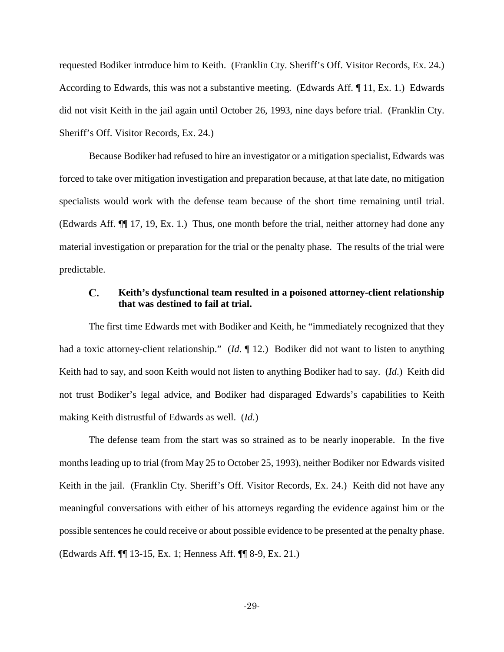requested Bodiker introduce him to Keith. (Franklin Cty. Sheriff's Off. Visitor Records, Ex. 24.) According to Edwards, this was not a substantive meeting. (Edwards Aff. ¶ 11, Ex. 1.) Edwards did not visit Keith in the jail again until October 26, 1993, nine days before trial. (Franklin Cty. Sheriff's Off. Visitor Records, Ex. 24.)

Because Bodiker had refused to hire an investigator or a mitigation specialist, Edwards was forced to take over mitigation investigation and preparation because, at that late date, no mitigation specialists would work with the defense team because of the short time remaining until trial. (Edwards Aff. ¶¶ 17, 19, Ex. 1.) Thus, one month before the trial, neither attorney had done any material investigation or preparation for the trial or the penalty phase. The results of the trial were predictable.

### <span id="page-28-0"></span>C. **Keith's dysfunctional team resulted in a poisoned attorney-client relationship that was destined to fail at trial.**

The first time Edwards met with Bodiker and Keith, he "immediately recognized that they had a toxic attorney-client relationship." (*Id*. ¶ 12.) Bodiker did not want to listen to anything Keith had to say, and soon Keith would not listen to anything Bodiker had to say. (*Id*.) Keith did not trust Bodiker's legal advice, and Bodiker had disparaged Edwards's capabilities to Keith making Keith distrustful of Edwards as well. (*Id*.)

The defense team from the start was so strained as to be nearly inoperable. In the five months leading up to trial (from May 25 to October 25, 1993), neither Bodiker nor Edwards visited Keith in the jail. (Franklin Cty. Sheriff's Off. Visitor Records, Ex. 24.) Keith did not have any meaningful conversations with either of his attorneys regarding the evidence against him or the possible sentences he could receive or about possible evidence to be presented at the penalty phase. (Edwards Aff. ¶¶ 13-15, Ex. 1; Henness Aff. ¶¶ 8-9, Ex. 21.)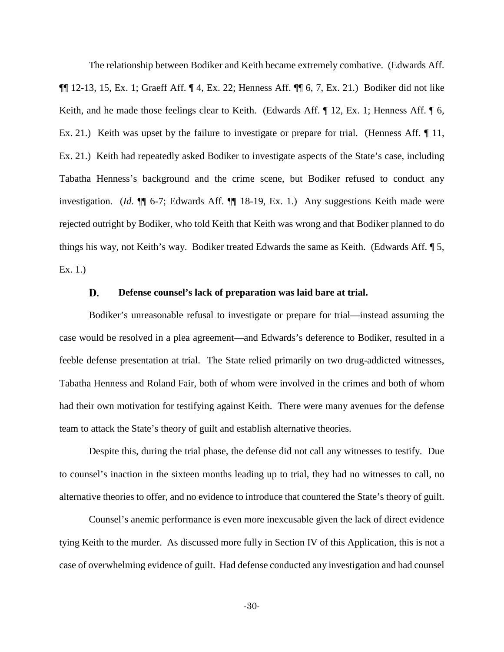The relationship between Bodiker and Keith became extremely combative. (Edwards Aff. ¶¶ 12-13, 15, Ex. 1; Graeff Aff. ¶ 4, Ex. 22; Henness Aff. ¶¶ 6, 7, Ex. 21.) Bodiker did not like Keith, and he made those feelings clear to Keith. (Edwards Aff. ¶ 12, Ex. 1; Henness Aff. ¶ 6, Ex. 21.) Keith was upset by the failure to investigate or prepare for trial. (Henness Aff. 11, Ex. 21.) Keith had repeatedly asked Bodiker to investigate aspects of the State's case, including Tabatha Henness's background and the crime scene, but Bodiker refused to conduct any investigation. (*Id*. ¶¶ 6-7; Edwards Aff. ¶¶ 18-19, Ex. 1.) Any suggestions Keith made were rejected outright by Bodiker, who told Keith that Keith was wrong and that Bodiker planned to do things his way, not Keith's way. Bodiker treated Edwards the same as Keith. (Edwards Aff. ¶ 5, Ex. 1.)

#### D. **Defense counsel's lack of preparation was laid bare at trial.**

<span id="page-29-0"></span>Bodiker's unreasonable refusal to investigate or prepare for trial—instead assuming the case would be resolved in a plea agreement—and Edwards's deference to Bodiker, resulted in a feeble defense presentation at trial. The State relied primarily on two drug-addicted witnesses, Tabatha Henness and Roland Fair, both of whom were involved in the crimes and both of whom had their own motivation for testifying against Keith. There were many avenues for the defense team to attack the State's theory of guilt and establish alternative theories.

Despite this, during the trial phase, the defense did not call any witnesses to testify. Due to counsel's inaction in the sixteen months leading up to trial, they had no witnesses to call, no alternative theories to offer, and no evidence to introduce that countered the State's theory of guilt.

Counsel's anemic performance is even more inexcusable given the lack of direct evidence tying Keith to the murder. As discussed more fully in Section IV of this Application, this is not a case of overwhelming evidence of guilt. Had defense conducted any investigation and had counsel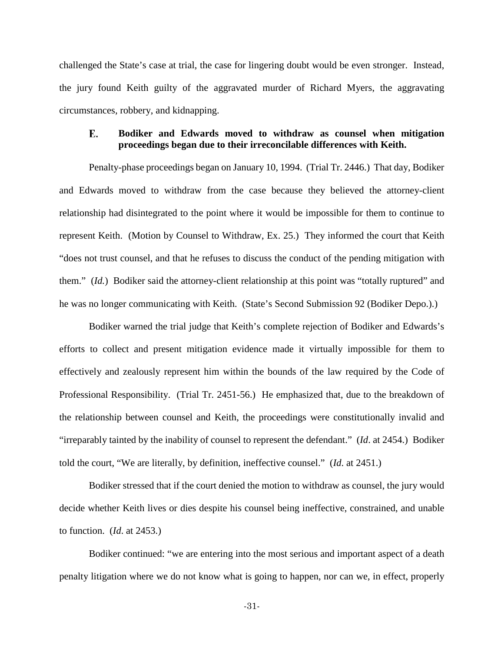challenged the State's case at trial, the case for lingering doubt would be even stronger. Instead, the jury found Keith guilty of the aggravated murder of Richard Myers, the aggravating circumstances, robbery, and kidnapping.

## <span id="page-30-0"></span>Е. **Bodiker and Edwards moved to withdraw as counsel when mitigation proceedings began due to their irreconcilable differences with Keith.**

Penalty-phase proceedings began on January 10, 1994. (Trial Tr. 2446.) That day, Bodiker and Edwards moved to withdraw from the case because they believed the attorney-client relationship had disintegrated to the point where it would be impossible for them to continue to represent Keith. (Motion by Counsel to Withdraw, Ex. 25.) They informed the court that Keith "does not trust counsel, and that he refuses to discuss the conduct of the pending mitigation with them." (*Id.*) Bodiker said the attorney-client relationship at this point was "totally ruptured" and he was no longer communicating with Keith. (State's Second Submission 92 (Bodiker Depo.).)

Bodiker warned the trial judge that Keith's complete rejection of Bodiker and Edwards's efforts to collect and present mitigation evidence made it virtually impossible for them to effectively and zealously represent him within the bounds of the law required by the Code of Professional Responsibility. (Trial Tr. 2451-56.) He emphasized that, due to the breakdown of the relationship between counsel and Keith, the proceedings were constitutionally invalid and "irreparably tainted by the inability of counsel to represent the defendant." (*Id*. at 2454.) Bodiker told the court, "We are literally, by definition, ineffective counsel." (*Id*. at 2451.)

Bodiker stressed that if the court denied the motion to withdraw as counsel, the jury would decide whether Keith lives or dies despite his counsel being ineffective, constrained, and unable to function. (*Id*. at 2453.)

Bodiker continued: "we are entering into the most serious and important aspect of a death penalty litigation where we do not know what is going to happen, nor can we, in effect, properly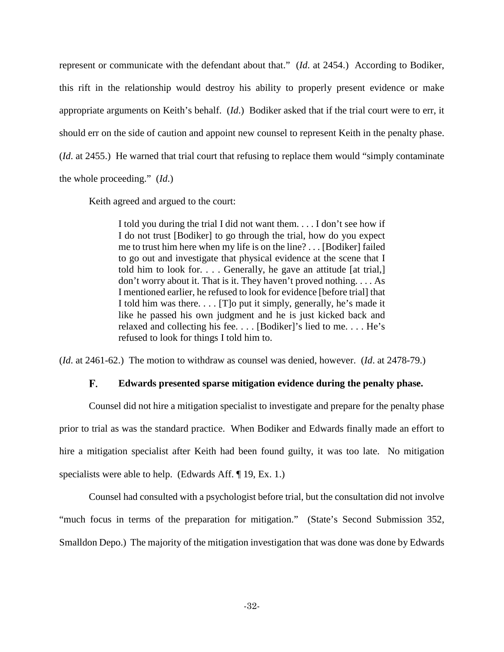represent or communicate with the defendant about that." (*Id*. at 2454.) According to Bodiker, this rift in the relationship would destroy his ability to properly present evidence or make appropriate arguments on Keith's behalf. (*Id*.) Bodiker asked that if the trial court were to err, it should err on the side of caution and appoint new counsel to represent Keith in the penalty phase. (*Id*. at 2455.) He warned that trial court that refusing to replace them would "simply contaminate the whole proceeding." (*Id*.)

Keith agreed and argued to the court:

I told you during the trial I did not want them. . . . I don't see how if I do not trust [Bodiker] to go through the trial, how do you expect me to trust him here when my life is on the line? . . . [Bodiker] failed to go out and investigate that physical evidence at the scene that I told him to look for. . . . Generally, he gave an attitude [at trial,] don't worry about it. That is it. They haven't proved nothing. . . . As I mentioned earlier, he refused to look for evidence [before trial] that I told him was there. . . . [T]o put it simply, generally, he's made it like he passed his own judgment and he is just kicked back and relaxed and collecting his fee. . . . [Bodiker]'s lied to me. . . . He's refused to look for things I told him to.

<span id="page-31-0"></span>(*Id*. at 2461-62.) The motion to withdraw as counsel was denied, however. (*Id*. at 2478-79.)

#### F. **Edwards presented sparse mitigation evidence during the penalty phase.**

Counsel did not hire a mitigation specialist to investigate and prepare for the penalty phase prior to trial as was the standard practice. When Bodiker and Edwards finally made an effort to hire a mitigation specialist after Keith had been found guilty, it was too late. No mitigation specialists were able to help. (Edwards Aff. ¶ 19, Ex. 1.)

Counsel had consulted with a psychologist before trial, but the consultation did not involve "much focus in terms of the preparation for mitigation." (State's Second Submission 352, Smalldon Depo.) The majority of the mitigation investigation that was done was done by Edwards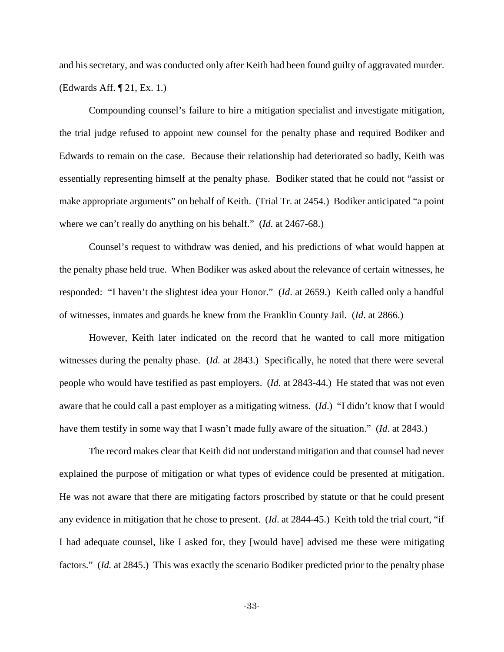and his secretary, and was conducted only after Keith had been found guilty of aggravated murder. (Edwards Aff. ¶ 21, Ex. 1.)

Compounding counsel's failure to hire a mitigation specialist and investigate mitigation, the trial judge refused to appoint new counsel for the penalty phase and required Bodiker and Edwards to remain on the case. Because their relationship had deteriorated so badly, Keith was essentially representing himself at the penalty phase. Bodiker stated that he could not "assist or make appropriate arguments" on behalf of Keith. (Trial Tr. at 2454.) Bodiker anticipated "a point where we can't really do anything on his behalf." (*Id*. at 2467-68.)

Counsel's request to withdraw was denied, and his predictions of what would happen at the penalty phase held true. When Bodiker was asked about the relevance of certain witnesses, he responded: "I haven't the slightest idea your Honor." (*Id*. at 2659.) Keith called only a handful of witnesses, inmates and guards he knew from the Franklin County Jail. (*Id*. at 2866.)

However, Keith later indicated on the record that he wanted to call more mitigation witnesses during the penalty phase. (*Id*. at 2843.) Specifically, he noted that there were several people who would have testified as past employers. (*Id*. at 2843-44.) He stated that was not even aware that he could call a past employer as a mitigating witness. (*Id*.) "I didn't know that I would have them testify in some way that I wasn't made fully aware of the situation." (*Id*. at 2843.)

The record makes clear that Keith did not understand mitigation and that counsel had never explained the purpose of mitigation or what types of evidence could be presented at mitigation. He was not aware that there are mitigating factors proscribed by statute or that he could present any evidence in mitigation that he chose to present. (*Id*. at 2844-45.) Keith told the trial court, "if I had adequate counsel, like I asked for, they [would have] advised me these were mitigating factors." (*Id.* at 2845.) This was exactly the scenario Bodiker predicted prior to the penalty phase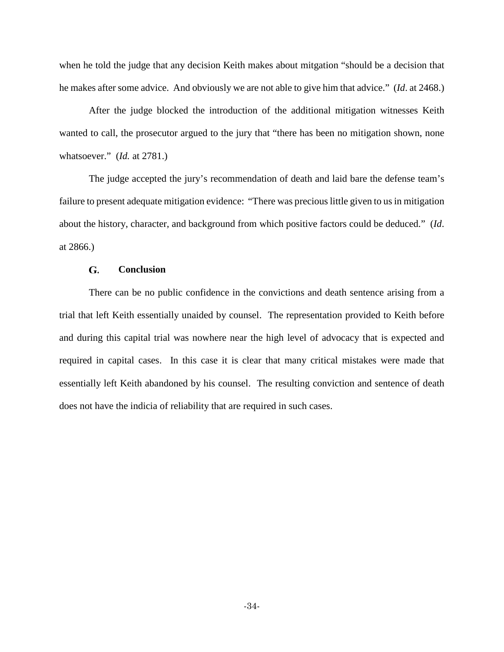when he told the judge that any decision Keith makes about mitgation "should be a decision that he makes after some advice. And obviously we are not able to give him that advice." (*Id*. at 2468.)

After the judge blocked the introduction of the additional mitigation witnesses Keith wanted to call, the prosecutor argued to the jury that "there has been no mitigation shown, none whatsoever." (*Id.* at 2781.)

The judge accepted the jury's recommendation of death and laid bare the defense team's failure to present adequate mitigation evidence: "There was precious little given to us in mitigation about the history, character, and background from which positive factors could be deduced." (*Id*. at 2866.)

#### G. **Conclusion**

<span id="page-33-0"></span>There can be no public confidence in the convictions and death sentence arising from a trial that left Keith essentially unaided by counsel. The representation provided to Keith before and during this capital trial was nowhere near the high level of advocacy that is expected and required in capital cases. In this case it is clear that many critical mistakes were made that essentially left Keith abandoned by his counsel. The resulting conviction and sentence of death does not have the indicia of reliability that are required in such cases.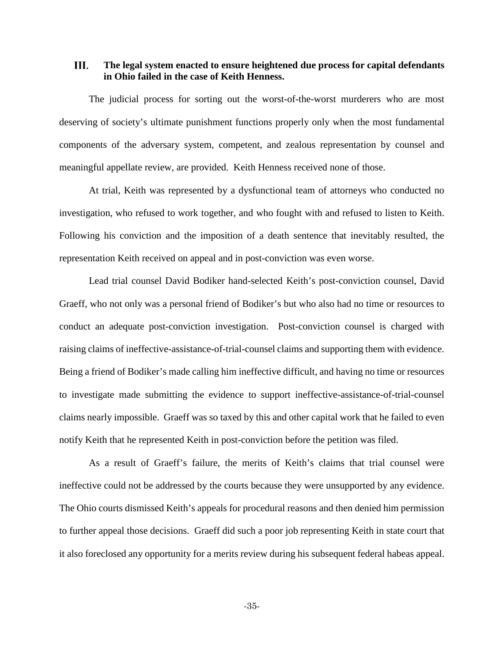### <span id="page-34-0"></span>III. **The legal system enacted to ensure heightened due process for capital defendants in Ohio failed in the case of Keith Henness.**

The judicial process for sorting out the worst-of-the-worst murderers who are most deserving of society's ultimate punishment functions properly only when the most fundamental components of the adversary system, competent, and zealous representation by counsel and meaningful appellate review, are provided. Keith Henness received none of those.

At trial, Keith was represented by a dysfunctional team of attorneys who conducted no investigation, who refused to work together, and who fought with and refused to listen to Keith. Following his conviction and the imposition of a death sentence that inevitably resulted, the representation Keith received on appeal and in post-conviction was even worse.

Lead trial counsel David Bodiker hand-selected Keith's post-conviction counsel, David Graeff, who not only was a personal friend of Bodiker's but who also had no time or resources to conduct an adequate post-conviction investigation. Post-conviction counsel is charged with raising claims of ineffective-assistance-of-trial-counsel claims and supporting them with evidence. Being a friend of Bodiker's made calling him ineffective difficult, and having no time or resources to investigate made submitting the evidence to support ineffective-assistance-of-trial-counsel claims nearly impossible. Graeff was so taxed by this and other capital work that he failed to even notify Keith that he represented Keith in post-conviction before the petition was filed.

As a result of Graeff's failure, the merits of Keith's claims that trial counsel were ineffective could not be addressed by the courts because they were unsupported by any evidence. The Ohio courts dismissed Keith's appeals for procedural reasons and then denied him permission to further appeal those decisions. Graeff did such a poor job representing Keith in state court that it also foreclosed any opportunity for a merits review during his subsequent federal habeas appeal.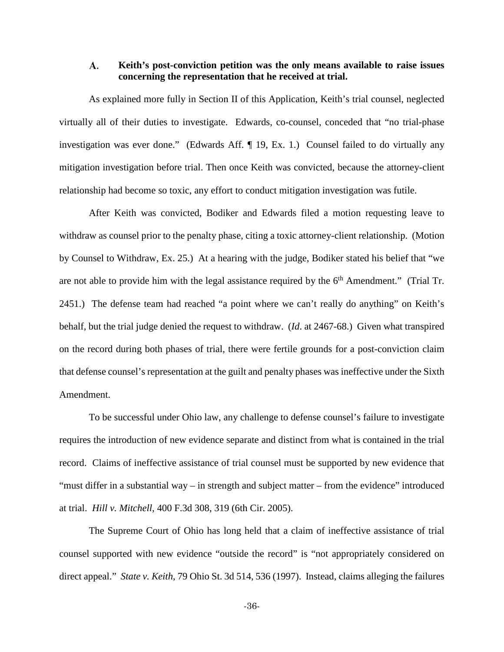### <span id="page-35-0"></span>A. **Keith's post-conviction petition was the only means available to raise issues concerning the representation that he received at trial.**

As explained more fully in Section II of this Application, Keith's trial counsel, neglected virtually all of their duties to investigate. Edwards, co-counsel, conceded that "no trial-phase investigation was ever done." (Edwards Aff. ¶ 19, Ex. 1.) Counsel failed to do virtually any mitigation investigation before trial. Then once Keith was convicted, because the attorney-client relationship had become so toxic, any effort to conduct mitigation investigation was futile.

After Keith was convicted, Bodiker and Edwards filed a motion requesting leave to withdraw as counsel prior to the penalty phase, citing a toxic attorney-client relationship. (Motion by Counsel to Withdraw, Ex. 25.) At a hearing with the judge, Bodiker stated his belief that "we are not able to provide him with the legal assistance required by the  $6<sup>th</sup>$  Amendment." (Trial Tr. 2451.) The defense team had reached "a point where we can't really do anything" on Keith's behalf, but the trial judge denied the request to withdraw. (*Id*. at 2467-68.) Given what transpired on the record during both phases of trial, there were fertile grounds for a post-conviction claim that defense counsel's representation at the guilt and penalty phases was ineffective under the Sixth Amendment.

To be successful under Ohio law, any challenge to defense counsel's failure to investigate requires the introduction of new evidence separate and distinct from what is contained in the trial record. Claims of ineffective assistance of trial counsel must be supported by new evidence that "must differ in a substantial way – in strength and subject matter – from the evidence" introduced at trial. *Hill v. Mitchell*, 400 F.3d 308, 319 (6th Cir. 2005).

The Supreme Court of Ohio has long held that a claim of ineffective assistance of trial counsel supported with new evidence "outside the record" is "not appropriately considered on direct appeal." *State v. Keith*, 79 Ohio St. 3d 514, 536 (1997). Instead, claims alleging the failures

-36-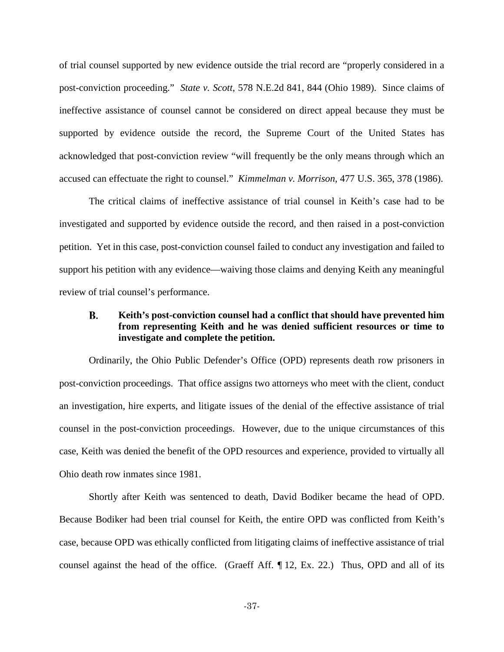of trial counsel supported by new evidence outside the trial record are "properly considered in a post-conviction proceeding." *State v. Scott*, 578 N.E.2d 841, 844 (Ohio 1989). Since claims of ineffective assistance of counsel cannot be considered on direct appeal because they must be supported by evidence outside the record, the Supreme Court of the United States has acknowledged that post-conviction review "will frequently be the only means through which an accused can effectuate the right to counsel." *Kimmelman v. Morrison*, 477 U.S. 365, 378 (1986).

The critical claims of ineffective assistance of trial counsel in Keith's case had to be investigated and supported by evidence outside the record, and then raised in a post-conviction petition. Yet in this case, post-conviction counsel failed to conduct any investigation and failed to support his petition with any evidence—waiving those claims and denying Keith any meaningful review of trial counsel's performance.

## В. **Keith's post-conviction counsel had a conflict that should have prevented him from representing Keith and he was denied sufficient resources or time to investigate and complete the petition.**

Ordinarily, the Ohio Public Defender's Office (OPD) represents death row prisoners in post-conviction proceedings. That office assigns two attorneys who meet with the client, conduct an investigation, hire experts, and litigate issues of the denial of the effective assistance of trial counsel in the post-conviction proceedings. However, due to the unique circumstances of this case, Keith was denied the benefit of the OPD resources and experience, provided to virtually all Ohio death row inmates since 1981.

Shortly after Keith was sentenced to death, David Bodiker became the head of OPD. Because Bodiker had been trial counsel for Keith, the entire OPD was conflicted from Keith's case, because OPD was ethically conflicted from litigating claims of ineffective assistance of trial counsel against the head of the office. (Graeff Aff. ¶ 12, Ex. 22.) Thus, OPD and all of its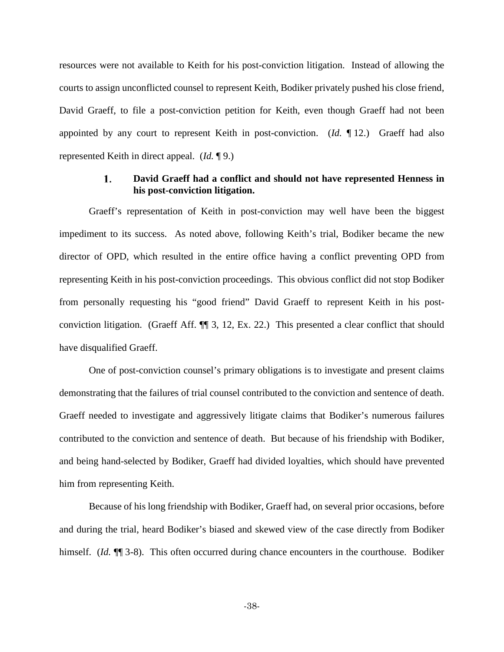resources were not available to Keith for his post-conviction litigation. Instead of allowing the courts to assign unconflicted counsel to represent Keith, Bodiker privately pushed his close friend, David Graeff, to file a post-conviction petition for Keith, even though Graeff had not been appointed by any court to represent Keith in post-conviction. (*Id.* ¶ 12.) Graeff had also represented Keith in direct appeal. (*Id.* ¶ 9.)

### $\mathbf{1}$ . **David Graeff had a conflict and should not have represented Henness in his post-conviction litigation.**

Graeff's representation of Keith in post-conviction may well have been the biggest impediment to its success. As noted above, following Keith's trial, Bodiker became the new director of OPD, which resulted in the entire office having a conflict preventing OPD from representing Keith in his post-conviction proceedings. This obvious conflict did not stop Bodiker from personally requesting his "good friend" David Graeff to represent Keith in his postconviction litigation. (Graeff Aff. ¶¶ 3, 12, Ex. 22.) This presented a clear conflict that should have disqualified Graeff.

One of post-conviction counsel's primary obligations is to investigate and present claims demonstrating that the failures of trial counsel contributed to the conviction and sentence of death. Graeff needed to investigate and aggressively litigate claims that Bodiker's numerous failures contributed to the conviction and sentence of death. But because of his friendship with Bodiker, and being hand-selected by Bodiker, Graeff had divided loyalties, which should have prevented him from representing Keith.

Because of his long friendship with Bodiker, Graeff had, on several prior occasions, before and during the trial, heard Bodiker's biased and skewed view of the case directly from Bodiker himself. (*Id.*  $\P$  3-8). This often occurred during chance encounters in the courthouse. Bodiker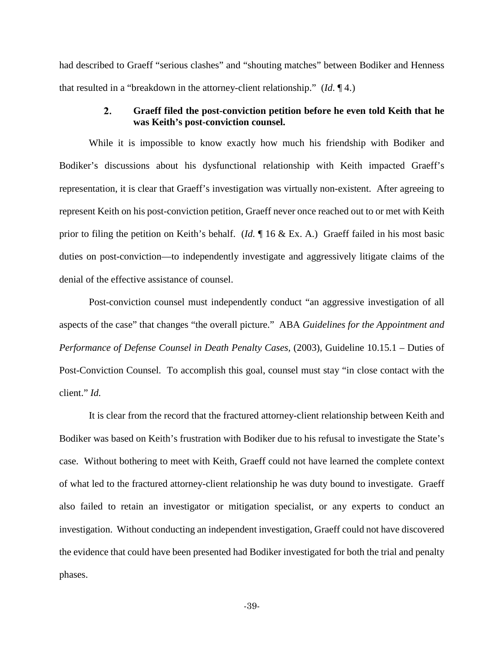had described to Graeff "serious clashes" and "shouting matches" between Bodiker and Henness that resulted in a "breakdown in the attorney-client relationship." (*Id*. ¶ 4.)

### $2.$ **Graeff filed the post-conviction petition before he even told Keith that he was Keith's post-conviction counsel.**

While it is impossible to know exactly how much his friendship with Bodiker and Bodiker's discussions about his dysfunctional relationship with Keith impacted Graeff's representation, it is clear that Graeff's investigation was virtually non-existent. After agreeing to represent Keith on his post-conviction petition, Graeff never once reached out to or met with Keith prior to filing the petition on Keith's behalf. (*Id.* ¶ 16 & Ex. A.) Graeff failed in his most basic duties on post-conviction—to independently investigate and aggressively litigate claims of the denial of the effective assistance of counsel.

Post-conviction counsel must independently conduct "an aggressive investigation of all aspects of the case" that changes "the overall picture." ABA *Guidelines for the Appointment and Performance of Defense Counsel in Death Penalty Cases, (2003), Guideline 10.15.1 – Duties of* Post-Conviction Counsel. To accomplish this goal, counsel must stay "in close contact with the client." *Id.*

It is clear from the record that the fractured attorney-client relationship between Keith and Bodiker was based on Keith's frustration with Bodiker due to his refusal to investigate the State's case. Without bothering to meet with Keith, Graeff could not have learned the complete context of what led to the fractured attorney-client relationship he was duty bound to investigate. Graeff also failed to retain an investigator or mitigation specialist, or any experts to conduct an investigation. Without conducting an independent investigation, Graeff could not have discovered the evidence that could have been presented had Bodiker investigated for both the trial and penalty phases.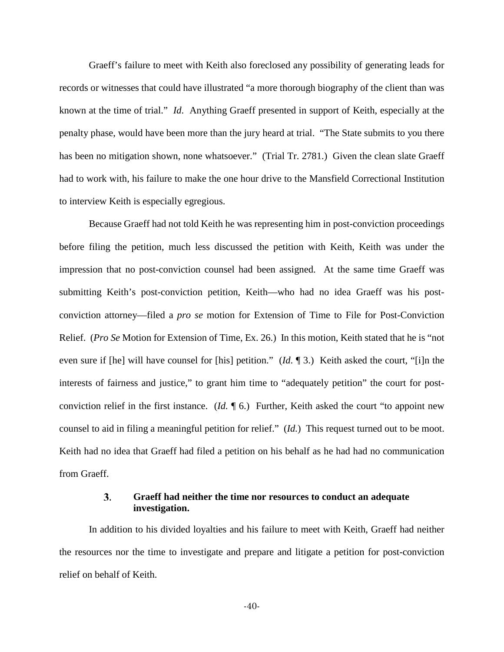Graeff's failure to meet with Keith also foreclosed any possibility of generating leads for records or witnesses that could have illustrated "a more thorough biography of the client than was known at the time of trial." *Id*. Anything Graeff presented in support of Keith, especially at the penalty phase, would have been more than the jury heard at trial. "The State submits to you there has been no mitigation shown, none whatsoever." (Trial Tr. 2781.) Given the clean slate Graeff had to work with, his failure to make the one hour drive to the Mansfield Correctional Institution to interview Keith is especially egregious.

Because Graeff had not told Keith he was representing him in post-conviction proceedings before filing the petition, much less discussed the petition with Keith, Keith was under the impression that no post-conviction counsel had been assigned. At the same time Graeff was submitting Keith's post-conviction petition, Keith—who had no idea Graeff was his postconviction attorney—filed a *pro se* motion for Extension of Time to File for Post-Conviction Relief. (*Pro Se* Motion for Extension of Time, Ex. 26.) In this motion, Keith stated that he is "not even sure if [he] will have counsel for [his] petition." (*Id*. ¶ 3.) Keith asked the court, "[i]n the interests of fairness and justice," to grant him time to "adequately petition" the court for postconviction relief in the first instance. (*Id.* ¶ 6.) Further, Keith asked the court "to appoint new counsel to aid in filing a meaningful petition for relief." (*Id.*) This request turned out to be moot. Keith had no idea that Graeff had filed a petition on his behalf as he had had no communication from Graeff.

### $3.$ **Graeff had neither the time nor resources to conduct an adequate investigation.**

In addition to his divided loyalties and his failure to meet with Keith, Graeff had neither the resources nor the time to investigate and prepare and litigate a petition for post-conviction relief on behalf of Keith.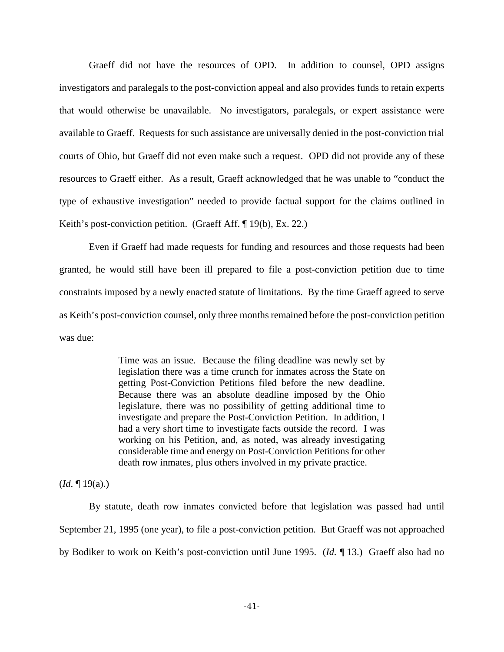Graeff did not have the resources of OPD. In addition to counsel, OPD assigns investigators and paralegals to the post-conviction appeal and also provides funds to retain experts that would otherwise be unavailable. No investigators, paralegals, or expert assistance were available to Graeff. Requests for such assistance are universally denied in the post-conviction trial courts of Ohio, but Graeff did not even make such a request. OPD did not provide any of these resources to Graeff either. As a result, Graeff acknowledged that he was unable to "conduct the type of exhaustive investigation" needed to provide factual support for the claims outlined in Keith's post-conviction petition. (Graeff Aff. ¶ 19(b), Ex. 22.)

Even if Graeff had made requests for funding and resources and those requests had been granted, he would still have been ill prepared to file a post-conviction petition due to time constraints imposed by a newly enacted statute of limitations. By the time Graeff agreed to serve as Keith's post-conviction counsel, only three months remained before the post-conviction petition was due:

> Time was an issue. Because the filing deadline was newly set by legislation there was a time crunch for inmates across the State on getting Post-Conviction Petitions filed before the new deadline. Because there was an absolute deadline imposed by the Ohio legislature, there was no possibility of getting additional time to investigate and prepare the Post-Conviction Petition. In addition, I had a very short time to investigate facts outside the record. I was working on his Petition, and, as noted, was already investigating considerable time and energy on Post-Conviction Petitions for other death row inmates, plus others involved in my private practice.

(*Id*. ¶ 19(a).)

By statute, death row inmates convicted before that legislation was passed had until September 21, 1995 (one year), to file a post-conviction petition. But Graeff was not approached by Bodiker to work on Keith's post-conviction until June 1995. (*Id.* ¶ 13.) Graeff also had no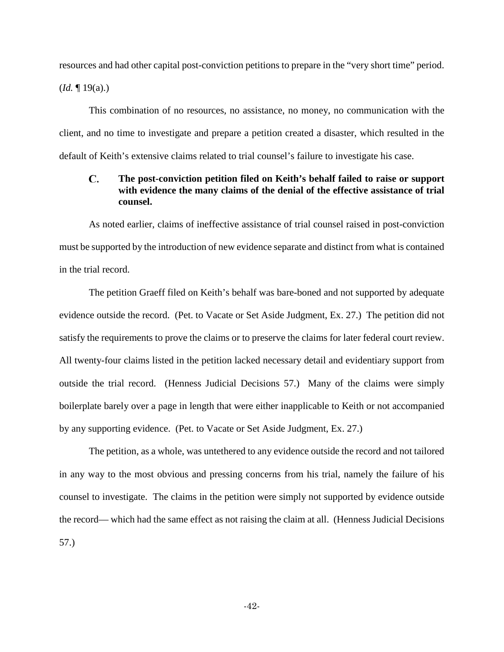resources and had other capital post-conviction petitions to prepare in the "very short time" period. (*Id.* ¶ 19(a).)

This combination of no resources, no assistance, no money, no communication with the client, and no time to investigate and prepare a petition created a disaster, which resulted in the default of Keith's extensive claims related to trial counsel's failure to investigate his case.

## C. **The post-conviction petition filed on Keith's behalf failed to raise or support with evidence the many claims of the denial of the effective assistance of trial counsel.**

As noted earlier, claims of ineffective assistance of trial counsel raised in post-conviction must be supported by the introduction of new evidence separate and distinct from what is contained in the trial record.

The petition Graeff filed on Keith's behalf was bare-boned and not supported by adequate evidence outside the record. (Pet. to Vacate or Set Aside Judgment, Ex. 27.) The petition did not satisfy the requirements to prove the claims or to preserve the claims for later federal court review. All twenty-four claims listed in the petition lacked necessary detail and evidentiary support from outside the trial record. (Henness Judicial Decisions 57.) Many of the claims were simply boilerplate barely over a page in length that were either inapplicable to Keith or not accompanied by any supporting evidence. (Pet. to Vacate or Set Aside Judgment, Ex. 27.)

The petition, as a whole, was untethered to any evidence outside the record and not tailored in any way to the most obvious and pressing concerns from his trial, namely the failure of his counsel to investigate. The claims in the petition were simply not supported by evidence outside the record— which had the same effect as not raising the claim at all. (Henness Judicial Decisions 57.)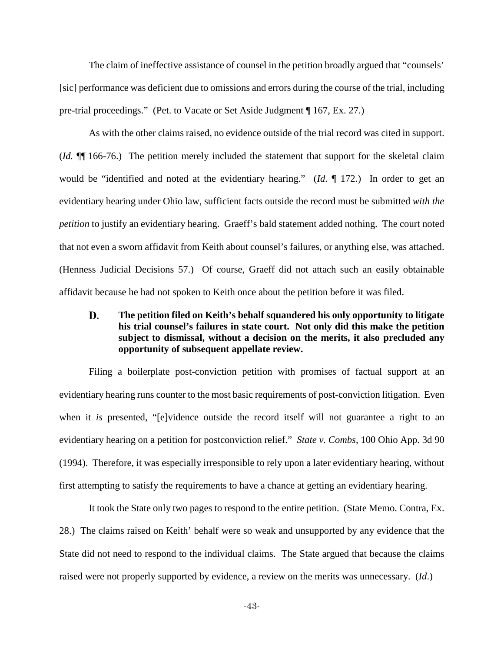The claim of ineffective assistance of counsel in the petition broadly argued that "counsels' [sic] performance was deficient due to omissions and errors during the course of the trial, including pre-trial proceedings." (Pet. to Vacate or Set Aside Judgment ¶ 167, Ex. 27.)

As with the other claims raised, no evidence outside of the trial record was cited in support. (*Id.* ¶¶ 166-76.) The petition merely included the statement that support for the skeletal claim would be "identified and noted at the evidentiary hearing." (*Id*. ¶ 172.) In order to get an evidentiary hearing under Ohio law, sufficient facts outside the record must be submitted *with the petition* to justify an evidentiary hearing. Graeff's bald statement added nothing. The court noted that not even a sworn affidavit from Keith about counsel's failures, or anything else, was attached. (Henness Judicial Decisions 57.) Of course, Graeff did not attach such an easily obtainable affidavit because he had not spoken to Keith once about the petition before it was filed.

# D. **The petition filed on Keith's behalf squandered his only opportunity to litigate his trial counsel's failures in state court. Not only did this make the petition subject to dismissal, without a decision on the merits, it also precluded any opportunity of subsequent appellate review.**

Filing a boilerplate post-conviction petition with promises of factual support at an evidentiary hearing runs counter to the most basic requirements of post-conviction litigation. Even when it *is* presented, "[e]vidence outside the record itself will not guarantee a right to an evidentiary hearing on a petition for postconviction relief." *State v. Combs*, 100 Ohio App. 3d 90 (1994). Therefore, it was especially irresponsible to rely upon a later evidentiary hearing, without first attempting to satisfy the requirements to have a chance at getting an evidentiary hearing.

It took the State only two pages to respond to the entire petition. (State Memo. Contra, Ex. 28.) The claims raised on Keith' behalf were so weak and unsupported by any evidence that the State did not need to respond to the individual claims. The State argued that because the claims raised were not properly supported by evidence, a review on the merits was unnecessary. (*Id*.)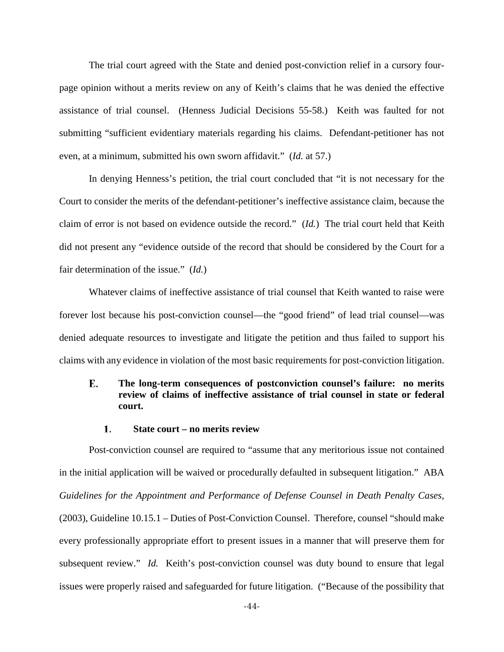The trial court agreed with the State and denied post-conviction relief in a cursory fourpage opinion without a merits review on any of Keith's claims that he was denied the effective assistance of trial counsel. (Henness Judicial Decisions 55-58.) Keith was faulted for not submitting "sufficient evidentiary materials regarding his claims. Defendant-petitioner has not even, at a minimum, submitted his own sworn affidavit." (*Id.* at 57.)

In denying Henness's petition, the trial court concluded that "it is not necessary for the Court to consider the merits of the defendant-petitioner's ineffective assistance claim, because the claim of error is not based on evidence outside the record." (*Id.*) The trial court held that Keith did not present any "evidence outside of the record that should be considered by the Court for a fair determination of the issue." (*Id.*)

Whatever claims of ineffective assistance of trial counsel that Keith wanted to raise were forever lost because his post-conviction counsel—the "good friend" of lead trial counsel—was denied adequate resources to investigate and litigate the petition and thus failed to support his claims with any evidence in violation of the most basic requirements for post-conviction litigation.

## Е. **The long-term consequences of postconviction counsel's failure: no merits review of claims of ineffective assistance of trial counsel in state or federal court.**

#### **State court – no merits review** 1.

Post-conviction counsel are required to "assume that any meritorious issue not contained in the initial application will be waived or procedurally defaulted in subsequent litigation." ABA *Guidelines for the Appointment and Performance of Defense Counsel in Death Penalty Cases,*  (2003), Guideline 10.15.1 – Duties of Post-Conviction Counsel. Therefore, counsel "should make every professionally appropriate effort to present issues in a manner that will preserve them for subsequent review." *Id.* Keith's post-conviction counsel was duty bound to ensure that legal issues were properly raised and safeguarded for future litigation. ("Because of the possibility that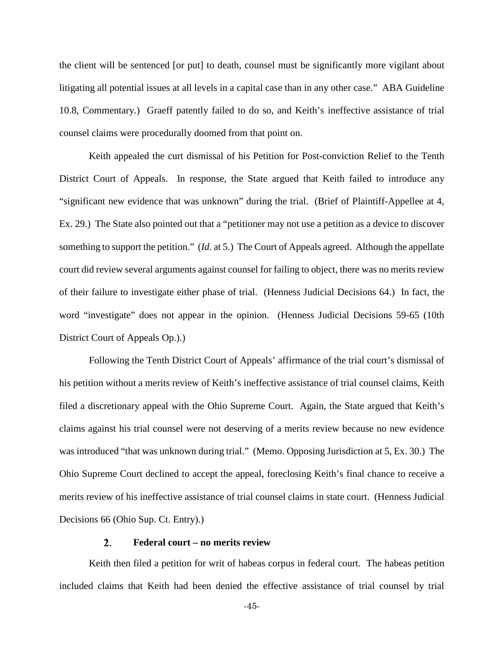the client will be sentenced [or put] to death, counsel must be significantly more vigilant about litigating all potential issues at all levels in a capital case than in any other case." ABA Guideline 10.8, Commentary.) Graeff patently failed to do so, and Keith's ineffective assistance of trial counsel claims were procedurally doomed from that point on.

Keith appealed the curt dismissal of his Petition for Post-conviction Relief to the Tenth District Court of Appeals. In response, the State argued that Keith failed to introduce any "significant new evidence that was unknown" during the trial. (Brief of Plaintiff-Appellee at 4, Ex. 29.) The State also pointed out that a "petitioner may not use a petition as a device to discover something to support the petition." (*Id.* at 5.) The Court of Appeals agreed. Although the appellate court did review several arguments against counsel for failing to object, there was no merits review of their failure to investigate either phase of trial. (Henness Judicial Decisions 64.) In fact, the word "investigate" does not appear in the opinion. (Henness Judicial Decisions 59-65 (10th District Court of Appeals Op.).)

Following the Tenth District Court of Appeals' affirmance of the trial court's dismissal of his petition without a merits review of Keith's ineffective assistance of trial counsel claims, Keith filed a discretionary appeal with the Ohio Supreme Court. Again, the State argued that Keith's claims against his trial counsel were not deserving of a merits review because no new evidence was introduced "that was unknown during trial." (Memo. Opposing Jurisdiction at 5, Ex. 30.) The Ohio Supreme Court declined to accept the appeal, foreclosing Keith's final chance to receive a merits review of his ineffective assistance of trial counsel claims in state court. (Henness Judicial Decisions 66 (Ohio Sup. Ct. Entry).)

### $2.$ **Federal court – no merits review**

Keith then filed a petition for writ of habeas corpus in federal court. The habeas petition included claims that Keith had been denied the effective assistance of trial counsel by trial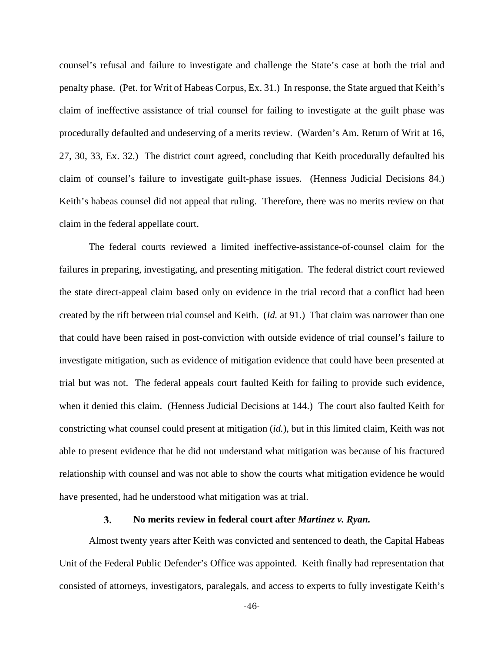counsel's refusal and failure to investigate and challenge the State's case at both the trial and penalty phase. (Pet. for Writ of Habeas Corpus, Ex. 31.) In response, the State argued that Keith's claim of ineffective assistance of trial counsel for failing to investigate at the guilt phase was procedurally defaulted and undeserving of a merits review. (Warden's Am. Return of Writ at 16, 27, 30, 33, Ex. 32.) The district court agreed, concluding that Keith procedurally defaulted his claim of counsel's failure to investigate guilt-phase issues. (Henness Judicial Decisions 84.) Keith's habeas counsel did not appeal that ruling. Therefore, there was no merits review on that claim in the federal appellate court.

The federal courts reviewed a limited ineffective-assistance-of-counsel claim for the failures in preparing, investigating, and presenting mitigation. The federal district court reviewed the state direct-appeal claim based only on evidence in the trial record that a conflict had been created by the rift between trial counsel and Keith. (*Id.* at 91.) That claim was narrower than one that could have been raised in post-conviction with outside evidence of trial counsel's failure to investigate mitigation, such as evidence of mitigation evidence that could have been presented at trial but was not. The federal appeals court faulted Keith for failing to provide such evidence, when it denied this claim. (Henness Judicial Decisions at 144.) The court also faulted Keith for constricting what counsel could present at mitigation (*id.*), but in this limited claim, Keith was not able to present evidence that he did not understand what mitigation was because of his fractured relationship with counsel and was not able to show the courts what mitigation evidence he would have presented, had he understood what mitigation was at trial.

### 3. **No merits review in federal court after** *Martinez v. Ryan.*

Almost twenty years after Keith was convicted and sentenced to death, the Capital Habeas Unit of the Federal Public Defender's Office was appointed. Keith finally had representation that consisted of attorneys, investigators, paralegals, and access to experts to fully investigate Keith's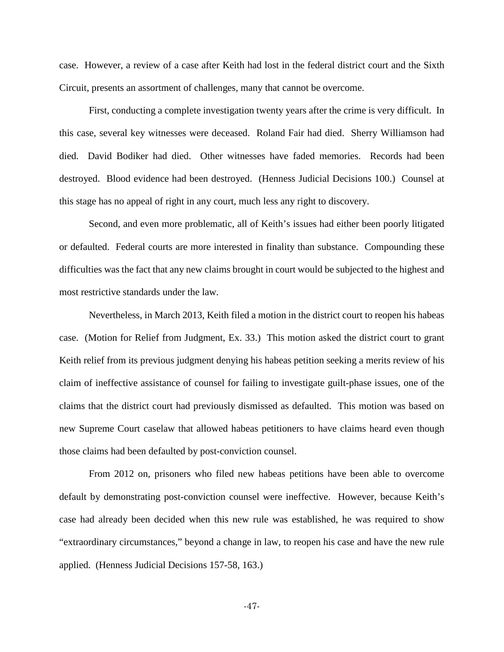case. However, a review of a case after Keith had lost in the federal district court and the Sixth Circuit, presents an assortment of challenges, many that cannot be overcome.

First, conducting a complete investigation twenty years after the crime is very difficult. In this case, several key witnesses were deceased. Roland Fair had died. Sherry Williamson had died. David Bodiker had died. Other witnesses have faded memories. Records had been destroyed. Blood evidence had been destroyed. (Henness Judicial Decisions 100.) Counsel at this stage has no appeal of right in any court, much less any right to discovery.

Second, and even more problematic, all of Keith's issues had either been poorly litigated or defaulted. Federal courts are more interested in finality than substance. Compounding these difficulties was the fact that any new claims brought in court would be subjected to the highest and most restrictive standards under the law.

Nevertheless, in March 2013, Keith filed a motion in the district court to reopen his habeas case. (Motion for Relief from Judgment, Ex. 33.) This motion asked the district court to grant Keith relief from its previous judgment denying his habeas petition seeking a merits review of his claim of ineffective assistance of counsel for failing to investigate guilt-phase issues, one of the claims that the district court had previously dismissed as defaulted. This motion was based on new Supreme Court caselaw that allowed habeas petitioners to have claims heard even though those claims had been defaulted by post-conviction counsel.

From 2012 on, prisoners who filed new habeas petitions have been able to overcome default by demonstrating post-conviction counsel were ineffective. However, because Keith's case had already been decided when this new rule was established, he was required to show "extraordinary circumstances," beyond a change in law, to reopen his case and have the new rule applied. (Henness Judicial Decisions 157-58, 163.)

-47-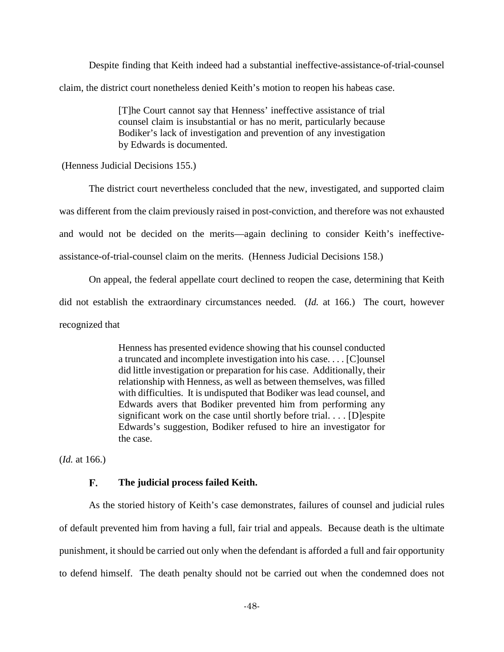Despite finding that Keith indeed had a substantial ineffective-assistance-of-trial-counsel claim, the district court nonetheless denied Keith's motion to reopen his habeas case.

> [T]he Court cannot say that Henness' ineffective assistance of trial counsel claim is insubstantial or has no merit, particularly because Bodiker's lack of investigation and prevention of any investigation by Edwards is documented.

(Henness Judicial Decisions 155.)

The district court nevertheless concluded that the new, investigated, and supported claim was different from the claim previously raised in post-conviction, and therefore was not exhausted and would not be decided on the merits—again declining to consider Keith's ineffectiveassistance-of-trial-counsel claim on the merits. (Henness Judicial Decisions 158.)

On appeal, the federal appellate court declined to reopen the case, determining that Keith did not establish the extraordinary circumstances needed. (*Id.* at 166.) The court, however recognized that

> Henness has presented evidence showing that his counsel conducted a truncated and incomplete investigation into his case. . . . [C]ounsel did little investigation or preparation for his case. Additionally, their relationship with Henness, as well as between themselves, was filled with difficulties. It is undisputed that Bodiker was lead counsel, and Edwards avers that Bodiker prevented him from performing any significant work on the case until shortly before trial. . . . [D]espite Edwards's suggestion, Bodiker refused to hire an investigator for the case.

(*Id.* at 166.)

### F. **The judicial process failed Keith.**

As the storied history of Keith's case demonstrates, failures of counsel and judicial rules of default prevented him from having a full, fair trial and appeals. Because death is the ultimate punishment, it should be carried out only when the defendant is afforded a full and fair opportunity to defend himself. The death penalty should not be carried out when the condemned does not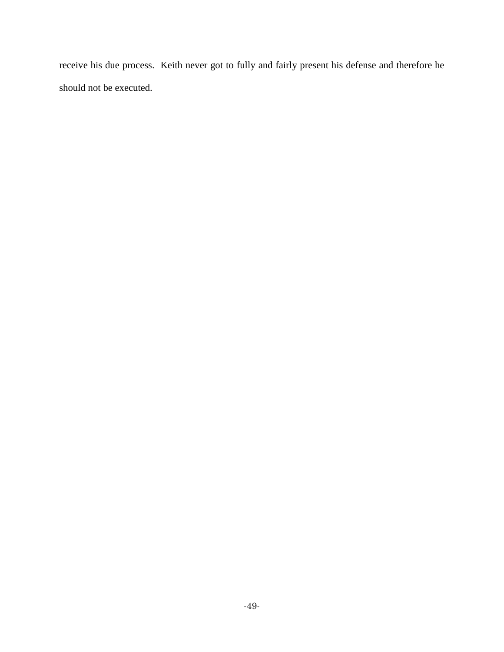receive his due process. Keith never got to fully and fairly present his defense and therefore he should not be executed.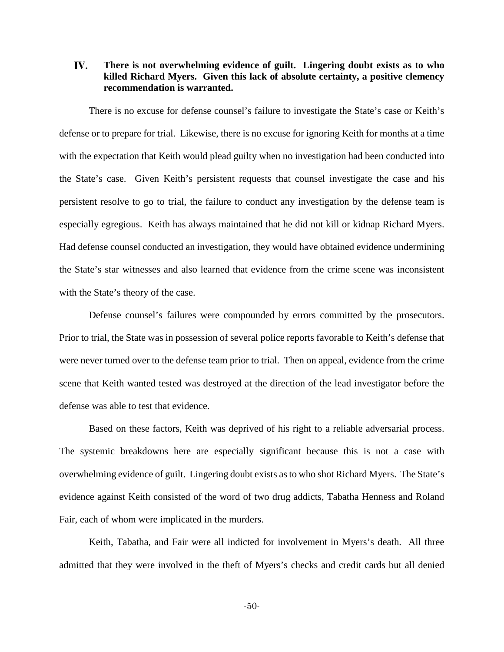## IV. **There is not overwhelming evidence of guilt. Lingering doubt exists as to who killed Richard Myers. Given this lack of absolute certainty, a positive clemency recommendation is warranted.**

There is no excuse for defense counsel's failure to investigate the State's case or Keith's defense or to prepare for trial. Likewise, there is no excuse for ignoring Keith for months at a time with the expectation that Keith would plead guilty when no investigation had been conducted into the State's case. Given Keith's persistent requests that counsel investigate the case and his persistent resolve to go to trial, the failure to conduct any investigation by the defense team is especially egregious. Keith has always maintained that he did not kill or kidnap Richard Myers. Had defense counsel conducted an investigation, they would have obtained evidence undermining the State's star witnesses and also learned that evidence from the crime scene was inconsistent with the State's theory of the case.

Defense counsel's failures were compounded by errors committed by the prosecutors. Prior to trial, the State was in possession of several police reports favorable to Keith's defense that were never turned over to the defense team prior to trial. Then on appeal, evidence from the crime scene that Keith wanted tested was destroyed at the direction of the lead investigator before the defense was able to test that evidence.

Based on these factors, Keith was deprived of his right to a reliable adversarial process. The systemic breakdowns here are especially significant because this is not a case with overwhelming evidence of guilt. Lingering doubt exists as to who shot Richard Myers. The State's evidence against Keith consisted of the word of two drug addicts, Tabatha Henness and Roland Fair, each of whom were implicated in the murders.

Keith, Tabatha, and Fair were all indicted for involvement in Myers's death. All three admitted that they were involved in the theft of Myers's checks and credit cards but all denied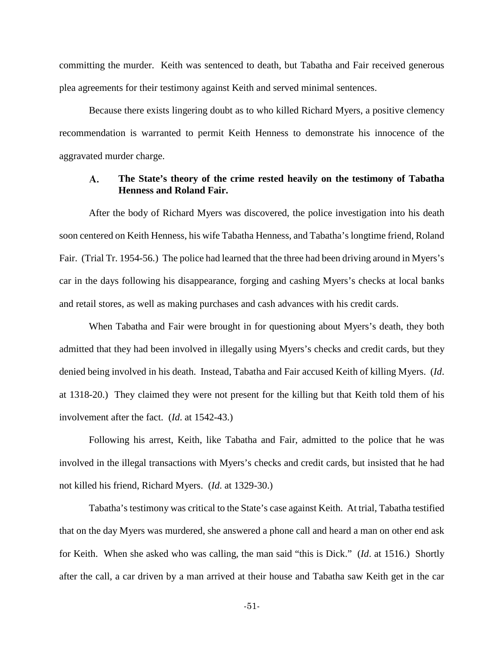committing the murder. Keith was sentenced to death, but Tabatha and Fair received generous plea agreements for their testimony against Keith and served minimal sentences.

Because there exists lingering doubt as to who killed Richard Myers, a positive clemency recommendation is warranted to permit Keith Henness to demonstrate his innocence of the aggravated murder charge.

### $\mathbf{A}$ . **The State's theory of the crime rested heavily on the testimony of Tabatha Henness and Roland Fair.**

After the body of Richard Myers was discovered, the police investigation into his death soon centered on Keith Henness, his wife Tabatha Henness, and Tabatha's longtime friend, Roland Fair. (Trial Tr. 1954-56.) The police had learned that the three had been driving around in Myers's car in the days following his disappearance, forging and cashing Myers's checks at local banks and retail stores, as well as making purchases and cash advances with his credit cards.

When Tabatha and Fair were brought in for questioning about Myers's death, they both admitted that they had been involved in illegally using Myers's checks and credit cards, but they denied being involved in his death. Instead, Tabatha and Fair accused Keith of killing Myers. (*Id*. at 1318-20.) They claimed they were not present for the killing but that Keith told them of his involvement after the fact. (*Id*. at 1542-43.)

Following his arrest, Keith, like Tabatha and Fair, admitted to the police that he was involved in the illegal transactions with Myers's checks and credit cards, but insisted that he had not killed his friend, Richard Myers. (*Id*. at 1329-30.)

Tabatha's testimony was critical to the State's case against Keith. At trial, Tabatha testified that on the day Myers was murdered, she answered a phone call and heard a man on other end ask for Keith. When she asked who was calling, the man said "this is Dick." (*Id*. at 1516.) Shortly after the call, a car driven by a man arrived at their house and Tabatha saw Keith get in the car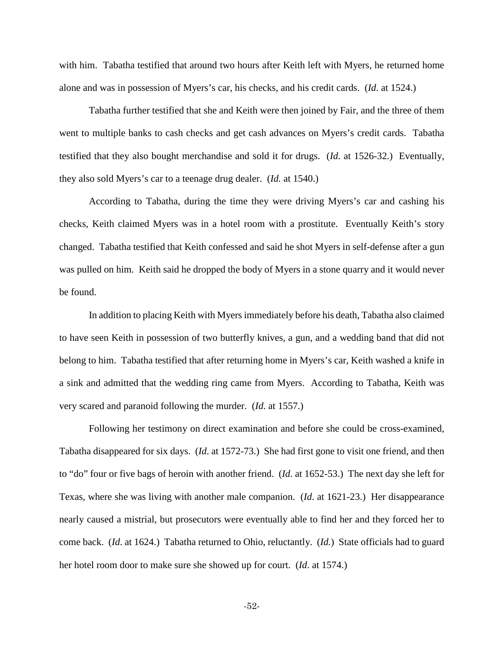with him. Tabatha testified that around two hours after Keith left with Myers, he returned home alone and was in possession of Myers's car, his checks, and his credit cards. (*Id*. at 1524.)

Tabatha further testified that she and Keith were then joined by Fair, and the three of them went to multiple banks to cash checks and get cash advances on Myers's credit cards. Tabatha testified that they also bought merchandise and sold it for drugs. (*Id*. at 1526-32.) Eventually, they also sold Myers's car to a teenage drug dealer. (*Id.* at 1540.)

According to Tabatha, during the time they were driving Myers's car and cashing his checks, Keith claimed Myers was in a hotel room with a prostitute. Eventually Keith's story changed. Tabatha testified that Keith confessed and said he shot Myers in self-defense after a gun was pulled on him. Keith said he dropped the body of Myers in a stone quarry and it would never be found.

In addition to placing Keith with Myers immediately before his death, Tabatha also claimed to have seen Keith in possession of two butterfly knives, a gun, and a wedding band that did not belong to him. Tabatha testified that after returning home in Myers's car, Keith washed a knife in a sink and admitted that the wedding ring came from Myers. According to Tabatha, Keith was very scared and paranoid following the murder. (*Id*. at 1557.)

Following her testimony on direct examination and before she could be cross-examined, Tabatha disappeared for six days. (*Id*. at 1572-73.) She had first gone to visit one friend, and then to "do" four or five bags of heroin with another friend. (*Id*. at 1652-53.) The next day she left for Texas, where she was living with another male companion. (*Id*. at 1621-23.) Her disappearance nearly caused a mistrial, but prosecutors were eventually able to find her and they forced her to come back. (*Id*. at 1624.) Tabatha returned to Ohio, reluctantly. (*Id.*) State officials had to guard her hotel room door to make sure she showed up for court. (*Id*. at 1574.)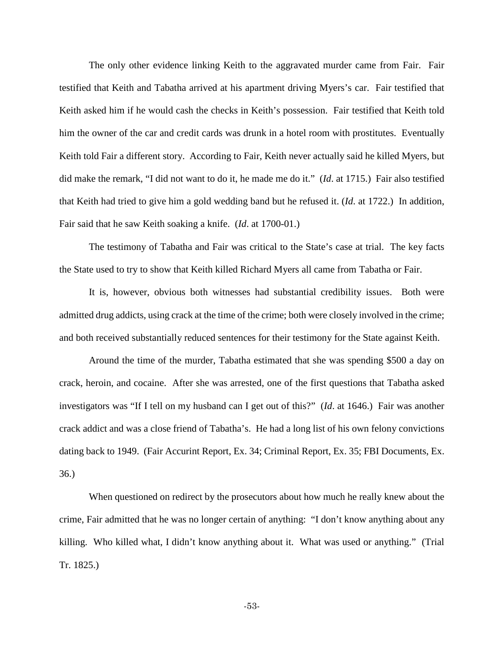The only other evidence linking Keith to the aggravated murder came from Fair. Fair testified that Keith and Tabatha arrived at his apartment driving Myers's car. Fair testified that Keith asked him if he would cash the checks in Keith's possession. Fair testified that Keith told him the owner of the car and credit cards was drunk in a hotel room with prostitutes. Eventually Keith told Fair a different story. According to Fair, Keith never actually said he killed Myers, but did make the remark, "I did not want to do it, he made me do it." (*Id*. at 1715.) Fair also testified that Keith had tried to give him a gold wedding band but he refused it. (*Id*. at 1722.) In addition, Fair said that he saw Keith soaking a knife. (*Id*. at 1700-01.)

The testimony of Tabatha and Fair was critical to the State's case at trial. The key facts the State used to try to show that Keith killed Richard Myers all came from Tabatha or Fair.

It is, however, obvious both witnesses had substantial credibility issues. Both were admitted drug addicts, using crack at the time of the crime; both were closely involved in the crime; and both received substantially reduced sentences for their testimony for the State against Keith.

Around the time of the murder, Tabatha estimated that she was spending \$500 a day on crack, heroin, and cocaine. After she was arrested, one of the first questions that Tabatha asked investigators was "If I tell on my husband can I get out of this?" (*Id*. at 1646.) Fair was another crack addict and was a close friend of Tabatha's. He had a long list of his own felony convictions dating back to 1949. (Fair Accurint Report, Ex. 34; Criminal Report, Ex. 35; FBI Documents, Ex. 36.)

When questioned on redirect by the prosecutors about how much he really knew about the crime, Fair admitted that he was no longer certain of anything: "I don't know anything about any killing. Who killed what, I didn't know anything about it. What was used or anything." (Trial Tr. 1825.)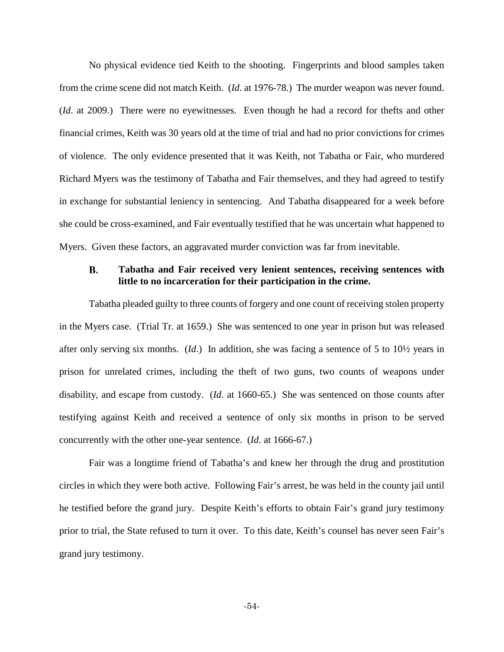No physical evidence tied Keith to the shooting. Fingerprints and blood samples taken from the crime scene did not match Keith. (*Id*. at 1976-78.) The murder weapon was never found. (*Id*. at 2009.) There were no eyewitnesses. Even though he had a record for thefts and other financial crimes, Keith was 30 years old at the time of trial and had no prior convictions for crimes of violence. The only evidence presented that it was Keith, not Tabatha or Fair, who murdered Richard Myers was the testimony of Tabatha and Fair themselves, and they had agreed to testify in exchange for substantial leniency in sentencing. And Tabatha disappeared for a week before she could be cross-examined, and Fair eventually testified that he was uncertain what happened to Myers. Given these factors, an aggravated murder conviction was far from inevitable.

### **Tabatha and Fair received very lenient sentences, receiving sentences with**  B. **little to no incarceration for their participation in the crime.**

Tabatha pleaded guilty to three counts of forgery and one count of receiving stolen property in the Myers case. (Trial Tr. at 1659.) She was sentenced to one year in prison but was released after only serving six months. (*Id*.) In addition, she was facing a sentence of 5 to 10½ years in prison for unrelated crimes, including the theft of two guns, two counts of weapons under disability, and escape from custody. (*Id*. at 1660-65.) She was sentenced on those counts after testifying against Keith and received a sentence of only six months in prison to be served concurrently with the other one-year sentence. (*Id*. at 1666-67.)

Fair was a longtime friend of Tabatha's and knew her through the drug and prostitution circles in which they were both active. Following Fair's arrest, he was held in the county jail until he testified before the grand jury. Despite Keith's efforts to obtain Fair's grand jury testimony prior to trial, the State refused to turn it over. To this date, Keith's counsel has never seen Fair's grand jury testimony.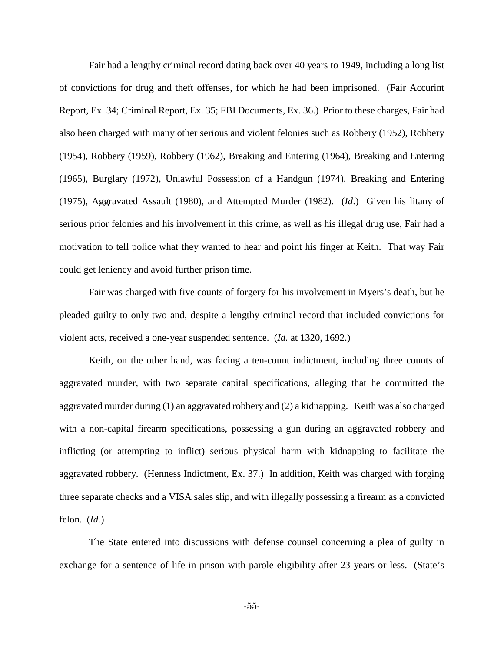Fair had a lengthy criminal record dating back over 40 years to 1949, including a long list of convictions for drug and theft offenses, for which he had been imprisoned. (Fair Accurint Report, Ex. 34; Criminal Report, Ex. 35; FBI Documents, Ex. 36.) Prior to these charges, Fair had also been charged with many other serious and violent felonies such as Robbery (1952), Robbery (1954), Robbery (1959), Robbery (1962), Breaking and Entering (1964), Breaking and Entering (1965), Burglary (1972), Unlawful Possession of a Handgun (1974), Breaking and Entering (1975), Aggravated Assault (1980), and Attempted Murder (1982). (*Id*.) Given his litany of serious prior felonies and his involvement in this crime, as well as his illegal drug use, Fair had a motivation to tell police what they wanted to hear and point his finger at Keith. That way Fair could get leniency and avoid further prison time.

Fair was charged with five counts of forgery for his involvement in Myers's death, but he pleaded guilty to only two and, despite a lengthy criminal record that included convictions for violent acts, received a one-year suspended sentence. (*Id.* at 1320, 1692.)

Keith, on the other hand, was facing a ten-count indictment, including three counts of aggravated murder, with two separate capital specifications, alleging that he committed the aggravated murder during (1) an aggravated robbery and (2) a kidnapping. Keith was also charged with a non-capital firearm specifications, possessing a gun during an aggravated robbery and inflicting (or attempting to inflict) serious physical harm with kidnapping to facilitate the aggravated robbery. (Henness Indictment, Ex. 37.) In addition, Keith was charged with forging three separate checks and a VISA sales slip, and with illegally possessing a firearm as a convicted felon. (*Id.*)

The State entered into discussions with defense counsel concerning a plea of guilty in exchange for a sentence of life in prison with parole eligibility after 23 years or less. (State's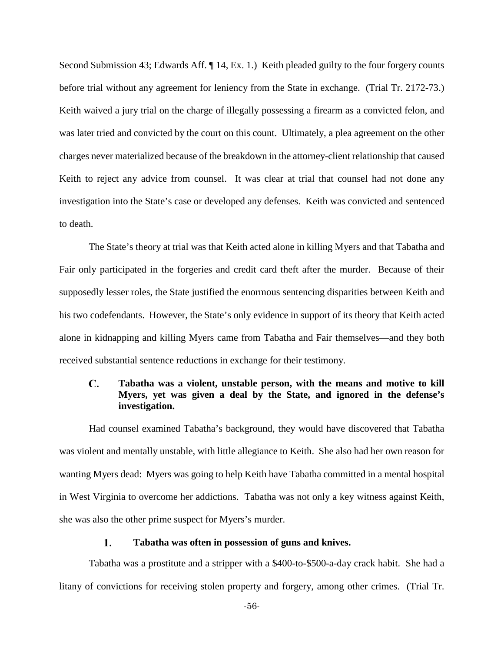Second Submission 43; Edwards Aff. ¶ 14, Ex. 1.) Keith pleaded guilty to the four forgery counts before trial without any agreement for leniency from the State in exchange. (Trial Tr. 2172-73.) Keith waived a jury trial on the charge of illegally possessing a firearm as a convicted felon, and was later tried and convicted by the court on this count. Ultimately, a plea agreement on the other charges never materialized because of the breakdown in the attorney-client relationship that caused Keith to reject any advice from counsel. It was clear at trial that counsel had not done any investigation into the State's case or developed any defenses. Keith was convicted and sentenced to death.

The State's theory at trial was that Keith acted alone in killing Myers and that Tabatha and Fair only participated in the forgeries and credit card theft after the murder. Because of their supposedly lesser roles, the State justified the enormous sentencing disparities between Keith and his two codefendants. However, the State's only evidence in support of its theory that Keith acted alone in kidnapping and killing Myers came from Tabatha and Fair themselves—and they both received substantial sentence reductions in exchange for their testimony.

## C. **Tabatha was a violent, unstable person, with the means and motive to kill Myers, yet was given a deal by the State, and ignored in the defense's investigation.**

Had counsel examined Tabatha's background, they would have discovered that Tabatha was violent and mentally unstable, with little allegiance to Keith. She also had her own reason for wanting Myers dead: Myers was going to help Keith have Tabatha committed in a mental hospital in West Virginia to overcome her addictions. Tabatha was not only a key witness against Keith, she was also the other prime suspect for Myers's murder.

### 1. **Tabatha was often in possession of guns and knives.**

Tabatha was a prostitute and a stripper with a \$400-to-\$500-a-day crack habit. She had a litany of convictions for receiving stolen property and forgery, among other crimes. (Trial Tr.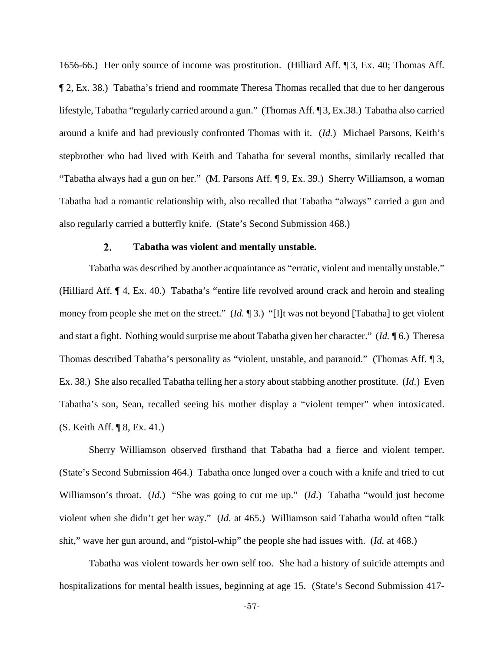1656-66.) Her only source of income was prostitution. (Hilliard Aff. ¶ 3, Ex. 40; Thomas Aff. ¶ 2, Ex. 38.) Tabatha's friend and roommate Theresa Thomas recalled that due to her dangerous lifestyle, Tabatha "regularly carried around a gun." (Thomas Aff. ¶ 3, Ex.38.) Tabatha also carried around a knife and had previously confronted Thomas with it. (*Id.*) Michael Parsons, Keith's stepbrother who had lived with Keith and Tabatha for several months, similarly recalled that "Tabatha always had a gun on her." (M. Parsons Aff. ¶ 9, Ex. 39.) Sherry Williamson, a woman Tabatha had a romantic relationship with, also recalled that Tabatha "always" carried a gun and also regularly carried a butterfly knife. (State's Second Submission 468.)

#### $\overline{2}$ . **Tabatha was violent and mentally unstable.**

Tabatha was described by another acquaintance as "erratic, violent and mentally unstable." (Hilliard Aff. ¶ 4, Ex. 40.) Tabatha's "entire life revolved around crack and heroin and stealing money from people she met on the street." (*Id.* ¶ 3.) "[I]t was not beyond [Tabatha] to get violent and start a fight. Nothing would surprise me about Tabatha given her character." (*Id. ¶* 6.) Theresa Thomas described Tabatha's personality as "violent, unstable, and paranoid." (Thomas Aff. ¶ 3, Ex. 38.) She also recalled Tabatha telling her a story about stabbing another prostitute. (*Id*.) Even Tabatha's son, Sean, recalled seeing his mother display a "violent temper" when intoxicated. (S. Keith Aff. ¶ 8, Ex. 41.)

Sherry Williamson observed firsthand that Tabatha had a fierce and violent temper. (State's Second Submission 464.) Tabatha once lunged over a couch with a knife and tried to cut Williamson's throat. (*Id.*) "She was going to cut me up." (*Id.*) Tabatha "would just become violent when she didn't get her way." (*Id*. at 465.) Williamson said Tabatha would often "talk shit," wave her gun around, and "pistol-whip" the people she had issues with. (*Id.* at 468.)

Tabatha was violent towards her own self too. She had a history of suicide attempts and hospitalizations for mental health issues, beginning at age 15. (State's Second Submission 417-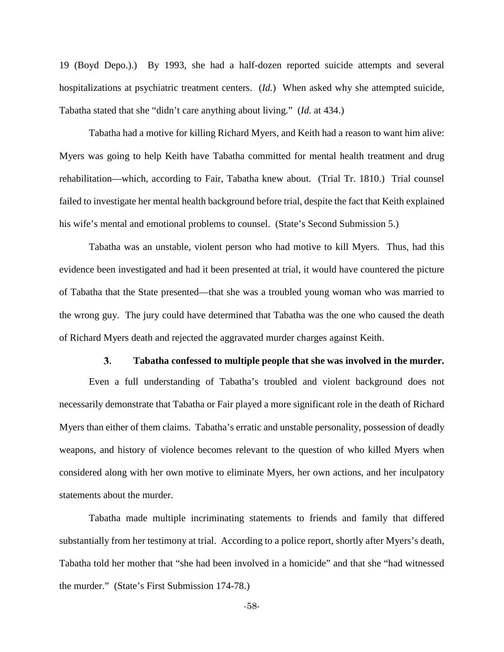19 (Boyd Depo.).) By 1993, she had a half-dozen reported suicide attempts and several hospitalizations at psychiatric treatment centers. (*Id.*)When asked why she attempted suicide, Tabatha stated that she "didn't care anything about living." (*Id.* at 434.)

Tabatha had a motive for killing Richard Myers, and Keith had a reason to want him alive: Myers was going to help Keith have Tabatha committed for mental health treatment and drug rehabilitation—which, according to Fair, Tabatha knew about. (Trial Tr. 1810.) Trial counsel failed to investigate her mental health background before trial, despite the fact that Keith explained his wife's mental and emotional problems to counsel. (State's Second Submission 5.)

Tabatha was an unstable, violent person who had motive to kill Myers. Thus, had this evidence been investigated and had it been presented at trial, it would have countered the picture of Tabatha that the State presented—that she was a troubled young woman who was married to the wrong guy. The jury could have determined that Tabatha was the one who caused the death of Richard Myers death and rejected the aggravated murder charges against Keith.

#### 3. **Tabatha confessed to multiple people that she was involved in the murder.**

Even a full understanding of Tabatha's troubled and violent background does not necessarily demonstrate that Tabatha or Fair played a more significant role in the death of Richard Myers than either of them claims. Tabatha's erratic and unstable personality, possession of deadly weapons, and history of violence becomes relevant to the question of who killed Myers when considered along with her own motive to eliminate Myers, her own actions, and her inculpatory statements about the murder.

Tabatha made multiple incriminating statements to friends and family that differed substantially from her testimony at trial. According to a police report, shortly after Myers's death, Tabatha told her mother that "she had been involved in a homicide" and that she "had witnessed the murder." (State's First Submission 174-78.)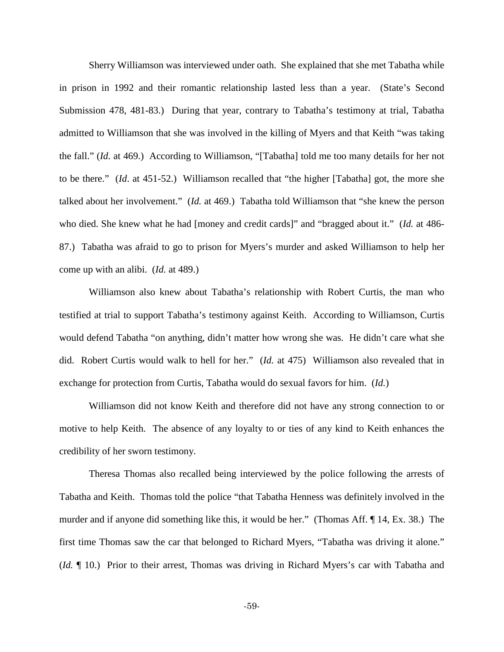Sherry Williamson was interviewed under oath. She explained that she met Tabatha while in prison in 1992 and their romantic relationship lasted less than a year. (State's Second Submission 478, 481-83.) During that year, contrary to Tabatha's testimony at trial, Tabatha admitted to Williamson that she was involved in the killing of Myers and that Keith "was taking the fall." (*Id.* at 469.) According to Williamson, "[Tabatha] told me too many details for her not to be there." (*Id*. at 451-52.) Williamson recalled that "the higher [Tabatha] got, the more she talked about her involvement." (*Id.* at 469.) Tabatha told Williamson that "she knew the person who died. She knew what he had [money and credit cards]" and "bragged about it." (*Id.* at 486- 87.) Tabatha was afraid to go to prison for Myers's murder and asked Williamson to help her come up with an alibi. (*Id.* at 489.)

Williamson also knew about Tabatha's relationship with Robert Curtis, the man who testified at trial to support Tabatha's testimony against Keith. According to Williamson, Curtis would defend Tabatha "on anything, didn't matter how wrong she was. He didn't care what she did. Robert Curtis would walk to hell for her." (*Id.* at 475) Williamson also revealed that in exchange for protection from Curtis, Tabatha would do sexual favors for him. (*Id.*)

Williamson did not know Keith and therefore did not have any strong connection to or motive to help Keith. The absence of any loyalty to or ties of any kind to Keith enhances the credibility of her sworn testimony.

Theresa Thomas also recalled being interviewed by the police following the arrests of Tabatha and Keith. Thomas told the police "that Tabatha Henness was definitely involved in the murder and if anyone did something like this, it would be her." (Thomas Aff. ¶ 14, Ex. 38.) The first time Thomas saw the car that belonged to Richard Myers, "Tabatha was driving it alone." (*Id.* ¶ 10.) Prior to their arrest, Thomas was driving in Richard Myers's car with Tabatha and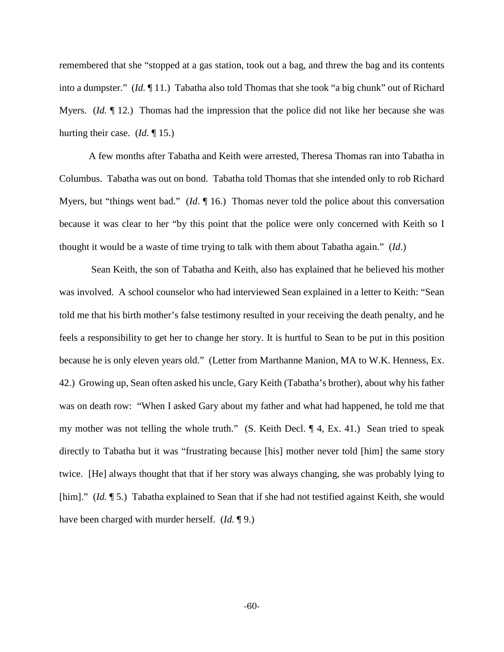remembered that she "stopped at a gas station, took out a bag, and threw the bag and its contents into a dumpster." (*Id.* ¶ 11.) Tabatha also told Thomas that she took "a big chunk" out of Richard Myers. *(Id.* 12.) Thomas had the impression that the police did not like her because she was hurting their case. (*Id.* ¶ 15.)

A few months after Tabatha and Keith were arrested, Theresa Thomas ran into Tabatha in Columbus. Tabatha was out on bond. Tabatha told Thomas that she intended only to rob Richard Myers, but "things went bad." (*Id.* 16.) Thomas never told the police about this conversation because it was clear to her "by this point that the police were only concerned with Keith so I thought it would be a waste of time trying to talk with them about Tabatha again." (*Id*.)

Sean Keith, the son of Tabatha and Keith, also has explained that he believed his mother was involved. A school counselor who had interviewed Sean explained in a letter to Keith: "Sean told me that his birth mother's false testimony resulted in your receiving the death penalty, and he feels a responsibility to get her to change her story. It is hurtful to Sean to be put in this position because he is only eleven years old." (Letter from Marthanne Manion, MA to W.K. Henness, Ex. 42.) Growing up, Sean often asked his uncle, Gary Keith (Tabatha's brother), about why his father was on death row: "When I asked Gary about my father and what had happened, he told me that my mother was not telling the whole truth." (S. Keith Decl. ¶ 4, Ex. 41.) Sean tried to speak directly to Tabatha but it was "frustrating because [his] mother never told [him] the same story twice. [He] always thought that that if her story was always changing, she was probably lying to [him]." (*Id.* 15.) Tabatha explained to Sean that if she had not testified against Keith, she would have been charged with murder herself. (*Id.* ¶ 9.)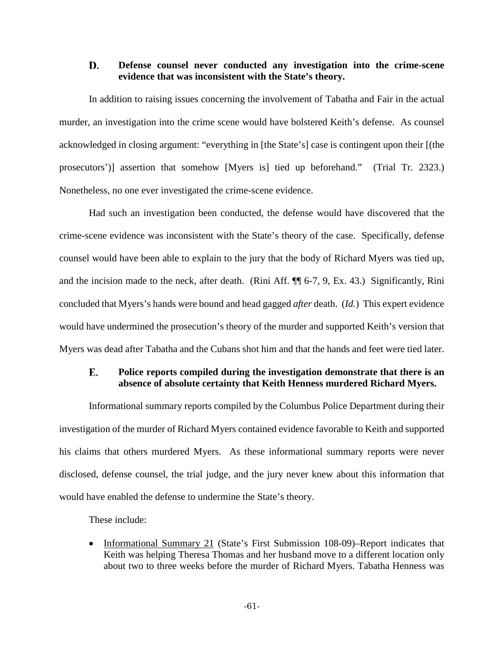### D. **Defense counsel never conducted any investigation into the crime-scene evidence that was inconsistent with the State's theory.**

In addition to raising issues concerning the involvement of Tabatha and Fair in the actual murder, an investigation into the crime scene would have bolstered Keith's defense. As counsel acknowledged in closing argument: "everything in [the State's] case is contingent upon their [(the prosecutors')] assertion that somehow [Myers is] tied up beforehand." (Trial Tr. 2323.) Nonetheless, no one ever investigated the crime-scene evidence.

Had such an investigation been conducted, the defense would have discovered that the crime-scene evidence was inconsistent with the State's theory of the case. Specifically, defense counsel would have been able to explain to the jury that the body of Richard Myers was tied up, and the incision made to the neck, after death. (Rini Aff. ¶¶ 6-7, 9, Ex. 43.) Significantly, Rini concluded that Myers's hands were bound and head gagged *after* death. (*Id.*) This expert evidence would have undermined the prosecution's theory of the murder and supported Keith's version that Myers was dead after Tabatha and the Cubans shot him and that the hands and feet were tied later.

## E. **Police reports compiled during the investigation demonstrate that there is an absence of absolute certainty that Keith Henness murdered Richard Myers.**

Informational summary reports compiled by the Columbus Police Department during their investigation of the murder of Richard Myers contained evidence favorable to Keith and supported his claims that others murdered Myers. As these informational summary reports were never disclosed, defense counsel, the trial judge, and the jury never knew about this information that would have enabled the defense to undermine the State's theory.

These include:

• Informational Summary 21 (State's First Submission 108-09)–Report indicates that Keith was helping Theresa Thomas and her husband move to a different location only about two to three weeks before the murder of Richard Myers. Tabatha Henness was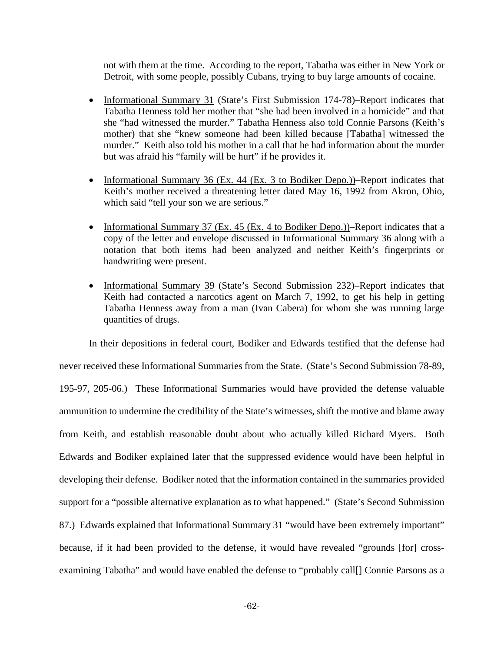not with them at the time. According to the report, Tabatha was either in New York or Detroit, with some people, possibly Cubans, trying to buy large amounts of cocaine.

- Informational Summary 31 (State's First Submission 174-78)–Report indicates that Tabatha Henness told her mother that "she had been involved in a homicide" and that she "had witnessed the murder." Tabatha Henness also told Connie Parsons (Keith's mother) that she "knew someone had been killed because [Tabatha] witnessed the murder." Keith also told his mother in a call that he had information about the murder but was afraid his "family will be hurt" if he provides it.
- Informational Summary 36 (Ex. 44 (Ex. 3 to Bodiker Depo.))–Report indicates that Keith's mother received a threatening letter dated May 16, 1992 from Akron, Ohio, which said "tell your son we are serious."
- Informational Summary 37 (Ex. 45 (Ex. 4 to Bodiker Depo.))–Report indicates that a copy of the letter and envelope discussed in Informational Summary 36 along with a notation that both items had been analyzed and neither Keith's fingerprints or handwriting were present.
- Informational Summary 39 (State's Second Submission 232)–Report indicates that Keith had contacted a narcotics agent on March 7, 1992, to get his help in getting Tabatha Henness away from a man (Ivan Cabera) for whom she was running large quantities of drugs.

In their depositions in federal court, Bodiker and Edwards testified that the defense had never received these Informational Summaries from the State. (State's Second Submission 78-89, 195-97, 205-06.) These Informational Summaries would have provided the defense valuable ammunition to undermine the credibility of the State's witnesses, shift the motive and blame away from Keith, and establish reasonable doubt about who actually killed Richard Myers. Both Edwards and Bodiker explained later that the suppressed evidence would have been helpful in developing their defense. Bodiker noted that the information contained in the summaries provided support for a "possible alternative explanation as to what happened." (State's Second Submission 87.) Edwards explained that Informational Summary 31 "would have been extremely important" because, if it had been provided to the defense, it would have revealed "grounds [for] crossexamining Tabatha" and would have enabled the defense to "probably call[] Connie Parsons as a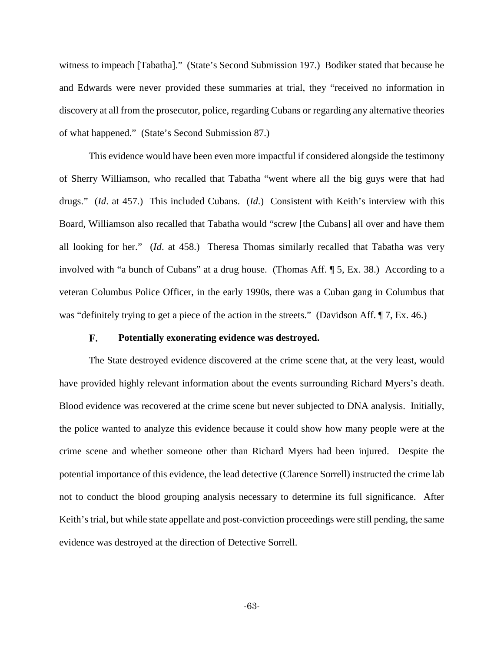witness to impeach [Tabatha]." (State's Second Submission 197.) Bodiker stated that because he and Edwards were never provided these summaries at trial, they "received no information in discovery at all from the prosecutor, police, regarding Cubans or regarding any alternative theories of what happened." (State's Second Submission 87.)

This evidence would have been even more impactful if considered alongside the testimony of Sherry Williamson, who recalled that Tabatha "went where all the big guys were that had drugs." (*Id*. at 457.) This included Cubans. (*Id*.) Consistent with Keith's interview with this Board, Williamson also recalled that Tabatha would "screw [the Cubans] all over and have them all looking for her." (*Id*. at 458.) Theresa Thomas similarly recalled that Tabatha was very involved with "a bunch of Cubans" at a drug house. (Thomas Aff. ¶ 5, Ex. 38.) According to a veteran Columbus Police Officer, in the early 1990s, there was a Cuban gang in Columbus that was "definitely trying to get a piece of the action in the streets." (Davidson Aff. ¶ 7, Ex. 46.)

#### F. **Potentially exonerating evidence was destroyed.**

The State destroyed evidence discovered at the crime scene that, at the very least, would have provided highly relevant information about the events surrounding Richard Myers's death. Blood evidence was recovered at the crime scene but never subjected to DNA analysis. Initially, the police wanted to analyze this evidence because it could show how many people were at the crime scene and whether someone other than Richard Myers had been injured. Despite the potential importance of this evidence, the lead detective (Clarence Sorrell) instructed the crime lab not to conduct the blood grouping analysis necessary to determine its full significance. After Keith's trial, but while state appellate and post-conviction proceedings were still pending, the same evidence was destroyed at the direction of Detective Sorrell.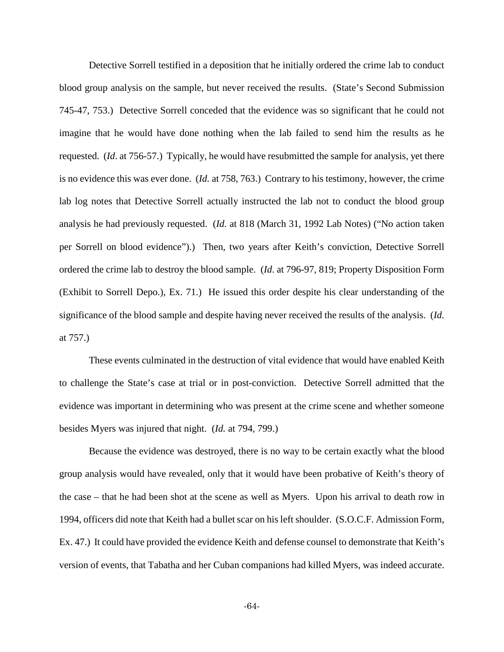Detective Sorrell testified in a deposition that he initially ordered the crime lab to conduct blood group analysis on the sample, but never received the results. (State's Second Submission 745-47, 753.) Detective Sorrell conceded that the evidence was so significant that he could not imagine that he would have done nothing when the lab failed to send him the results as he requested. (*Id*. at 756-57.) Typically, he would have resubmitted the sample for analysis, yet there is no evidence this was ever done. (*Id.* at 758, 763.) Contrary to his testimony, however, the crime lab log notes that Detective Sorrell actually instructed the lab not to conduct the blood group analysis he had previously requested. (*Id.* at 818 (March 31, 1992 Lab Notes) ("No action taken per Sorrell on blood evidence").) Then, two years after Keith's conviction, Detective Sorrell ordered the crime lab to destroy the blood sample. (*Id*. at 796-97, 819; Property Disposition Form (Exhibit to Sorrell Depo.), Ex. 71.) He issued this order despite his clear understanding of the significance of the blood sample and despite having never received the results of the analysis. (*Id.*  at 757.)

These events culminated in the destruction of vital evidence that would have enabled Keith to challenge the State's case at trial or in post-conviction. Detective Sorrell admitted that the evidence was important in determining who was present at the crime scene and whether someone besides Myers was injured that night. (*Id.* at 794, 799.)

Because the evidence was destroyed, there is no way to be certain exactly what the blood group analysis would have revealed, only that it would have been probative of Keith's theory of the case – that he had been shot at the scene as well as Myers. Upon his arrival to death row in 1994, officers did note that Keith had a bullet scar on his left shoulder. (S.O.C.F. Admission Form, Ex. 47.) It could have provided the evidence Keith and defense counsel to demonstrate that Keith's version of events, that Tabatha and her Cuban companions had killed Myers, was indeed accurate.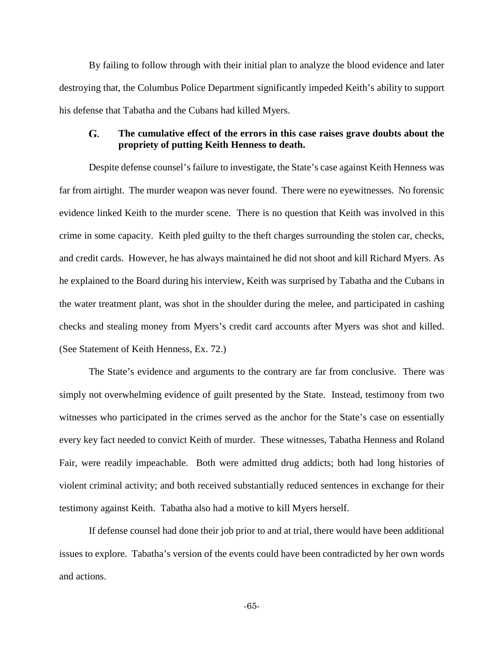By failing to follow through with their initial plan to analyze the blood evidence and later destroying that, the Columbus Police Department significantly impeded Keith's ability to support his defense that Tabatha and the Cubans had killed Myers.

## G. **The cumulative effect of the errors in this case raises grave doubts about the propriety of putting Keith Henness to death.**

Despite defense counsel's failure to investigate, the State's case against Keith Henness was far from airtight. The murder weapon was never found. There were no eyewitnesses. No forensic evidence linked Keith to the murder scene. There is no question that Keith was involved in this crime in some capacity. Keith pled guilty to the theft charges surrounding the stolen car, checks, and credit cards. However, he has always maintained he did not shoot and kill Richard Myers. As he explained to the Board during his interview, Keith was surprised by Tabatha and the Cubans in the water treatment plant, was shot in the shoulder during the melee, and participated in cashing checks and stealing money from Myers's credit card accounts after Myers was shot and killed. (See Statement of Keith Henness, Ex. 72.)

The State's evidence and arguments to the contrary are far from conclusive. There was simply not overwhelming evidence of guilt presented by the State. Instead, testimony from two witnesses who participated in the crimes served as the anchor for the State's case on essentially every key fact needed to convict Keith of murder. These witnesses, Tabatha Henness and Roland Fair, were readily impeachable. Both were admitted drug addicts; both had long histories of violent criminal activity; and both received substantially reduced sentences in exchange for their testimony against Keith. Tabatha also had a motive to kill Myers herself.

If defense counsel had done their job prior to and at trial, there would have been additional issues to explore. Tabatha's version of the events could have been contradicted by her own words and actions.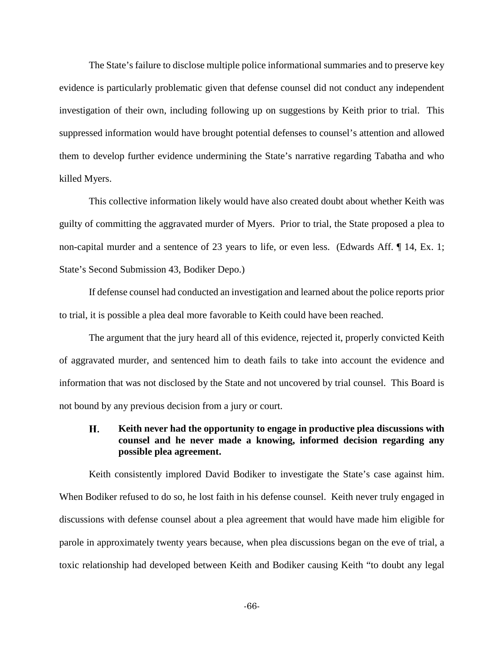The State's failure to disclose multiple police informational summaries and to preserve key evidence is particularly problematic given that defense counsel did not conduct any independent investigation of their own, including following up on suggestions by Keith prior to trial. This suppressed information would have brought potential defenses to counsel's attention and allowed them to develop further evidence undermining the State's narrative regarding Tabatha and who killed Myers.

This collective information likely would have also created doubt about whether Keith was guilty of committing the aggravated murder of Myers. Prior to trial, the State proposed a plea to non-capital murder and a sentence of 23 years to life, or even less. (Edwards Aff. ¶ 14, Ex. 1; State's Second Submission 43, Bodiker Depo.)

If defense counsel had conducted an investigation and learned about the police reports prior to trial, it is possible a plea deal more favorable to Keith could have been reached.

The argument that the jury heard all of this evidence, rejected it, properly convicted Keith of aggravated murder, and sentenced him to death fails to take into account the evidence and information that was not disclosed by the State and not uncovered by trial counsel. This Board is not bound by any previous decision from a jury or court.

## Н. **Keith never had the opportunity to engage in productive plea discussions with counsel and he never made a knowing, informed decision regarding any possible plea agreement.**

Keith consistently implored David Bodiker to investigate the State's case against him. When Bodiker refused to do so, he lost faith in his defense counsel. Keith never truly engaged in discussions with defense counsel about a plea agreement that would have made him eligible for parole in approximately twenty years because, when plea discussions began on the eve of trial, a toxic relationship had developed between Keith and Bodiker causing Keith "to doubt any legal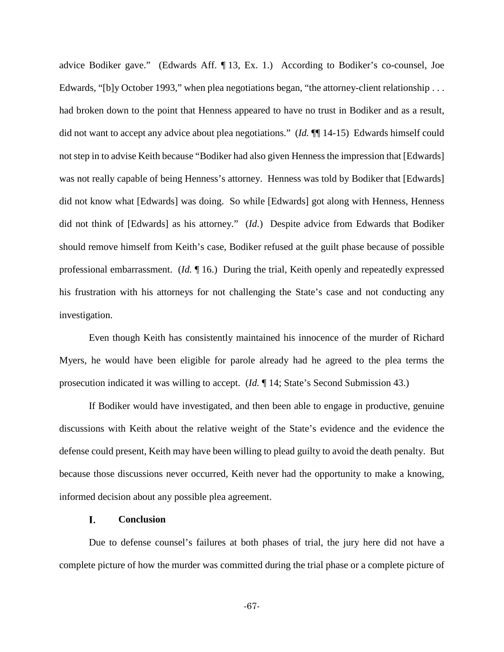advice Bodiker gave." (Edwards Aff. ¶ 13, Ex. 1.) According to Bodiker's co-counsel, Joe Edwards, "[b]y October 1993," when plea negotiations began, "the attorney-client relationship . . . had broken down to the point that Henness appeared to have no trust in Bodiker and as a result, did not want to accept any advice about plea negotiations." (*Id.* ¶¶ 14-15) Edwards himself could not step in to advise Keith because "Bodiker had also given Henness the impression that [Edwards] was not really capable of being Henness's attorney. Henness was told by Bodiker that [Edwards] did not know what [Edwards] was doing. So while [Edwards] got along with Henness, Henness did not think of [Edwards] as his attorney." (*Id.*) Despite advice from Edwards that Bodiker should remove himself from Keith's case, Bodiker refused at the guilt phase because of possible professional embarrassment. (*Id.* ¶ 16.) During the trial, Keith openly and repeatedly expressed his frustration with his attorneys for not challenging the State's case and not conducting any investigation.

Even though Keith has consistently maintained his innocence of the murder of Richard Myers, he would have been eligible for parole already had he agreed to the plea terms the prosecution indicated it was willing to accept. (*Id.* ¶ 14; State's Second Submission 43.)

If Bodiker would have investigated, and then been able to engage in productive, genuine discussions with Keith about the relative weight of the State's evidence and the evidence the defense could present, Keith may have been willing to plead guilty to avoid the death penalty. But because those discussions never occurred, Keith never had the opportunity to make a knowing, informed decision about any possible plea agreement.

#### I. **Conclusion**

Due to defense counsel's failures at both phases of trial, the jury here did not have a complete picture of how the murder was committed during the trial phase or a complete picture of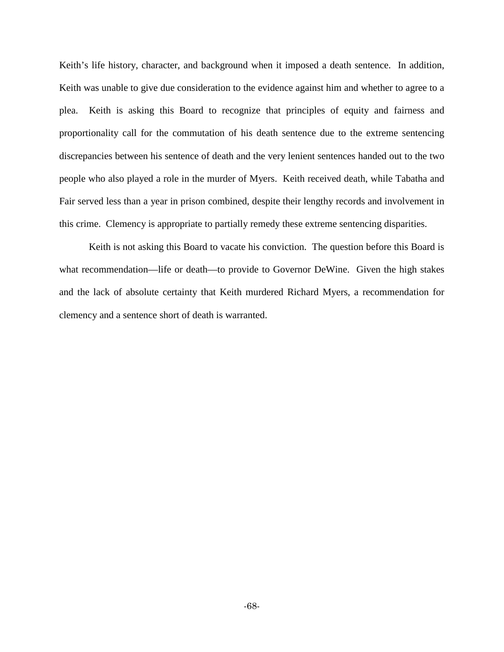Keith's life history, character, and background when it imposed a death sentence. In addition, Keith was unable to give due consideration to the evidence against him and whether to agree to a plea. Keith is asking this Board to recognize that principles of equity and fairness and proportionality call for the commutation of his death sentence due to the extreme sentencing discrepancies between his sentence of death and the very lenient sentences handed out to the two people who also played a role in the murder of Myers. Keith received death, while Tabatha and Fair served less than a year in prison combined, despite their lengthy records and involvement in this crime. Clemency is appropriate to partially remedy these extreme sentencing disparities.

Keith is not asking this Board to vacate his conviction. The question before this Board is what recommendation—life or death—to provide to Governor DeWine. Given the high stakes and the lack of absolute certainty that Keith murdered Richard Myers, a recommendation for clemency and a sentence short of death is warranted.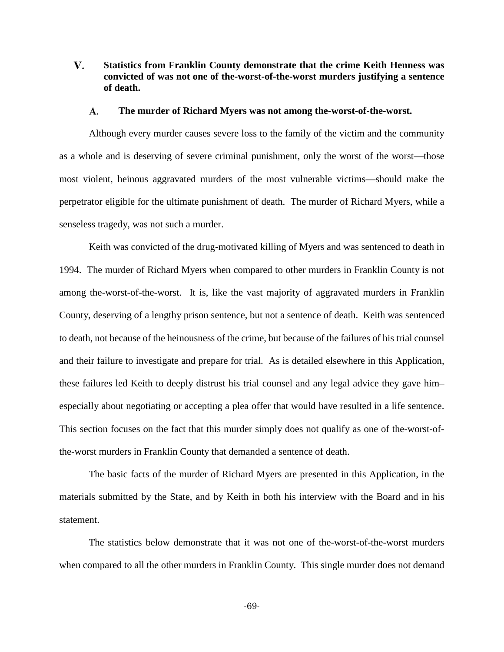V. **Statistics from Franklin County demonstrate that the crime Keith Henness was convicted of was not one of the-worst-of-the-worst murders justifying a sentence of death.**

#### A. **The murder of Richard Myers was not among the-worst-of-the-worst.**

Although every murder causes severe loss to the family of the victim and the community as a whole and is deserving of severe criminal punishment, only the worst of the worst—those most violent, heinous aggravated murders of the most vulnerable victims—should make the perpetrator eligible for the ultimate punishment of death. The murder of Richard Myers, while a senseless tragedy, was not such a murder.

Keith was convicted of the drug-motivated killing of Myers and was sentenced to death in 1994. The murder of Richard Myers when compared to other murders in Franklin County is not among the-worst-of-the-worst. It is, like the vast majority of aggravated murders in Franklin County, deserving of a lengthy prison sentence, but not a sentence of death. Keith was sentenced to death, not because of the heinousness of the crime, but because of the failures of his trial counsel and their failure to investigate and prepare for trial. As is detailed elsewhere in this Application, these failures led Keith to deeply distrust his trial counsel and any legal advice they gave him– especially about negotiating or accepting a plea offer that would have resulted in a life sentence. This section focuses on the fact that this murder simply does not qualify as one of the-worst-ofthe-worst murders in Franklin County that demanded a sentence of death.

The basic facts of the murder of Richard Myers are presented in this Application, in the materials submitted by the State, and by Keith in both his interview with the Board and in his statement.

The statistics below demonstrate that it was not one of the-worst-of-the-worst murders when compared to all the other murders in Franklin County. This single murder does not demand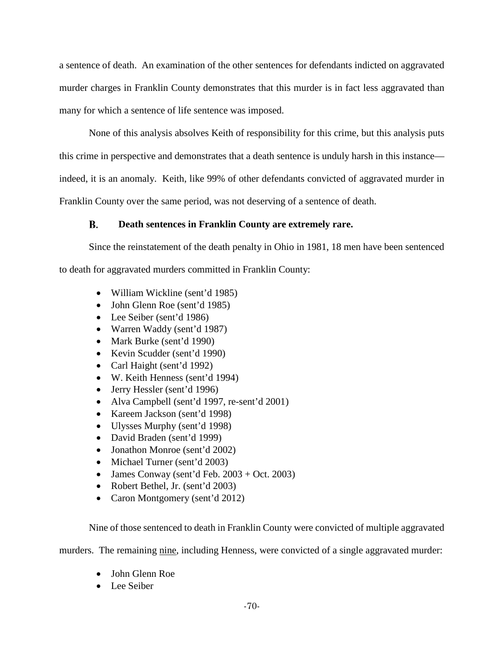a sentence of death. An examination of the other sentences for defendants indicted on aggravated murder charges in Franklin County demonstrates that this murder is in fact less aggravated than many for which a sentence of life sentence was imposed.

None of this analysis absolves Keith of responsibility for this crime, but this analysis puts this crime in perspective and demonstrates that a death sentence is unduly harsh in this instance indeed, it is an anomaly. Keith, like 99% of other defendants convicted of aggravated murder in Franklin County over the same period, was not deserving of a sentence of death.

### **Death sentences in Franklin County are extremely rare.** В.

Since the reinstatement of the death penalty in Ohio in 1981, 18 men have been sentenced to death for aggravated murders committed in Franklin County:

- William Wickline (sent'd 1985)
- John Glenn Roe (sent'd 1985)
- Lee Seiber (sent'd 1986)
- Warren Waddy (sent'd 1987)
- Mark Burke (sent'd 1990)
- Kevin Scudder (sent'd 1990)
- Carl Haight (sent'd 1992)
- W. Keith Henness (sent'd 1994)
- Jerry Hessler (sent'd 1996)
- Alva Campbell (sent'd 1997, re-sent'd 2001)
- Kareem Jackson (sent'd 1998)
- Ulysses Murphy (sent'd 1998)
- David Braden (sent'd 1999)
- Jonathon Monroe (sent'd 2002)
- Michael Turner (sent'd 2003)
- James Conway (sent'd Feb.  $2003 + Oct. 2003$ )
- Robert Bethel, Jr. (sent'd 2003)
- Caron Montgomery (sent'd 2012)

Nine of those sentenced to death in Franklin County were convicted of multiple aggravated

murders. The remaining nine, including Henness, were convicted of a single aggravated murder:

- John Glenn Roe
- Lee Seiber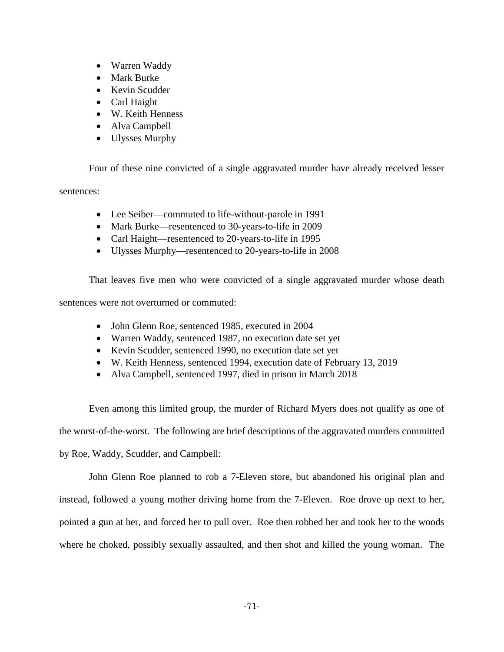- Warren Waddy
- Mark Burke
- Kevin Scudder
- Carl Haight
- W. Keith Henness
- Alva Campbell
- Ulysses Murphy

Four of these nine convicted of a single aggravated murder have already received lesser

sentences:

- Lee Seiber—commuted to life-without-parole in 1991
- Mark Burke—resentenced to 30-years-to-life in 2009
- Carl Haight—resentenced to 20-years-to-life in 1995
- Ulysses Murphy—resentenced to 20-years-to-life in 2008

That leaves five men who were convicted of a single aggravated murder whose death

sentences were not overturned or commuted:

- John Glenn Roe, sentenced 1985, executed in 2004
- Warren Waddy, sentenced 1987, no execution date set yet
- Kevin Scudder, sentenced 1990, no execution date set yet
- W. Keith Henness, sentenced 1994, execution date of February 13, 2019
- Alva Campbell, sentenced 1997, died in prison in March 2018

Even among this limited group, the murder of Richard Myers does not qualify as one of the worst-of-the-worst. The following are brief descriptions of the aggravated murders committed by Roe, Waddy, Scudder, and Campbell:

John Glenn Roe planned to rob a 7-Eleven store, but abandoned his original plan and instead, followed a young mother driving home from the 7-Eleven. Roe drove up next to her, pointed a gun at her, and forced her to pull over. Roe then robbed her and took her to the woods where he choked, possibly sexually assaulted, and then shot and killed the young woman. The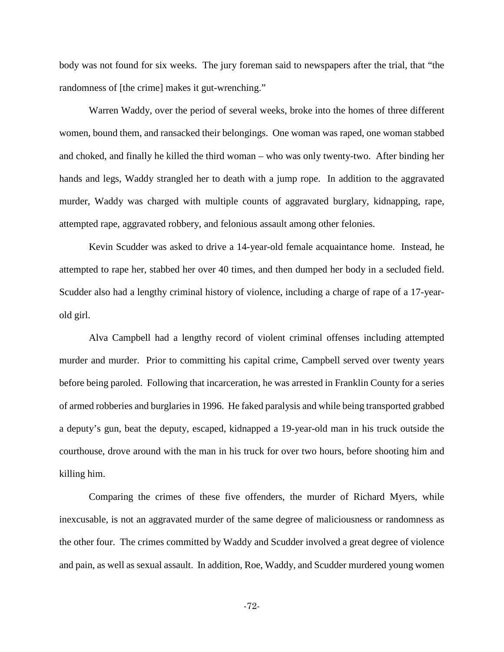body was not found for six weeks. The jury foreman said to newspapers after the trial, that "the randomness of [the crime] makes it gut-wrenching."

Warren Waddy, over the period of several weeks, broke into the homes of three different women, bound them, and ransacked their belongings. One woman was raped, one woman stabbed and choked, and finally he killed the third woman – who was only twenty-two. After binding her hands and legs, Waddy strangled her to death with a jump rope. In addition to the aggravated murder, Waddy was charged with multiple counts of aggravated burglary, kidnapping, rape, attempted rape, aggravated robbery, and felonious assault among other felonies.

Kevin Scudder was asked to drive a 14-year-old female acquaintance home. Instead, he attempted to rape her, stabbed her over 40 times, and then dumped her body in a secluded field. Scudder also had a lengthy criminal history of violence, including a charge of rape of a 17-yearold girl.

Alva Campbell had a lengthy record of violent criminal offenses including attempted murder and murder. Prior to committing his capital crime, Campbell served over twenty years before being paroled. Following that incarceration, he was arrested in Franklin County for a series of armed robberies and burglaries in 1996. He faked paralysis and while being transported grabbed a deputy's gun, beat the deputy, escaped, kidnapped a 19-year-old man in his truck outside the courthouse, drove around with the man in his truck for over two hours, before shooting him and killing him.

Comparing the crimes of these five offenders, the murder of Richard Myers, while inexcusable, is not an aggravated murder of the same degree of maliciousness or randomness as the other four. The crimes committed by Waddy and Scudder involved a great degree of violence and pain, as well as sexual assault. In addition, Roe, Waddy, and Scudder murdered young women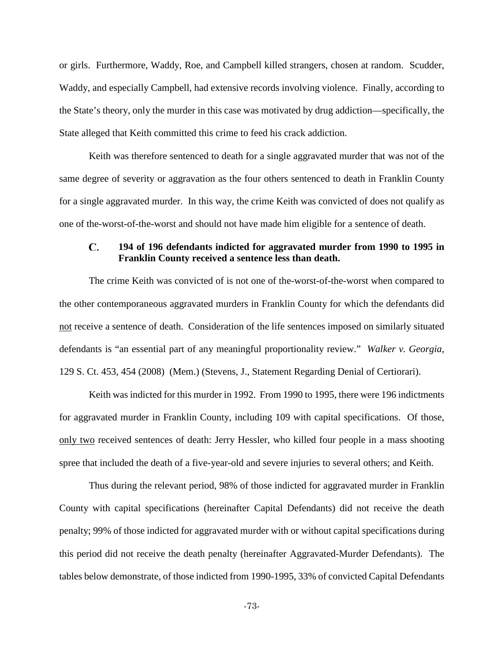or girls. Furthermore, Waddy, Roe, and Campbell killed strangers, chosen at random. Scudder, Waddy, and especially Campbell, had extensive records involving violence. Finally, according to the State's theory, only the murder in this case was motivated by drug addiction—specifically, the State alleged that Keith committed this crime to feed his crack addiction.

Keith was therefore sentenced to death for a single aggravated murder that was not of the same degree of severity or aggravation as the four others sentenced to death in Franklin County for a single aggravated murder. In this way, the crime Keith was convicted of does not qualify as one of the-worst-of-the-worst and should not have made him eligible for a sentence of death.

## $\mathbf{C}$ . **194 of 196 defendants indicted for aggravated murder from 1990 to 1995 in Franklin County received a sentence less than death.**

The crime Keith was convicted of is not one of the-worst-of-the-worst when compared to the other contemporaneous aggravated murders in Franklin County for which the defendants did not receive a sentence of death. Consideration of the life sentences imposed on similarly situated defendants is "an essential part of any meaningful proportionality review." *Walker v. Georgia,* 129 S. Ct. 453, 454 (2008) (Mem.) (Stevens, J., Statement Regarding Denial of Certiorari).

Keith was indicted for this murder in 1992. From 1990 to 1995, there were 196 indictments for aggravated murder in Franklin County, including 109 with capital specifications. Of those, only two received sentences of death: Jerry Hessler, who killed four people in a mass shooting spree that included the death of a five-year-old and severe injuries to several others; and Keith.

Thus during the relevant period, 98% of those indicted for aggravated murder in Franklin County with capital specifications (hereinafter Capital Defendants) did not receive the death penalty; 99% of those indicted for aggravated murder with or without capital specifications during this period did not receive the death penalty (hereinafter Aggravated-Murder Defendants). The tables below demonstrate, of those indicted from 1990-1995, 33% of convicted Capital Defendants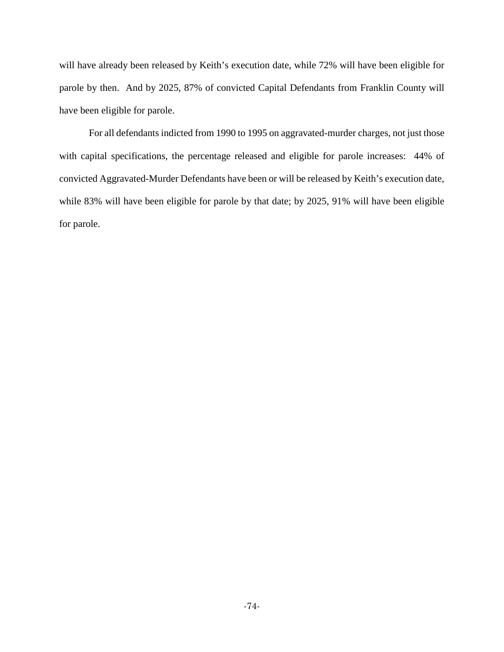will have already been released by Keith's execution date, while 72% will have been eligible for parole by then. And by 2025, 87% of convicted Capital Defendants from Franklin County will have been eligible for parole.

For all defendants indicted from 1990 to 1995 on aggravated-murder charges, not just those with capital specifications, the percentage released and eligible for parole increases: 44% of convicted Aggravated-Murder Defendants have been or will be released by Keith's execution date, while 83% will have been eligible for parole by that date; by 2025, 91% will have been eligible for parole.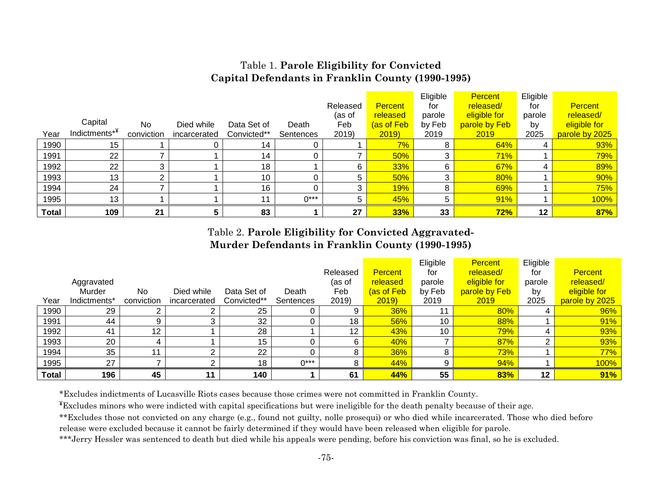# Table 1. **Parole Eligibility for Convicted Capital Defendants in Franklin County (1990-1995)**

|              |                           |            |              |             |           |          |                | Eligible | <b>Percent</b> | Eligible |                |
|--------------|---------------------------|------------|--------------|-------------|-----------|----------|----------------|----------|----------------|----------|----------------|
|              |                           |            |              |             |           | Released | <b>Percent</b> | for      | released/      | for      | <b>Percent</b> |
|              |                           |            |              |             |           | (as of   | released       | parole   | eligible for   | parole   | released/      |
|              | Capital                   | No.        | Died while   | Data Set of | Death     | Feb      | (as of Feb     | by Feb   | parole by Feb  | by       | eligible for   |
| Year         | Indictments <sup>*¥</sup> | conviction | incarcerated | Convicted** | Sentences | 2019)    | 2019           | 2019     | 2019           | 2025     | parole by 2025 |
| 1990         | 15 <sub>1</sub>           |            |              | 14          |           |          | 7%             |          | 64%            |          | 93%            |
| 1991         | 22                        |            |              | 14          |           |          | 50%            |          | 71%            |          | 79%            |
| 1992         | 22                        | 3          |              | 18          |           | 6        | 33%            |          | 67%            |          | 89%            |
| 1993         | 13                        | C          |              | 10          |           | 5        | 50%            |          | 80%            |          | 90%            |
| 1994         | 24                        |            |              | 16          |           |          | <b>19%</b>     |          | 69%            |          | 75%            |
| 1995         | 13                        |            |              | 11          | $0***$    | 5        | 45%            | 5        | 91%            |          | 100%           |
| <b>Total</b> | 109                       | 21         |              | 83          |           | 27       | 33%            | 33       | 72%            | 12       | 87%            |

# Table 2. **Parole Eligibility for Convicted Aggravated-Murder Defendants in Franklin County (1990-1995)**

|              |              |            |              |             |           |          |                | Eligible | <b>Percent</b> | Eligible |                |
|--------------|--------------|------------|--------------|-------------|-----------|----------|----------------|----------|----------------|----------|----------------|
|              |              |            |              |             |           | Released | <b>Percent</b> | for      | released/      | for      | <b>Percent</b> |
|              | Aggravated   |            |              |             |           | (as of   | released       | parole   | eligible for   | parole   | released/      |
|              | Murder       | <b>No</b>  | Died while   | Data Set of | Death     | Feb      | (as of Febl    | by Feb   | parole by Feb  | by       | eligible for   |
| Year         | Indictments* | conviction | incarcerated | Convicted** | Sentences | 2019)    | 2019           | 2019     | 2019           | 2025     | parole by 2025 |
| 1990         | 29           |            |              | 25          |           |          | 36%            | 11       | 80%            | 4        | 96%            |
| 1991         | 44           |            | 3            | 32          |           | 18       | 56%            | 10       | 88%            |          | 91%            |
| 1992         | 41           | 12         |              | 28          |           | 12       | 43%            | 10       | 79%            | 4        | 93%            |
| 1993         | 20           |            |              | 15          |           |          | 40%            |          | 87%            | ົ        | 93%            |
| 1994         | 35           | 11         | ົ            | 22          |           |          | 36%            | 8        | <b>73%</b>     |          | 77%            |
| 1995         | 27           |            | ົ            | 18          | $0***$    |          | 44%            | 9        | 94%            |          | 100%           |
| <b>Total</b> | 196          | 45         | 11           | 140         |           | 61       | 44%            | 55       | 83%            | $12 \,$  | 91%            |

\*Excludes indictments of Lucasville Riots cases because those crimes were not committed in Franklin County.

¥Excludes minors who were indicted with capital specifications but were ineligible for the death penalty because of their age.

\*\*Excludes those not convicted on any charge (e.g., found not guilty, nolle prosequi) or who died while incarcerated. Those who died before

release were excluded because it cannot be fairly determined if they would have been released when eligible for parole.

\*\*\*Jerry Hessler was sentenced to death but died while his appeals were pending, before his conviction was final, so he is excluded.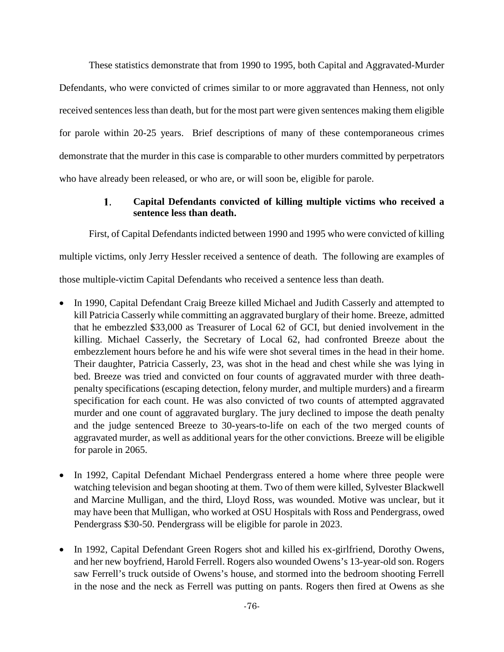These statistics demonstrate that from 1990 to 1995, both Capital and Aggravated-Murder Defendants, who were convicted of crimes similar to or more aggravated than Henness, not only received sentences less than death, but for the most part were given sentences making them eligible for parole within 20-25 years. Brief descriptions of many of these contemporaneous crimes demonstrate that the murder in this case is comparable to other murders committed by perpetrators who have already been released, or who are, or will soon be, eligible for parole.

# 1. **Capital Defendants convicted of killing multiple victims who received a sentence less than death.**

First, of Capital Defendants indicted between 1990 and 1995 who were convicted of killing multiple victims, only Jerry Hessler received a sentence of death. The following are examples of those multiple-victim Capital Defendants who received a sentence less than death.

- In 1990, Capital Defendant Craig Breeze killed Michael and Judith Casserly and attempted to kill Patricia Casserly while committing an aggravated burglary of their home. Breeze, admitted that he embezzled \$33,000 as Treasurer of Local 62 of GCI, but denied involvement in the killing. Michael Casserly, the Secretary of Local 62, had confronted Breeze about the embezzlement hours before he and his wife were shot several times in the head in their home. Their daughter, Patricia Casserly, 23, was shot in the head and chest while she was lying in bed. Breeze was tried and convicted on four counts of aggravated murder with three deathpenalty specifications (escaping detection, felony murder, and multiple murders) and a firearm specification for each count. He was also convicted of two counts of attempted aggravated murder and one count of aggravated burglary. The jury declined to impose the death penalty and the judge sentenced Breeze to 30-years-to-life on each of the two merged counts of aggravated murder, as well as additional years for the other convictions. Breeze will be eligible for parole in 2065.
- In 1992, Capital Defendant Michael Pendergrass entered a home where three people were watching television and began shooting at them. Two of them were killed, Sylvester Blackwell and Marcine Mulligan, and the third, Lloyd Ross, was wounded. Motive was unclear, but it may have been that Mulligan, who worked at OSU Hospitals with Ross and Pendergrass, owed Pendergrass \$30-50. Pendergrass will be eligible for parole in 2023.
- In 1992, Capital Defendant Green Rogers shot and killed his ex-girlfriend, Dorothy Owens, and her new boyfriend, Harold Ferrell. Rogers also wounded Owens's 13-year-old son. Rogers saw Ferrell's truck outside of Owens's house, and stormed into the bedroom shooting Ferrell in the nose and the neck as Ferrell was putting on pants. Rogers then fired at Owens as she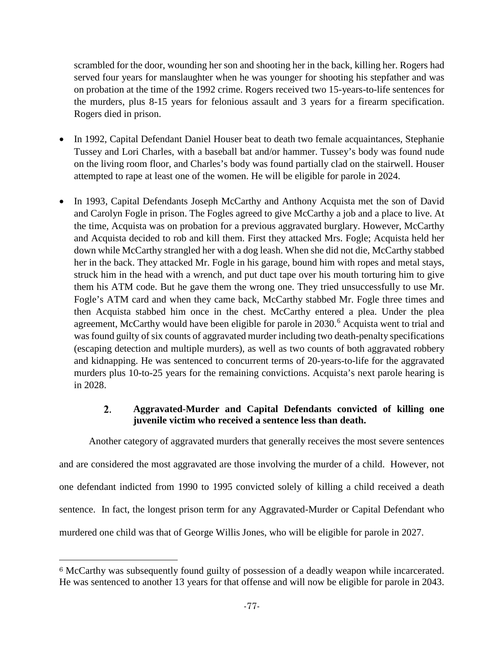scrambled for the door, wounding her son and shooting her in the back, killing her. Rogers had served four years for manslaughter when he was younger for shooting his stepfather and was on probation at the time of the 1992 crime. Rogers received two 15-years-to-life sentences for the murders, plus 8-15 years for felonious assault and 3 years for a firearm specification. Rogers died in prison.

- In 1992, Capital Defendant Daniel Houser beat to death two female acquaintances, Stephanie Tussey and Lori Charles, with a baseball bat and/or hammer. Tussey's body was found nude on the living room floor, and Charles's body was found partially clad on the stairwell. Houser attempted to rape at least one of the women. He will be eligible for parole in 2024.
- In 1993, Capital Defendants Joseph McCarthy and Anthony Acquista met the son of David and Carolyn Fogle in prison. The Fogles agreed to give McCarthy a job and a place to live. At the time, Acquista was on probation for a previous aggravated burglary. However, McCarthy and Acquista decided to rob and kill them. First they attacked Mrs. Fogle; Acquista held her down while McCarthy strangled her with a dog leash. When she did not die, McCarthy stabbed her in the back. They attacked Mr. Fogle in his garage, bound him with ropes and metal stays, struck him in the head with a wrench, and put duct tape over his mouth torturing him to give them his ATM code. But he gave them the wrong one. They tried unsuccessfully to use Mr. Fogle's ATM card and when they came back, McCarthy stabbed Mr. Fogle three times and then Acquista stabbed him once in the chest. McCarthy entered a plea. Under the plea agreement, McCarthy would have been eligible for parole in 2030.<sup>[6](#page-76-0)</sup> Acquista went to trial and was found guilty of six counts of aggravated murder including two death-penalty specifications (escaping detection and multiple murders), as well as two counts of both aggravated robbery and kidnapping. He was sentenced to concurrent terms of 20-years-to-life for the aggravated murders plus 10-to-25 years for the remaining convictions. Acquista's next parole hearing is in 2028.

# 2. **Aggravated-Murder and Capital Defendants convicted of killing one juvenile victim who received a sentence less than death.**

Another category of aggravated murders that generally receives the most severe sentences and are considered the most aggravated are those involving the murder of a child. However, not one defendant indicted from 1990 to 1995 convicted solely of killing a child received a death sentence. In fact, the longest prison term for any Aggravated-Murder or Capital Defendant who murdered one child was that of George Willis Jones, who will be eligible for parole in 2027.

 $\overline{\phantom{a}}$ 

<span id="page-76-0"></span><sup>6</sup> McCarthy was subsequently found guilty of possession of a deadly weapon while incarcerated. He was sentenced to another 13 years for that offense and will now be eligible for parole in 2043.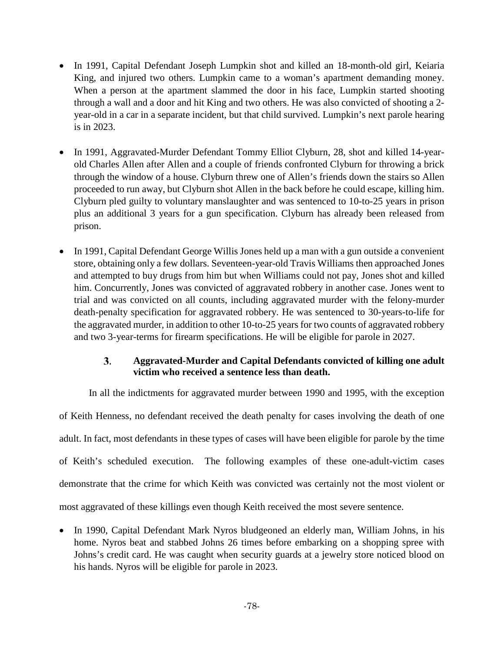- In 1991, Capital Defendant Joseph Lumpkin shot and killed an 18-month-old girl, Keiaria King, and injured two others. Lumpkin came to a woman's apartment demanding money. When a person at the apartment slammed the door in his face, Lumpkin started shooting through a wall and a door and hit King and two others. He was also convicted of shooting a 2 year-old in a car in a separate incident, but that child survived. Lumpkin's next parole hearing is in 2023.
- In 1991, Aggravated-Murder Defendant Tommy Elliot Clyburn, 28, shot and killed 14-yearold Charles Allen after Allen and a couple of friends confronted Clyburn for throwing a brick through the window of a house. Clyburn threw one of Allen's friends down the stairs so Allen proceeded to run away, but Clyburn shot Allen in the back before he could escape, killing him. Clyburn pled guilty to voluntary manslaughter and was sentenced to 10-to-25 years in prison plus an additional 3 years for a gun specification. Clyburn has already been released from prison.
- In 1991, Capital Defendant George Willis Jones held up a man with a gun outside a convenient store, obtaining only a few dollars. Seventeen-year-old Travis Williams then approached Jones and attempted to buy drugs from him but when Williams could not pay, Jones shot and killed him. Concurrently, Jones was convicted of aggravated robbery in another case. Jones went to trial and was convicted on all counts, including aggravated murder with the felony-murder death-penalty specification for aggravated robbery. He was sentenced to 30-years-to-life for the aggravated murder, in addition to other 10-to-25 years for two counts of aggravated robbery and two 3-year-terms for firearm specifications. He will be eligible for parole in 2027.

# $3.$ **Aggravated-Murder and Capital Defendants convicted of killing one adult victim who received a sentence less than death.**

In all the indictments for aggravated murder between 1990 and 1995, with the exception

of Keith Henness, no defendant received the death penalty for cases involving the death of one adult. In fact, most defendants in these types of cases will have been eligible for parole by the time of Keith's scheduled execution. The following examples of these one-adult-victim cases demonstrate that the crime for which Keith was convicted was certainly not the most violent or most aggravated of these killings even though Keith received the most severe sentence.

• In 1990, Capital Defendant Mark Nyros bludgeoned an elderly man, William Johns, in his home. Nyros beat and stabbed Johns 26 times before embarking on a shopping spree with Johns's credit card. He was caught when security guards at a jewelry store noticed blood on his hands. Nyros will be eligible for parole in 2023.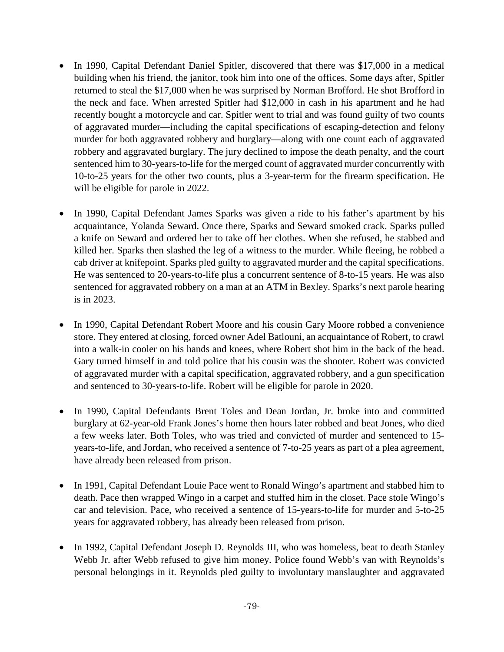- In 1990, Capital Defendant Daniel Spitler, discovered that there was \$17,000 in a medical building when his friend, the janitor, took him into one of the offices. Some days after, Spitler returned to steal the \$17,000 when he was surprised by Norman Brofford. He shot Brofford in the neck and face. When arrested Spitler had \$12,000 in cash in his apartment and he had recently bought a motorcycle and car. Spitler went to trial and was found guilty of two counts of aggravated murder—including the capital specifications of escaping-detection and felony murder for both aggravated robbery and burglary—along with one count each of aggravated robbery and aggravated burglary. The jury declined to impose the death penalty, and the court sentenced him to 30-years-to-life for the merged count of aggravated murder concurrently with 10-to-25 years for the other two counts, plus a 3-year-term for the firearm specification. He will be eligible for parole in 2022.
- In 1990, Capital Defendant James Sparks was given a ride to his father's apartment by his acquaintance, Yolanda Seward. Once there, Sparks and Seward smoked crack. Sparks pulled a knife on Seward and ordered her to take off her clothes. When she refused, he stabbed and killed her. Sparks then slashed the leg of a witness to the murder. While fleeing, he robbed a cab driver at knifepoint. Sparks pled guilty to aggravated murder and the capital specifications. He was sentenced to 20-years-to-life plus a concurrent sentence of 8-to-15 years. He was also sentenced for aggravated robbery on a man at an ATM in Bexley. Sparks's next parole hearing is in 2023.
- In 1990, Capital Defendant Robert Moore and his cousin Gary Moore robbed a convenience store. They entered at closing, forced owner Adel Batlouni, an acquaintance of Robert, to crawl into a walk-in cooler on his hands and knees, where Robert shot him in the back of the head. Gary turned himself in and told police that his cousin was the shooter. Robert was convicted of aggravated murder with a capital specification, aggravated robbery, and a gun specification and sentenced to 30-years-to-life. Robert will be eligible for parole in 2020.
- In 1990, Capital Defendants Brent Toles and Dean Jordan, Jr. broke into and committed burglary at 62-year-old Frank Jones's home then hours later robbed and beat Jones, who died a few weeks later. Both Toles, who was tried and convicted of murder and sentenced to 15 years-to-life, and Jordan, who received a sentence of 7-to-25 years as part of a plea agreement, have already been released from prison.
- In 1991, Capital Defendant Louie Pace went to Ronald Wingo's apartment and stabbed him to death. Pace then wrapped Wingo in a carpet and stuffed him in the closet. Pace stole Wingo's car and television. Pace, who received a sentence of 15-years-to-life for murder and 5-to-25 years for aggravated robbery, has already been released from prison.
- In 1992, Capital Defendant Joseph D. Reynolds III, who was homeless, beat to death Stanley Webb Jr. after Webb refused to give him money. Police found Webb's van with Reynolds's personal belongings in it. Reynolds pled guilty to involuntary manslaughter and aggravated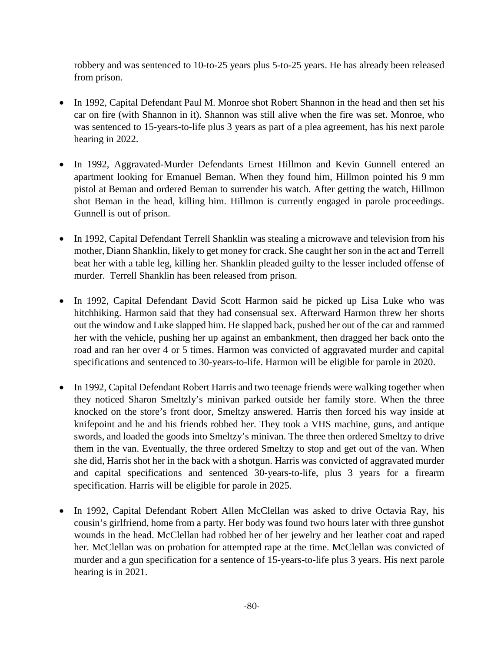robbery and was sentenced to 10-to-25 years plus 5-to-25 years. He has already been released from prison.

- In 1992, Capital Defendant Paul M. Monroe shot Robert Shannon in the head and then set his car on fire (with Shannon in it). Shannon was still alive when the fire was set. Monroe, who was sentenced to 15-years-to-life plus 3 years as part of a plea agreement, has his next parole hearing in 2022.
- In 1992, Aggravated-Murder Defendants Ernest Hillmon and Kevin Gunnell entered an apartment looking for Emanuel Beman. When they found him, Hillmon pointed his 9 mm pistol at Beman and ordered Beman to surrender his watch. After getting the watch, Hillmon shot Beman in the head, killing him. Hillmon is currently engaged in parole proceedings. Gunnell is out of prison.
- In 1992, Capital Defendant Terrell Shanklin was stealing a microwave and television from his mother, Diann Shanklin, likely to get money for crack. She caught her son in the act and Terrell beat her with a table leg, killing her. Shanklin pleaded guilty to the lesser included offense of murder. Terrell Shanklin has been released from prison.
- In 1992, Capital Defendant David Scott Harmon said he picked up Lisa Luke who was hitchhiking. Harmon said that they had consensual sex. Afterward Harmon threw her shorts out the window and Luke slapped him. He slapped back, pushed her out of the car and rammed her with the vehicle, pushing her up against an embankment, then dragged her back onto the road and ran her over 4 or 5 times. Harmon was convicted of aggravated murder and capital specifications and sentenced to 30-years-to-life. Harmon will be eligible for parole in 2020.
- In 1992, Capital Defendant Robert Harris and two teenage friends were walking together when they noticed Sharon Smeltzly's minivan parked outside her family store. When the three knocked on the store's front door, Smeltzy answered. Harris then forced his way inside at knifepoint and he and his friends robbed her. They took a VHS machine, guns, and antique swords, and loaded the goods into Smeltzy's minivan. The three then ordered Smeltzy to drive them in the van. Eventually, the three ordered Smeltzy to stop and get out of the van. When she did, Harris shot her in the back with a shotgun. Harris was convicted of aggravated murder and capital specifications and sentenced 30-years-to-life, plus 3 years for a firearm specification. Harris will be eligible for parole in 2025.
- In 1992, Capital Defendant Robert Allen McClellan was asked to drive Octavia Ray, his cousin's girlfriend, home from a party. Her body was found two hours later with three gunshot wounds in the head. McClellan had robbed her of her jewelry and her leather coat and raped her. McClellan was on probation for attempted rape at the time. McClellan was convicted of murder and a gun specification for a sentence of 15-years-to-life plus 3 years. His next parole hearing is in 2021.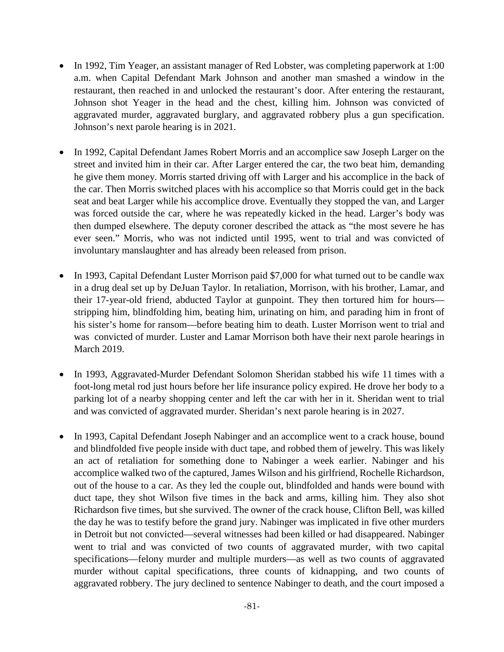- In 1992, Tim Yeager, an assistant manager of Red Lobster, was completing paperwork at 1:00 a.m. when Capital Defendant Mark Johnson and another man smashed a window in the restaurant, then reached in and unlocked the restaurant's door. After entering the restaurant, Johnson shot Yeager in the head and the chest, killing him. Johnson was convicted of aggravated murder, aggravated burglary, and aggravated robbery plus a gun specification. Johnson's next parole hearing is in 2021.
- In 1992, Capital Defendant James Robert Morris and an accomplice saw Joseph Larger on the street and invited him in their car. After Larger entered the car, the two beat him, demanding he give them money. Morris started driving off with Larger and his accomplice in the back of the car. Then Morris switched places with his accomplice so that Morris could get in the back seat and beat Larger while his accomplice drove. Eventually they stopped the van, and Larger was forced outside the car, where he was repeatedly kicked in the head. Larger's body was then dumped elsewhere. The deputy coroner described the attack as "the most severe he has ever seen." Morris, who was not indicted until 1995, went to trial and was convicted of involuntary manslaughter and has already been released from prison.
- In 1993, Capital Defendant Luster Morrison paid \$7,000 for what turned out to be candle wax in a drug deal set up by DeJuan Taylor. In retaliation, Morrison, with his brother, Lamar, and their 17-year-old friend, abducted Taylor at gunpoint. They then tortured him for hours stripping him, blindfolding him, beating him, urinating on him, and parading him in front of his sister's home for ransom—before beating him to death. Luster Morrison went to trial and was convicted of murder. Luster and Lamar Morrison both have their next parole hearings in March 2019.
- In 1993, Aggravated-Murder Defendant Solomon Sheridan stabbed his wife 11 times with a foot-long metal rod just hours before her life insurance policy expired. He drove her body to a parking lot of a nearby shopping center and left the car with her in it. Sheridan went to trial and was convicted of aggravated murder. Sheridan's next parole hearing is in 2027.
- In 1993, Capital Defendant Joseph Nabinger and an accomplice went to a crack house, bound and blindfolded five people inside with duct tape, and robbed them of jewelry. This was likely an act of retaliation for something done to Nabinger a week earlier. Nabinger and his accomplice walked two of the captured, James Wilson and his girlfriend, Rochelle Richardson, out of the house to a car. As they led the couple out, blindfolded and hands were bound with duct tape, they shot Wilson five times in the back and arms, killing him. They also shot Richardson five times, but she survived. The owner of the crack house, Clifton Bell, was killed the day he was to testify before the grand jury. Nabinger was implicated in five other murders in Detroit but not convicted—several witnesses had been killed or had disappeared. Nabinger went to trial and was convicted of two counts of aggravated murder, with two capital specifications—felony murder and multiple murders—as well as two counts of aggravated murder without capital specifications, three counts of kidnapping, and two counts of aggravated robbery. The jury declined to sentence Nabinger to death, and the court imposed a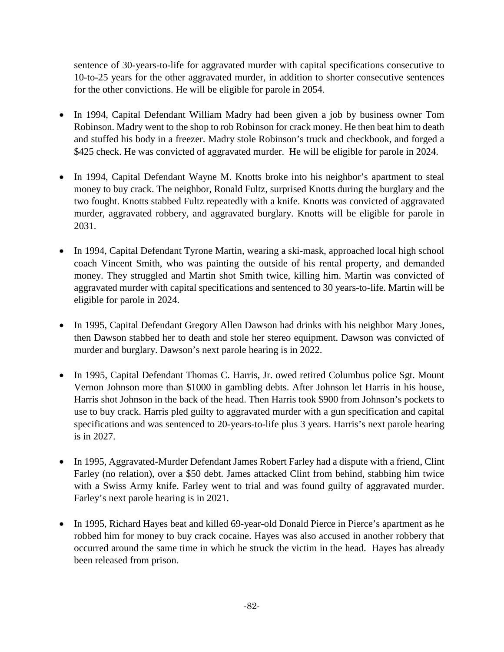sentence of 30-years-to-life for aggravated murder with capital specifications consecutive to 10-to-25 years for the other aggravated murder, in addition to shorter consecutive sentences for the other convictions. He will be eligible for parole in 2054.

- In 1994, Capital Defendant William Madry had been given a job by business owner Tom Robinson. Madry went to the shop to rob Robinson for crack money. He then beat him to death and stuffed his body in a freezer. Madry stole Robinson's truck and checkbook, and forged a \$425 check. He was convicted of aggravated murder. He will be eligible for parole in 2024.
- In 1994, Capital Defendant Wayne M. Knotts broke into his neighbor's apartment to steal money to buy crack. The neighbor, Ronald Fultz, surprised Knotts during the burglary and the two fought. Knotts stabbed Fultz repeatedly with a knife. Knotts was convicted of aggravated murder, aggravated robbery, and aggravated burglary. Knotts will be eligible for parole in 2031.
- In 1994, Capital Defendant Tyrone Martin, wearing a ski-mask, approached local high school coach Vincent Smith, who was painting the outside of his rental property, and demanded money. They struggled and Martin shot Smith twice, killing him. Martin was convicted of aggravated murder with capital specifications and sentenced to 30 years-to-life. Martin will be eligible for parole in 2024.
- In 1995, Capital Defendant Gregory Allen Dawson had drinks with his neighbor Mary Jones, then Dawson stabbed her to death and stole her stereo equipment. Dawson was convicted of murder and burglary. Dawson's next parole hearing is in 2022.
- In 1995, Capital Defendant Thomas C. Harris, Jr. owed retired Columbus police Sgt. Mount Vernon Johnson more than \$1000 in gambling debts. After Johnson let Harris in his house, Harris shot Johnson in the back of the head. Then Harris took \$900 from Johnson's pockets to use to buy crack. Harris pled guilty to aggravated murder with a gun specification and capital specifications and was sentenced to 20-years-to-life plus 3 years. Harris's next parole hearing is in 2027.
- In 1995, Aggravated-Murder Defendant James Robert Farley had a dispute with a friend, Clint Farley (no relation), over a \$50 debt. James attacked Clint from behind, stabbing him twice with a Swiss Army knife. Farley went to trial and was found guilty of aggravated murder. Farley's next parole hearing is in 2021.
- In 1995, Richard Hayes beat and killed 69-year-old Donald Pierce in Pierce's apartment as he robbed him for money to buy crack cocaine. Hayes was also accused in another robbery that occurred around the same time in which he struck the victim in the head. Hayes has already been released from prison.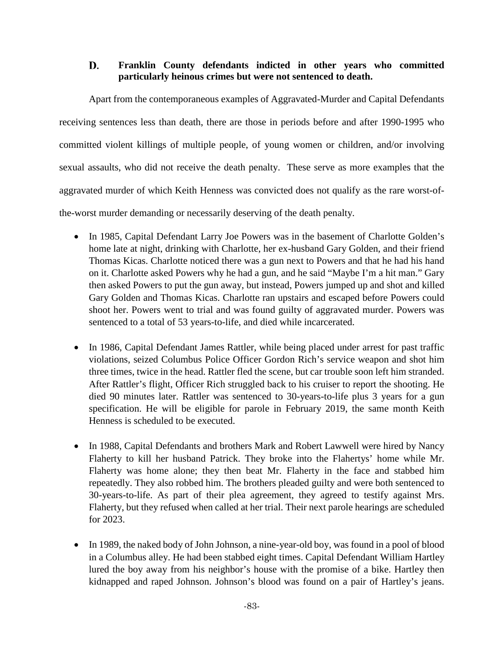# D. **Franklin County defendants indicted in other years who committed particularly heinous crimes but were not sentenced to death.**

Apart from the contemporaneous examples of Aggravated-Murder and Capital Defendants receiving sentences less than death, there are those in periods before and after 1990-1995 who committed violent killings of multiple people, of young women or children, and/or involving sexual assaults, who did not receive the death penalty. These serve as more examples that the aggravated murder of which Keith Henness was convicted does not qualify as the rare worst-ofthe-worst murder demanding or necessarily deserving of the death penalty.

- In 1985, Capital Defendant Larry Joe Powers was in the basement of Charlotte Golden's home late at night, drinking with Charlotte, her ex-husband Gary Golden, and their friend Thomas Kicas. Charlotte noticed there was a gun next to Powers and that he had his hand on it. Charlotte asked Powers why he had a gun, and he said "Maybe I'm a hit man." Gary then asked Powers to put the gun away, but instead, Powers jumped up and shot and killed Gary Golden and Thomas Kicas. Charlotte ran upstairs and escaped before Powers could shoot her. Powers went to trial and was found guilty of aggravated murder. Powers was sentenced to a total of 53 years-to-life, and died while incarcerated.
- In 1986, Capital Defendant James Rattler, while being placed under arrest for past traffic violations, seized Columbus Police Officer Gordon Rich's service weapon and shot him three times, twice in the head. Rattler fled the scene, but car trouble soon left him stranded. After Rattler's flight, Officer Rich struggled back to his cruiser to report the shooting. He died 90 minutes later. Rattler was sentenced to 30-years-to-life plus 3 years for a gun specification. He will be eligible for parole in February 2019, the same month Keith Henness is scheduled to be executed.
- In 1988, Capital Defendants and brothers Mark and Robert Lawwell were hired by Nancy Flaherty to kill her husband Patrick. They broke into the Flahertys' home while Mr. Flaherty was home alone; they then beat Mr. Flaherty in the face and stabbed him repeatedly. They also robbed him. The brothers pleaded guilty and were both sentenced to 30-years-to-life. As part of their plea agreement, they agreed to testify against Mrs. Flaherty, but they refused when called at her trial. Their next parole hearings are scheduled for 2023.
- In 1989, the naked body of John Johnson, a nine-year-old boy, was found in a pool of blood in a Columbus alley. He had been stabbed eight times. Capital Defendant William Hartley lured the boy away from his neighbor's house with the promise of a bike. Hartley then kidnapped and raped Johnson. Johnson's blood was found on a pair of Hartley's jeans.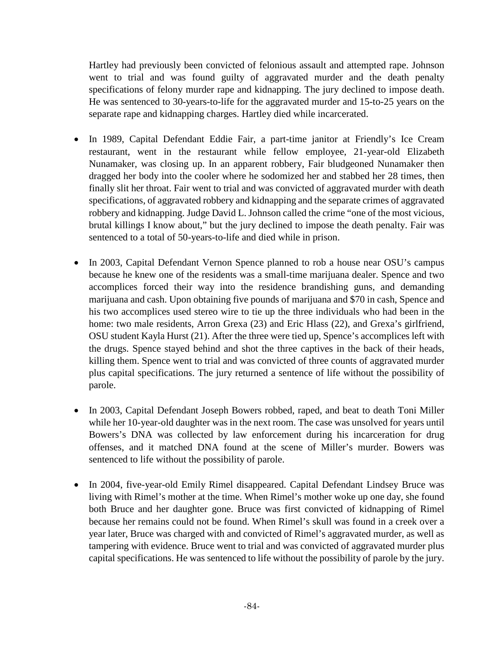Hartley had previously been convicted of felonious assault and attempted rape. Johnson went to trial and was found guilty of aggravated murder and the death penalty specifications of felony murder rape and kidnapping. The jury declined to impose death. He was sentenced to 30-years-to-life for the aggravated murder and 15-to-25 years on the separate rape and kidnapping charges. Hartley died while incarcerated.

- In 1989, Capital Defendant Eddie Fair, a part-time janitor at Friendly's Ice Cream restaurant, went in the restaurant while fellow employee, 21-year-old Elizabeth Nunamaker, was closing up. In an apparent robbery, Fair bludgeoned Nunamaker then dragged her body into the cooler where he sodomized her and stabbed her 28 times, then finally slit her throat. Fair went to trial and was convicted of aggravated murder with death specifications, of aggravated robbery and kidnapping and the separate crimes of aggravated robbery and kidnapping. Judge David L. Johnson called the crime "one of the most vicious, brutal killings I know about," but the jury declined to impose the death penalty. Fair was sentenced to a total of 50-years-to-life and died while in prison.
- In 2003, Capital Defendant Vernon Spence planned to rob a house near OSU's campus because he knew one of the residents was a small-time marijuana dealer. Spence and two accomplices forced their way into the residence brandishing guns, and demanding marijuana and cash. Upon obtaining five pounds of marijuana and \$70 in cash, Spence and his two accomplices used stereo wire to tie up the three individuals who had been in the home: two male residents, Arron Grexa (23) and Eric Hlass (22), and Grexa's girlfriend, OSU student Kayla Hurst (21). After the three were tied up, Spence's accomplices left with the drugs. Spence stayed behind and shot the three captives in the back of their heads, killing them. Spence went to trial and was convicted of three counts of aggravated murder plus capital specifications. The jury returned a sentence of life without the possibility of parole.
- In 2003, Capital Defendant Joseph Bowers robbed, raped, and beat to death Toni Miller while her 10-year-old daughter was in the next room. The case was unsolved for years until Bowers's DNA was collected by law enforcement during his incarceration for drug offenses, and it matched DNA found at the scene of Miller's murder. Bowers was sentenced to life without the possibility of parole.
- In 2004, five-year-old Emily Rimel disappeared. Capital Defendant Lindsey Bruce was living with Rimel's mother at the time. When Rimel's mother woke up one day, she found both Bruce and her daughter gone. Bruce was first convicted of kidnapping of Rimel because her remains could not be found. When Rimel's skull was found in a creek over a year later, Bruce was charged with and convicted of Rimel's aggravated murder, as well as tampering with evidence. Bruce went to trial and was convicted of aggravated murder plus capital specifications. He was sentenced to life without the possibility of parole by the jury.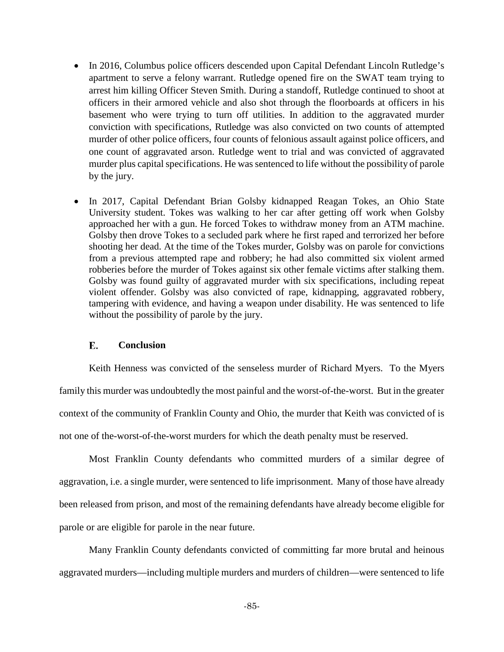- In 2016, Columbus police officers descended upon Capital Defendant Lincoln Rutledge's apartment to serve a felony warrant. Rutledge opened fire on the SWAT team trying to arrest him killing Officer Steven Smith. During a standoff, Rutledge continued to shoot at officers in their armored vehicle and also shot through the floorboards at officers in his basement who were trying to turn off utilities. In addition to the aggravated murder conviction with specifications, Rutledge was also convicted on two counts of attempted murder of other police officers, four counts of felonious assault against police officers, and one count of aggravated arson. Rutledge went to trial and was convicted of aggravated murder plus capital specifications. He was sentenced to life without the possibility of parole by the jury.
- In 2017, Capital Defendant Brian Golsby kidnapped Reagan Tokes, an Ohio State University student. Tokes was walking to her car after getting off work when Golsby approached her with a gun. He forced Tokes to withdraw money from an ATM machine. Golsby then drove Tokes to a secluded park where he first raped and terrorized her before shooting her dead. At the time of the Tokes murder, Golsby was on parole for convictions from a previous attempted rape and robbery; he had also committed six violent armed robberies before the murder of Tokes against six other female victims after stalking them. Golsby was found guilty of aggravated murder with six specifications, including repeat violent offender. Golsby was also convicted of rape, kidnapping, aggravated robbery, tampering with evidence, and having a weapon under disability. He was sentenced to life without the possibility of parole by the jury.

#### E. **Conclusion**

Keith Henness was convicted of the senseless murder of Richard Myers. To the Myers family this murder was undoubtedly the most painful and the worst-of-the-worst. But in the greater context of the community of Franklin County and Ohio, the murder that Keith was convicted of is not one of the-worst-of-the-worst murders for which the death penalty must be reserved.

Most Franklin County defendants who committed murders of a similar degree of aggravation, i.e. a single murder, were sentenced to life imprisonment. Many of those have already been released from prison, and most of the remaining defendants have already become eligible for parole or are eligible for parole in the near future.

Many Franklin County defendants convicted of committing far more brutal and heinous aggravated murders—including multiple murders and murders of children—were sentenced to life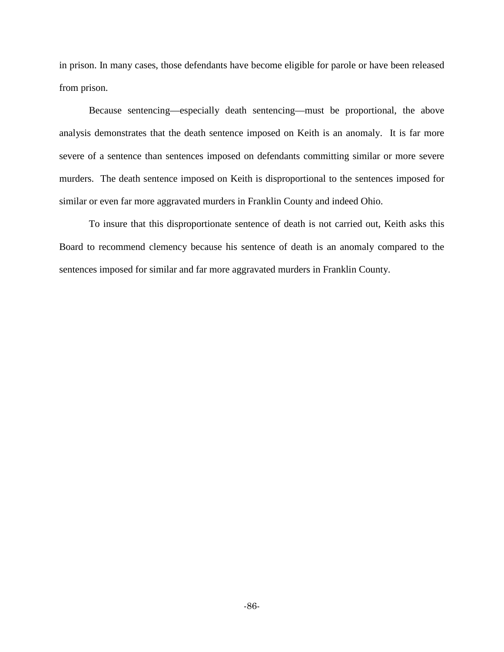in prison. In many cases, those defendants have become eligible for parole or have been released from prison.

Because sentencing—especially death sentencing—must be proportional, the above analysis demonstrates that the death sentence imposed on Keith is an anomaly. It is far more severe of a sentence than sentences imposed on defendants committing similar or more severe murders. The death sentence imposed on Keith is disproportional to the sentences imposed for similar or even far more aggravated murders in Franklin County and indeed Ohio.

To insure that this disproportionate sentence of death is not carried out, Keith asks this Board to recommend clemency because his sentence of death is an anomaly compared to the sentences imposed for similar and far more aggravated murders in Franklin County.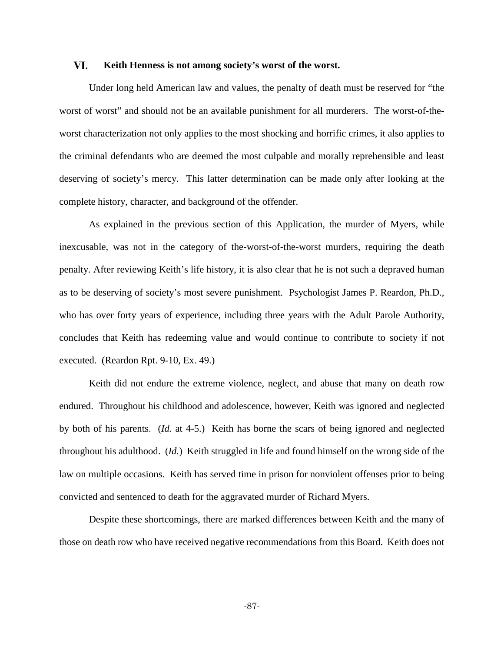#### VI. **Keith Henness is not among society's worst of the worst.**

Under long held American law and values, the penalty of death must be reserved for "the worst of worst" and should not be an available punishment for all murderers. The worst-of-theworst characterization not only applies to the most shocking and horrific crimes, it also applies to the criminal defendants who are deemed the most culpable and morally reprehensible and least deserving of society's mercy. This latter determination can be made only after looking at the complete history, character, and background of the offender.

As explained in the previous section of this Application, the murder of Myers, while inexcusable, was not in the category of the-worst-of-the-worst murders, requiring the death penalty. After reviewing Keith's life history, it is also clear that he is not such a depraved human as to be deserving of society's most severe punishment. Psychologist James P. Reardon, Ph.D., who has over forty years of experience, including three years with the Adult Parole Authority, concludes that Keith has redeeming value and would continue to contribute to society if not executed. (Reardon Rpt. 9-10, Ex. 49.)

Keith did not endure the extreme violence, neglect, and abuse that many on death row endured. Throughout his childhood and adolescence, however, Keith was ignored and neglected by both of his parents. (*Id.* at 4-5.) Keith has borne the scars of being ignored and neglected throughout his adulthood. (*Id.*) Keith struggled in life and found himself on the wrong side of the law on multiple occasions. Keith has served time in prison for nonviolent offenses prior to being convicted and sentenced to death for the aggravated murder of Richard Myers.

Despite these shortcomings, there are marked differences between Keith and the many of those on death row who have received negative recommendations from this Board. Keith does not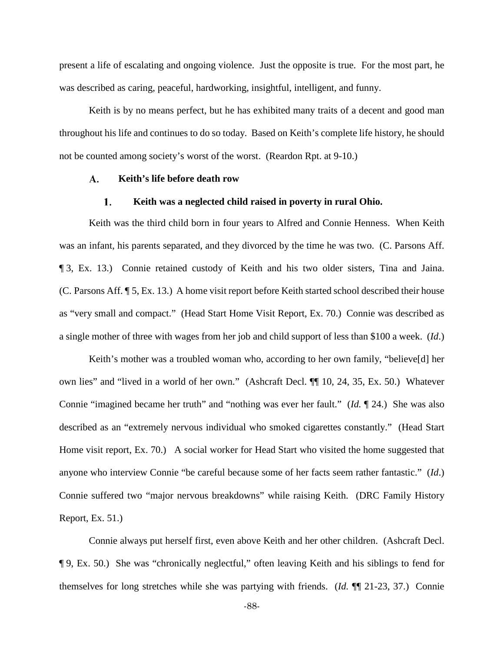present a life of escalating and ongoing violence. Just the opposite is true. For the most part, he was described as caring, peaceful, hardworking, insightful, intelligent, and funny.

Keith is by no means perfect, but he has exhibited many traits of a decent and good man throughout his life and continues to do so today. Based on Keith's complete life history, he should not be counted among society's worst of the worst. (Reardon Rpt. at 9-10.)

#### A. **Keith's life before death row**

#### $1.$ **Keith was a neglected child raised in poverty in rural Ohio.**

Keith was the third child born in four years to Alfred and Connie Henness. When Keith was an infant, his parents separated, and they divorced by the time he was two. (C. Parsons Aff. ¶ 3, Ex. 13.) Connie retained custody of Keith and his two older sisters, Tina and Jaina. (C. Parsons Aff. ¶ 5, Ex. 13.) A home visit report before Keith started school described their house as "very small and compact." (Head Start Home Visit Report, Ex. 70.) Connie was described as a single mother of three with wages from her job and child support of less than \$100 a week. (*Id*.)

Keith's mother was a troubled woman who, according to her own family, "believe[d] her own lies" and "lived in a world of her own." (Ashcraft Decl. ¶¶ 10, 24, 35, Ex. 50.) Whatever Connie "imagined became her truth" and "nothing was ever her fault." (*Id.* ¶ 24.) She was also described as an "extremely nervous individual who smoked cigarettes constantly." (Head Start Home visit report, Ex. 70.) A social worker for Head Start who visited the home suggested that anyone who interview Connie "be careful because some of her facts seem rather fantastic." (*Id*.) Connie suffered two "major nervous breakdowns" while raising Keith. (DRC Family History Report, Ex. 51.)

Connie always put herself first, even above Keith and her other children. (Ashcraft Decl. ¶ 9, Ex. 50.) She was "chronically neglectful," often leaving Keith and his siblings to fend for themselves for long stretches while she was partying with friends. (*Id.* ¶¶ 21-23, 37.) Connie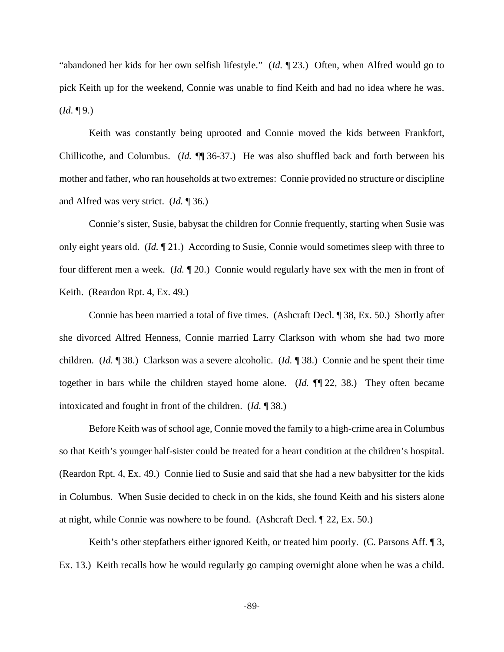"abandoned her kids for her own selfish lifestyle." (*Id.* ¶ 23.) Often, when Alfred would go to pick Keith up for the weekend, Connie was unable to find Keith and had no idea where he was.  $$ 

Keith was constantly being uprooted and Connie moved the kids between Frankfort, Chillicothe, and Columbus. (*Id.* ¶¶ 36-37.) He was also shuffled back and forth between his mother and father, who ran households at two extremes: Connie provided no structure or discipline and Alfred was very strict. (*Id.* ¶ 36.)

Connie's sister, Susie, babysat the children for Connie frequently, starting when Susie was only eight years old. (*Id.* ¶ 21.) According to Susie, Connie would sometimes sleep with three to four different men a week. (*Id.* ¶ 20.) Connie would regularly have sex with the men in front of Keith. (Reardon Rpt. 4, Ex. 49.)

Connie has been married a total of five times. (Ashcraft Decl. ¶ 38, Ex. 50.) Shortly after she divorced Alfred Henness, Connie married Larry Clarkson with whom she had two more children. (*Id.* ¶ 38.) Clarkson was a severe alcoholic. (*Id.* ¶ 38.) Connie and he spent their time together in bars while the children stayed home alone. (*Id.* ¶¶ 22, 38.) They often became intoxicated and fought in front of the children. (*Id.* ¶ 38.)

Before Keith was of school age, Connie moved the family to a high-crime area in Columbus so that Keith's younger half-sister could be treated for a heart condition at the children's hospital. (Reardon Rpt. 4, Ex. 49.) Connie lied to Susie and said that she had a new babysitter for the kids in Columbus. When Susie decided to check in on the kids, she found Keith and his sisters alone at night, while Connie was nowhere to be found. (Ashcraft Decl. ¶ 22, Ex. 50.)

Keith's other stepfathers either ignored Keith, or treated him poorly. (C. Parsons Aff. 13, Ex. 13.) Keith recalls how he would regularly go camping overnight alone when he was a child.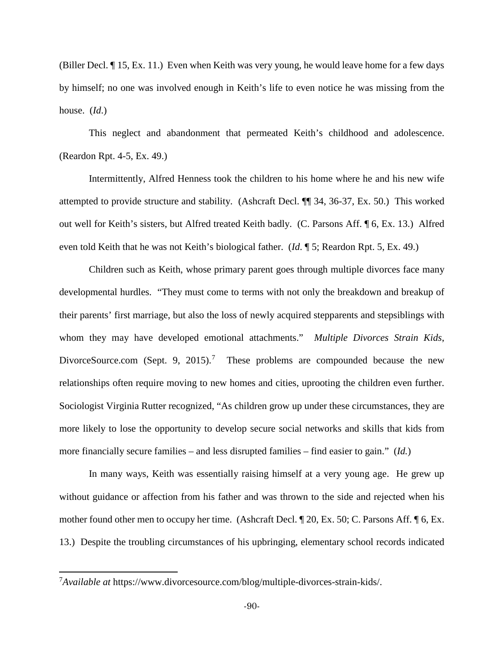(Biller Decl. ¶ 15, Ex. 11.) Even when Keith was very young, he would leave home for a few days by himself; no one was involved enough in Keith's life to even notice he was missing from the house. (*Id*.)

This neglect and abandonment that permeated Keith's childhood and adolescence. (Reardon Rpt. 4-5, Ex. 49.)

Intermittently, Alfred Henness took the children to his home where he and his new wife attempted to provide structure and stability. (Ashcraft Decl. ¶¶ 34, 36-37, Ex. 50.) This worked out well for Keith's sisters, but Alfred treated Keith badly. (C. Parsons Aff. ¶ 6, Ex. 13.) Alfred even told Keith that he was not Keith's biological father. (*Id*. ¶ 5; Reardon Rpt. 5, Ex. 49.)

Children such as Keith, whose primary parent goes through multiple divorces face many developmental hurdles. "They must come to terms with not only the breakdown and breakup of their parents' first marriage, but also the loss of newly acquired stepparents and stepsiblings with whom they may have developed emotional attachments." *Multiple Divorces Strain Kids*, DivorceSource.com (Sept. 9, 2015).<sup>[7](#page-89-0)</sup> These problems are compounded because the new relationships often require moving to new homes and cities, uprooting the children even further. Sociologist Virginia Rutter recognized, "As children grow up under these circumstances, they are more likely to lose the opportunity to develop secure social networks and skills that kids from more financially secure families – and less disrupted families – find easier to gain." (*Id.*)

In many ways, Keith was essentially raising himself at a very young age. He grew up without guidance or affection from his father and was thrown to the side and rejected when his mother found other men to occupy her time. (Ashcraft Decl. ¶ 20, Ex. 50; C. Parsons Aff. ¶ 6, Ex. 13.) Despite the troubling circumstances of his upbringing, elementary school records indicated

l

<span id="page-89-0"></span><sup>7</sup> *Available at* https://www.divorcesource.com/blog/multiple-divorces-strain-kids/.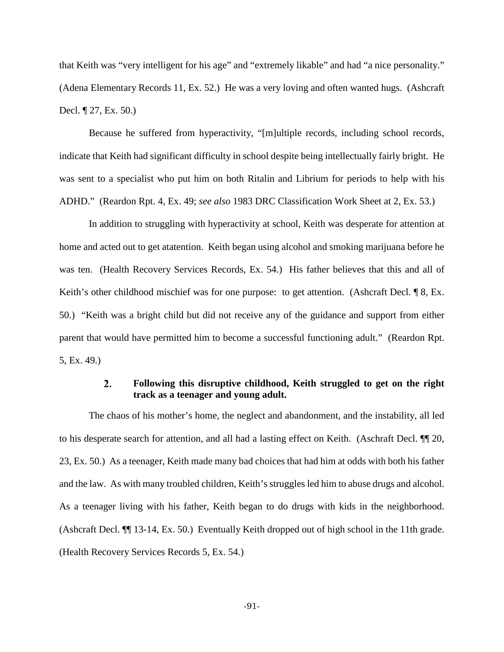that Keith was "very intelligent for his age" and "extremely likable" and had "a nice personality." (Adena Elementary Records 11, Ex. 52.) He was a very loving and often wanted hugs. (Ashcraft Decl. ¶ 27, Ex. 50.)

Because he suffered from hyperactivity, "[m]ultiple records, including school records, indicate that Keith had significant difficulty in school despite being intellectually fairly bright. He was sent to a specialist who put him on both Ritalin and Librium for periods to help with his ADHD." (Reardon Rpt. 4, Ex. 49; *see also* 1983 DRC Classification Work Sheet at 2, Ex. 53.)

In addition to struggling with hyperactivity at school, Keith was desperate for attention at home and acted out to get atatention. Keith began using alcohol and smoking marijuana before he was ten. (Health Recovery Services Records, Ex. 54.) His father believes that this and all of Keith's other childhood mischief was for one purpose: to get attention. (Ashcraft Decl. ¶ 8, Ex. 50.) "Keith was a bright child but did not receive any of the guidance and support from either parent that would have permitted him to become a successful functioning adult." (Reardon Rpt. 5, Ex. 49.)

### $\overline{2}$ . **Following this disruptive childhood, Keith struggled to get on the right track as a teenager and young adult.**

The chaos of his mother's home, the neglect and abandonment, and the instability, all led to his desperate search for attention, and all had a lasting effect on Keith. (Aschraft Decl. ¶¶ 20, 23, Ex. 50.) As a teenager, Keith made many bad choices that had him at odds with both his father and the law. As with many troubled children, Keith's struggles led him to abuse drugs and alcohol. As a teenager living with his father, Keith began to do drugs with kids in the neighborhood. (Ashcraft Decl. ¶¶ 13-14, Ex. 50.) Eventually Keith dropped out of high school in the 11th grade. (Health Recovery Services Records 5, Ex. 54.)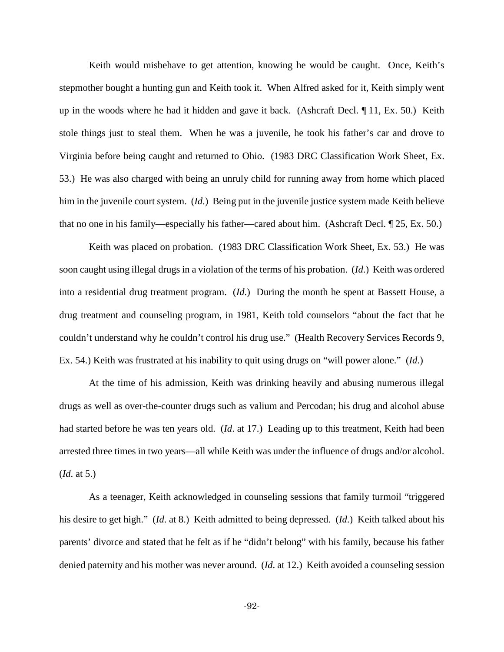Keith would misbehave to get attention, knowing he would be caught. Once, Keith's stepmother bought a hunting gun and Keith took it. When Alfred asked for it, Keith simply went up in the woods where he had it hidden and gave it back. (Ashcraft Decl. ¶ 11, Ex. 50.) Keith stole things just to steal them. When he was a juvenile, he took his father's car and drove to Virginia before being caught and returned to Ohio. (1983 DRC Classification Work Sheet, Ex. 53.) He was also charged with being an unruly child for running away from home which placed him in the juvenile court system. (*Id*.) Being put in the juvenile justice system made Keith believe that no one in his family—especially his father—cared about him. (Ashcraft Decl. ¶ 25, Ex. 50.)

Keith was placed on probation. (1983 DRC Classification Work Sheet, Ex. 53.) He was soon caught using illegal drugs in a violation of the terms of his probation. (*Id*.) Keith was ordered into a residential drug treatment program. (*Id*.) During the month he spent at Bassett House, a drug treatment and counseling program, in 1981, Keith told counselors "about the fact that he couldn't understand why he couldn't control his drug use." (Health Recovery Services Records 9, Ex. 54.) Keith was frustrated at his inability to quit using drugs on "will power alone." (*Id*.)

At the time of his admission, Keith was drinking heavily and abusing numerous illegal drugs as well as over-the-counter drugs such as valium and Percodan; his drug and alcohol abuse had started before he was ten years old. (*Id*. at 17.) Leading up to this treatment, Keith had been arrested three times in two years—all while Keith was under the influence of drugs and/or alcohol. (*Id*. at 5.)

As a teenager, Keith acknowledged in counseling sessions that family turmoil "triggered his desire to get high." (*Id*. at 8.) Keith admitted to being depressed. (*Id*.) Keith talked about his parents' divorce and stated that he felt as if he "didn't belong" with his family, because his father denied paternity and his mother was never around. (*Id*. at 12.) Keith avoided a counseling session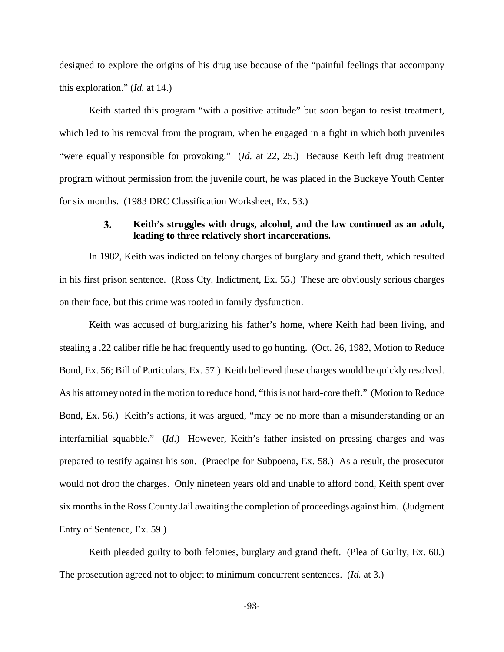designed to explore the origins of his drug use because of the "painful feelings that accompany this exploration." (*Id.* at 14.)

Keith started this program "with a positive attitude" but soon began to resist treatment, which led to his removal from the program, when he engaged in a fight in which both juveniles "were equally responsible for provoking." (*Id.* at 22, 25.) Because Keith left drug treatment program without permission from the juvenile court, he was placed in the Buckeye Youth Center for six months. (1983 DRC Classification Worksheet, Ex. 53.)

### **Keith's struggles with drugs, alcohol, and the law continued as an adult,**   $3.$ **leading to three relatively short incarcerations.**

In 1982, Keith was indicted on felony charges of burglary and grand theft, which resulted in his first prison sentence. (Ross Cty. Indictment, Ex. 55.) These are obviously serious charges on their face, but this crime was rooted in family dysfunction.

Keith was accused of burglarizing his father's home, where Keith had been living, and stealing a .22 caliber rifle he had frequently used to go hunting. (Oct. 26, 1982, Motion to Reduce Bond, Ex. 56; Bill of Particulars, Ex. 57.) Keith believed these charges would be quickly resolved. As his attorney noted in the motion to reduce bond, "this is not hard-core theft." (Motion to Reduce Bond, Ex. 56.) Keith's actions, it was argued, "may be no more than a misunderstanding or an interfamilial squabble." (*Id*.) However, Keith's father insisted on pressing charges and was prepared to testify against his son. (Praecipe for Subpoena, Ex. 58.) As a result, the prosecutor would not drop the charges. Only nineteen years old and unable to afford bond, Keith spent over six months in the Ross County Jail awaiting the completion of proceedings against him. (Judgment Entry of Sentence, Ex. 59.)

Keith pleaded guilty to both felonies, burglary and grand theft. (Plea of Guilty, Ex. 60.) The prosecution agreed not to object to minimum concurrent sentences. (*Id.* at 3.)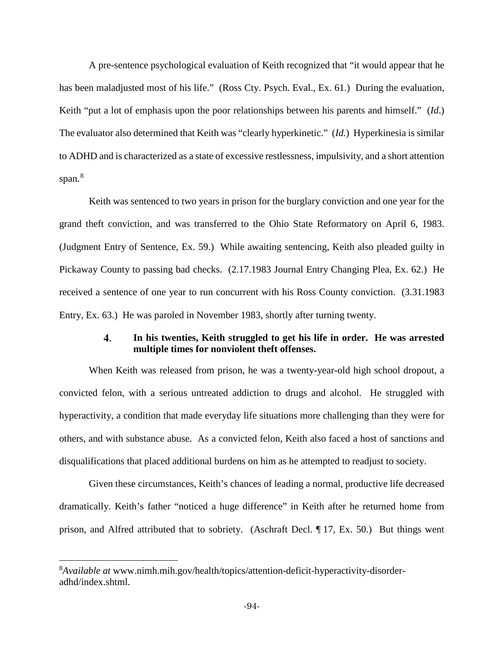A pre-sentence psychological evaluation of Keith recognized that "it would appear that he has been maladjusted most of his life." (Ross Cty. Psych. Eval., Ex. 61.) During the evaluation, Keith "put a lot of emphasis upon the poor relationships between his parents and himself." (*Id*.) The evaluator also determined that Keith was "clearly hyperkinetic." (*Id.*) Hyperkinesia is similar to ADHD and is characterized as a state of excessive restlessness, impulsivity, and a short attention span.<sup>[8](#page-93-0)</sup>

Keith was sentenced to two years in prison for the burglary conviction and one year for the grand theft conviction, and was transferred to the Ohio State Reformatory on April 6, 1983. (Judgment Entry of Sentence, Ex. 59.) While awaiting sentencing, Keith also pleaded guilty in Pickaway County to passing bad checks. (2.17.1983 Journal Entry Changing Plea, Ex. 62.) He received a sentence of one year to run concurrent with his Ross County conviction. (3.31.1983 Entry, Ex. 63.) He was paroled in November 1983, shortly after turning twenty.

### 4. **In his twenties, Keith struggled to get his life in order. He was arrested multiple times for nonviolent theft offenses.**

When Keith was released from prison, he was a twenty-year-old high school dropout, a convicted felon, with a serious untreated addiction to drugs and alcohol. He struggled with hyperactivity, a condition that made everyday life situations more challenging than they were for others, and with substance abuse. As a convicted felon, Keith also faced a host of sanctions and disqualifications that placed additional burdens on him as he attempted to readjust to society.

Given these circumstances, Keith's chances of leading a normal, productive life decreased dramatically. Keith's father "noticed a huge difference" in Keith after he returned home from prison, and Alfred attributed that to sobriety. (Aschraft Decl. ¶ 17, Ex. 50.) But things went

l

<span id="page-93-0"></span><sup>8</sup> *Available at* www.nimh.mih.gov/health/topics/attention-deficit-hyperactivity-disorderadhd/index.shtml.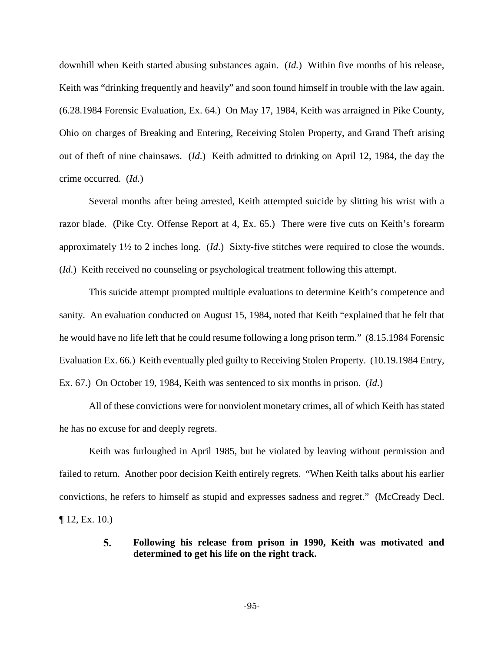downhill when Keith started abusing substances again. (*Id.*)Within five months of his release, Keith was "drinking frequently and heavily" and soon found himself in trouble with the law again. (6.28.1984 Forensic Evaluation, Ex. 64.) On May 17, 1984, Keith was arraigned in Pike County, Ohio on charges of Breaking and Entering, Receiving Stolen Property, and Grand Theft arising out of theft of nine chainsaws. (*Id*.) Keith admitted to drinking on April 12, 1984, the day the crime occurred. (*Id.*)

Several months after being arrested, Keith attempted suicide by slitting his wrist with a razor blade. (Pike Cty. Offense Report at 4, Ex. 65.) There were five cuts on Keith's forearm approximately 1½ to 2 inches long. (*Id*.) Sixty-five stitches were required to close the wounds. (*Id*.) Keith received no counseling or psychological treatment following this attempt.

This suicide attempt prompted multiple evaluations to determine Keith's competence and sanity. An evaluation conducted on August 15, 1984, noted that Keith "explained that he felt that he would have no life left that he could resume following a long prison term." (8.15.1984 Forensic Evaluation Ex. 66.) Keith eventually pled guilty to Receiving Stolen Property. (10.19.1984 Entry, Ex. 67.) On October 19, 1984, Keith was sentenced to six months in prison. (*Id*.)

All of these convictions were for nonviolent monetary crimes, all of which Keith has stated he has no excuse for and deeply regrets.

Keith was furloughed in April 1985, but he violated by leaving without permission and failed to return. Another poor decision Keith entirely regrets. "When Keith talks about his earlier convictions, he refers to himself as stupid and expresses sadness and regret." (McCready Decl.  $\P$  12, Ex. 10.)

### 5. **Following his release from prison in 1990, Keith was motivated and determined to get his life on the right track.**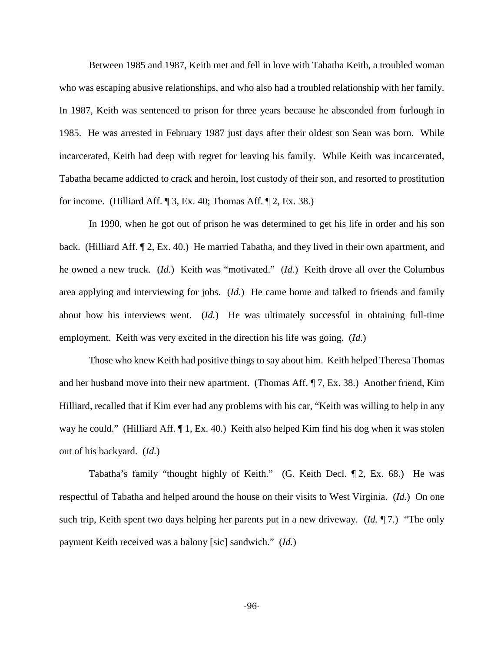Between 1985 and 1987, Keith met and fell in love with Tabatha Keith, a troubled woman who was escaping abusive relationships, and who also had a troubled relationship with her family. In 1987, Keith was sentenced to prison for three years because he absconded from furlough in 1985. He was arrested in February 1987 just days after their oldest son Sean was born. While incarcerated, Keith had deep with regret for leaving his family. While Keith was incarcerated, Tabatha became addicted to crack and heroin, lost custody of their son, and resorted to prostitution for income. (Hilliard Aff. ¶ 3, Ex. 40; Thomas Aff. ¶ 2, Ex. 38.)

In 1990, when he got out of prison he was determined to get his life in order and his son back. (Hilliard Aff. ¶ 2, Ex. 40.) He married Tabatha, and they lived in their own apartment, and he owned a new truck. (*Id.*) Keith was "motivated." (*Id.*) Keith drove all over the Columbus area applying and interviewing for jobs. (*Id.*) He came home and talked to friends and family about how his interviews went. (*Id.*) He was ultimately successful in obtaining full-time employment. Keith was very excited in the direction his life was going. (*Id.*)

Those who knew Keith had positive things to say about him. Keith helped Theresa Thomas and her husband move into their new apartment. (Thomas Aff. ¶ 7, Ex. 38.) Another friend, Kim Hilliard, recalled that if Kim ever had any problems with his car, "Keith was willing to help in any way he could." (Hilliard Aff. ¶ 1, Ex. 40.) Keith also helped Kim find his dog when it was stolen out of his backyard. (*Id.*)

Tabatha's family "thought highly of Keith." (G. Keith Decl. ¶ 2, Ex. 68.) He was respectful of Tabatha and helped around the house on their visits to West Virginia. (*Id.*) On one such trip, Keith spent two days helping her parents put in a new driveway. (*Id.* ¶ 7.) "The only payment Keith received was a balony [sic] sandwich." (*Id.*)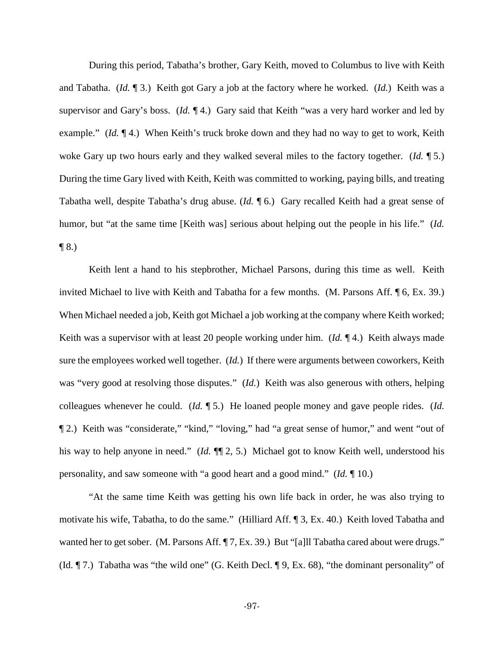During this period, Tabatha's brother, Gary Keith, moved to Columbus to live with Keith and Tabatha. (*Id.* ¶ 3.) Keith got Gary a job at the factory where he worked. (*Id.*) Keith was a supervisor and Gary's boss. (*Id.* ¶ 4.) Gary said that Keith "was a very hard worker and led by example." *(Id.* 14.) When Keith's truck broke down and they had no way to get to work, Keith woke Gary up two hours early and they walked several miles to the factory together. (*Id.* ¶ 5.) During the time Gary lived with Keith, Keith was committed to working, paying bills, and treating Tabatha well, despite Tabatha's drug abuse. (*Id.* ¶ 6.) Gary recalled Keith had a great sense of humor, but "at the same time [Keith was] serious about helping out the people in his life." (*Id.*  $\P(8.)$ 

Keith lent a hand to his stepbrother, Michael Parsons, during this time as well. Keith invited Michael to live with Keith and Tabatha for a few months. (M. Parsons Aff. ¶ 6, Ex. 39.) When Michael needed a job, Keith got Michael a job working at the company where Keith worked; Keith was a supervisor with at least 20 people working under him. (*Id.* ¶ 4.) Keith always made sure the employees worked well together. (*Id.*) If there were arguments between coworkers, Keith was "very good at resolving those disputes." (*Id.*) Keith was also generous with others, helping colleagues whenever he could. (*Id.* ¶ 5.) He loaned people money and gave people rides. (*Id.*  ¶ 2.) Keith was "considerate," "kind," "loving," had "a great sense of humor," and went "out of his way to help anyone in need." (*Id.*  $\P$ [2, 5.) Michael got to know Keith well, understood his personality, and saw someone with "a good heart and a good mind." (*Id.* ¶ 10.)

"At the same time Keith was getting his own life back in order, he was also trying to motivate his wife, Tabatha, to do the same." (Hilliard Aff. ¶ 3, Ex. 40.) Keith loved Tabatha and wanted her to get sober. (M. Parsons Aff. ¶ 7, Ex. 39.) But "[a]ll Tabatha cared about were drugs." (Id. ¶ 7.) Tabatha was "the wild one" (G. Keith Decl. ¶ 9, Ex. 68), "the dominant personality" of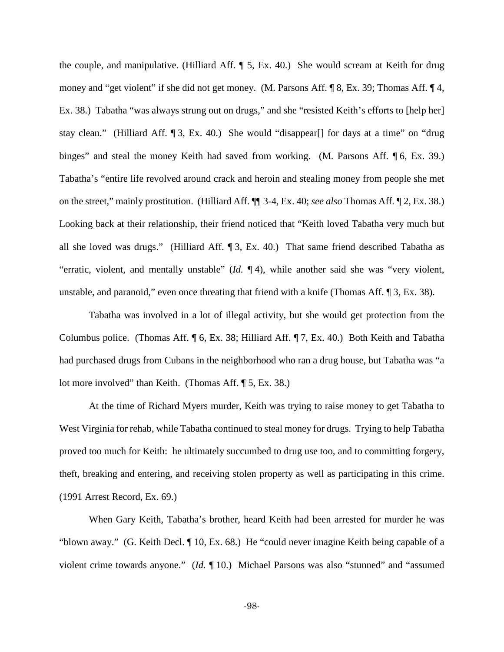the couple, and manipulative. (Hilliard Aff. ¶ 5, Ex. 40.) She would scream at Keith for drug money and "get violent" if she did not get money. (M. Parsons Aff. ¶ 8, Ex. 39; Thomas Aff. ¶ 4, Ex. 38.) Tabatha "was always strung out on drugs," and she "resisted Keith's efforts to [help her] stay clean." (Hilliard Aff. ¶ 3, Ex. 40.) She would "disappear[] for days at a time" on "drug binges" and steal the money Keith had saved from working. (M. Parsons Aff. [6, Ex. 39.) Tabatha's "entire life revolved around crack and heroin and stealing money from people she met on the street," mainly prostitution. (Hilliard Aff. ¶¶ 3-4, Ex. 40; *see also* Thomas Aff. ¶ 2, Ex. 38.) Looking back at their relationship, their friend noticed that "Keith loved Tabatha very much but all she loved was drugs." (Hilliard Aff. ¶ 3, Ex. 40.) That same friend described Tabatha as "erratic, violent, and mentally unstable" (*Id.* ¶ 4), while another said she was "very violent, unstable, and paranoid," even once threating that friend with a knife (Thomas Aff. ¶ 3, Ex. 38).

Tabatha was involved in a lot of illegal activity, but she would get protection from the Columbus police. (Thomas Aff. ¶ 6, Ex. 38; Hilliard Aff. ¶ 7, Ex. 40.) Both Keith and Tabatha had purchased drugs from Cubans in the neighborhood who ran a drug house, but Tabatha was "a lot more involved" than Keith. (Thomas Aff. ¶ 5, Ex. 38.)

At the time of Richard Myers murder, Keith was trying to raise money to get Tabatha to West Virginia for rehab, while Tabatha continued to steal money for drugs. Trying to help Tabatha proved too much for Keith: he ultimately succumbed to drug use too, and to committing forgery, theft, breaking and entering, and receiving stolen property as well as participating in this crime. (1991 Arrest Record, Ex. 69.)

When Gary Keith, Tabatha's brother, heard Keith had been arrested for murder he was "blown away." (G. Keith Decl. ¶ 10, Ex. 68.) He "could never imagine Keith being capable of a violent crime towards anyone." (*Id.* ¶ 10.) Michael Parsons was also "stunned" and "assumed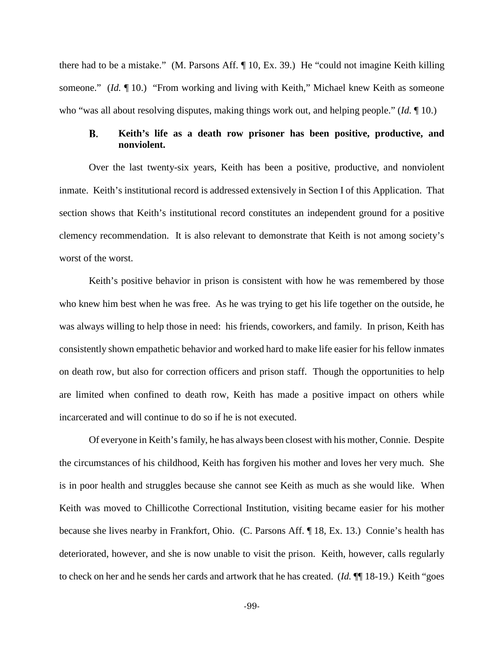there had to be a mistake." (M. Parsons Aff. ¶ 10, Ex. 39.) He "could not imagine Keith killing someone." *(Id.* 10.) "From working and living with Keith," Michael knew Keith as someone who "was all about resolving disputes, making things work out, and helping people." (*Id.* ¶ 10.)

### B. **Keith's life as a death row prisoner has been positive, productive, and nonviolent.**

Over the last twenty-six years, Keith has been a positive, productive, and nonviolent inmate. Keith's institutional record is addressed extensively in Section I of this Application. That section shows that Keith's institutional record constitutes an independent ground for a positive clemency recommendation. It is also relevant to demonstrate that Keith is not among society's worst of the worst.

Keith's positive behavior in prison is consistent with how he was remembered by those who knew him best when he was free. As he was trying to get his life together on the outside, he was always willing to help those in need: his friends, coworkers, and family. In prison, Keith has consistently shown empathetic behavior and worked hard to make life easier for his fellow inmates on death row, but also for correction officers and prison staff. Though the opportunities to help are limited when confined to death row, Keith has made a positive impact on others while incarcerated and will continue to do so if he is not executed.

Of everyone in Keith's family, he has always been closest with his mother, Connie. Despite the circumstances of his childhood, Keith has forgiven his mother and loves her very much. She is in poor health and struggles because she cannot see Keith as much as she would like. When Keith was moved to Chillicothe Correctional Institution, visiting became easier for his mother because she lives nearby in Frankfort, Ohio. (C. Parsons Aff. ¶ 18, Ex. 13.) Connie's health has deteriorated, however, and she is now unable to visit the prison. Keith, however, calls regularly to check on her and he sends her cards and artwork that he has created. (*Id.* ¶¶ 18-19.) Keith "goes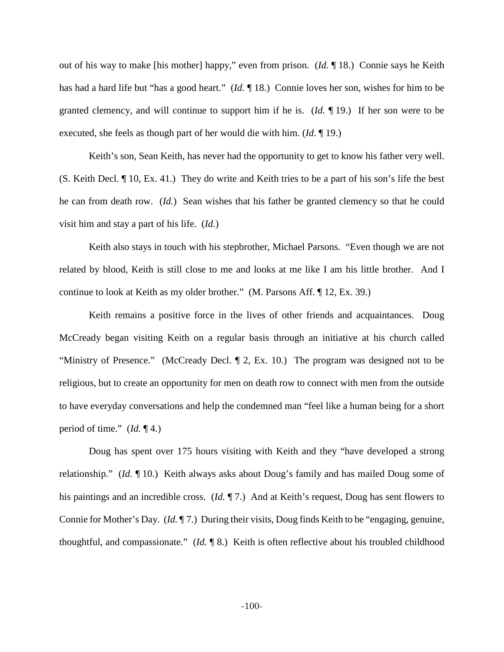out of his way to make [his mother] happy," even from prison. (*Id.* ¶ 18.) Connie says he Keith has had a hard life but "has a good heart." (*Id.* ¶ 18.) Connie loves her son, wishes for him to be granted clemency, and will continue to support him if he is. (*Id.* ¶ 19.) If her son were to be executed, she feels as though part of her would die with him. (*Id*. ¶ 19.)

Keith's son, Sean Keith, has never had the opportunity to get to know his father very well. (S. Keith Decl. ¶ 10, Ex. 41.) They do write and Keith tries to be a part of his son's life the best he can from death row. (*Id.*) Sean wishes that his father be granted clemency so that he could visit him and stay a part of his life. (*Id.*)

Keith also stays in touch with his stepbrother, Michael Parsons. "Even though we are not related by blood, Keith is still close to me and looks at me like I am his little brother. And I continue to look at Keith as my older brother." (M. Parsons Aff. ¶ 12, Ex. 39.)

Keith remains a positive force in the lives of other friends and acquaintances. Doug McCready began visiting Keith on a regular basis through an initiative at his church called "Ministry of Presence." (McCready Decl. ¶ 2, Ex. 10.) The program was designed not to be religious, but to create an opportunity for men on death row to connect with men from the outside to have everyday conversations and help the condemned man "feel like a human being for a short period of time." (*Id.* ¶ 4.)

Doug has spent over 175 hours visiting with Keith and they "have developed a strong relationship." (*Id.* ¶ 10.) Keith always asks about Doug's family and has mailed Doug some of his paintings and an incredible cross. (*Id.* ¶ 7.) And at Keith's request, Doug has sent flowers to Connie for Mother's Day. (*Id.* ¶ 7.) During their visits, Doug finds Keith to be "engaging, genuine, thoughtful, and compassionate." (*Id.* ¶ 8.) Keith is often reflective about his troubled childhood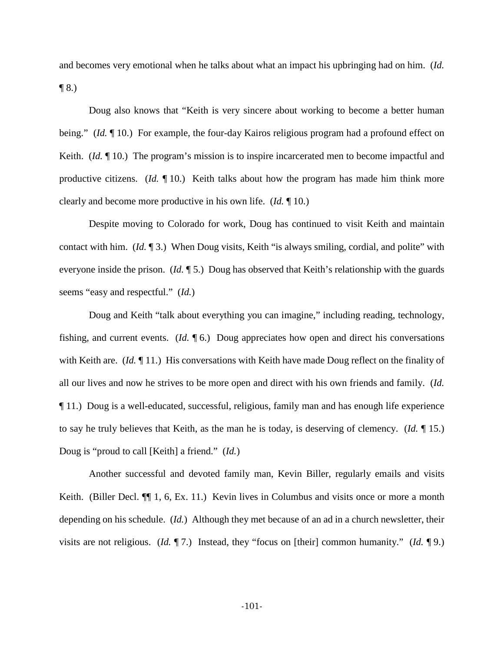and becomes very emotional when he talks about what an impact his upbringing had on him. (*Id.*   $\P$  8.)

Doug also knows that "Keith is very sincere about working to become a better human being." (*Id.* 10.) For example, the four-day Kairos religious program had a profound effect on Keith. *(Id.*  $\P$  10.) The program's mission is to inspire incarcerated men to become impactful and productive citizens. (*Id.* ¶ 10.) Keith talks about how the program has made him think more clearly and become more productive in his own life. (*Id.* ¶ 10.)

Despite moving to Colorado for work, Doug has continued to visit Keith and maintain contact with him. (*Id.* ¶ 3.) When Doug visits, Keith "is always smiling, cordial, and polite" with everyone inside the prison. (*Id.* ¶ 5.) Doug has observed that Keith's relationship with the guards seems "easy and respectful." (*Id.*)

Doug and Keith "talk about everything you can imagine," including reading, technology, fishing, and current events. (*Id.* ¶ 6.) Doug appreciates how open and direct his conversations with Keith are. (*Id.* 11.) His conversations with Keith have made Doug reflect on the finality of all our lives and now he strives to be more open and direct with his own friends and family. (*Id.*  ¶ 11.) Doug is a well-educated, successful, religious, family man and has enough life experience to say he truly believes that Keith, as the man he is today, is deserving of clemency. (*Id.* ¶ 15.) Doug is "proud to call [Keith] a friend." (*Id.*)

Another successful and devoted family man, Kevin Biller, regularly emails and visits Keith. (Biller Decl.  $\P$ , 1, 6, Ex. 11.) Kevin lives in Columbus and visits once or more a month depending on his schedule. (*Id.*) Although they met because of an ad in a church newsletter, their visits are not religious. (*Id.* ¶ 7.) Instead, they "focus on [their] common humanity." (*Id.* ¶ 9.)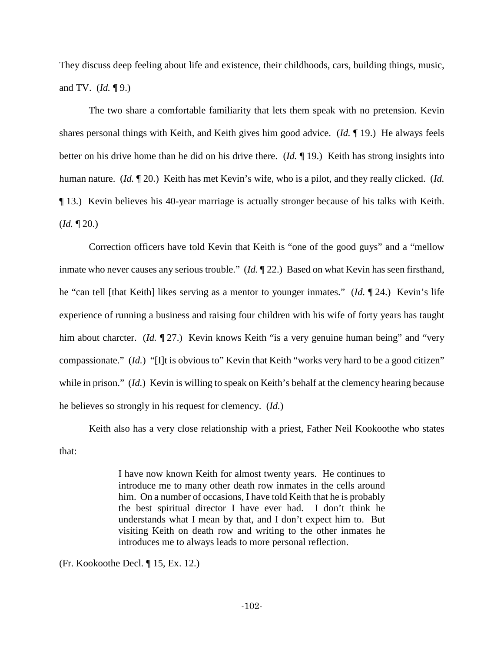They discuss deep feeling about life and existence, their childhoods, cars, building things, music, and TV. (*Id.* ¶ 9.)

The two share a comfortable familiarity that lets them speak with no pretension. Kevin shares personal things with Keith, and Keith gives him good advice. (*Id.* ¶ 19.) He always feels better on his drive home than he did on his drive there. (*Id.* ¶ 19.) Keith has strong insights into human nature. (*Id.* ¶ 20.) Keith has met Kevin's wife, who is a pilot, and they really clicked. (*Id.*  ¶ 13.) Kevin believes his 40-year marriage is actually stronger because of his talks with Keith.  $$ 

Correction officers have told Kevin that Keith is "one of the good guys" and a "mellow inmate who never causes any serious trouble." (*Id.* ¶ 22.) Based on what Kevin has seen firsthand, he "can tell [that Keith] likes serving as a mentor to younger inmates." (*Id.* ¶ 24.) Kevin's life experience of running a business and raising four children with his wife of forty years has taught him about charcter. (*Id.* 197.) Kevin knows Keith "is a very genuine human being" and "very compassionate." (*Id.*) "[I]t is obvious to" Kevin that Keith "works very hard to be a good citizen" while in prison." (*Id.*) Kevin is willing to speak on Keith's behalf at the clemency hearing because he believes so strongly in his request for clemency. (*Id.*)

Keith also has a very close relationship with a priest, Father Neil Kookoothe who states that:

> I have now known Keith for almost twenty years. He continues to introduce me to many other death row inmates in the cells around him. On a number of occasions, I have told Keith that he is probably the best spiritual director I have ever had. I don't think he understands what I mean by that, and I don't expect him to. But visiting Keith on death row and writing to the other inmates he introduces me to always leads to more personal reflection.

(Fr. Kookoothe Decl. ¶ 15, Ex. 12.)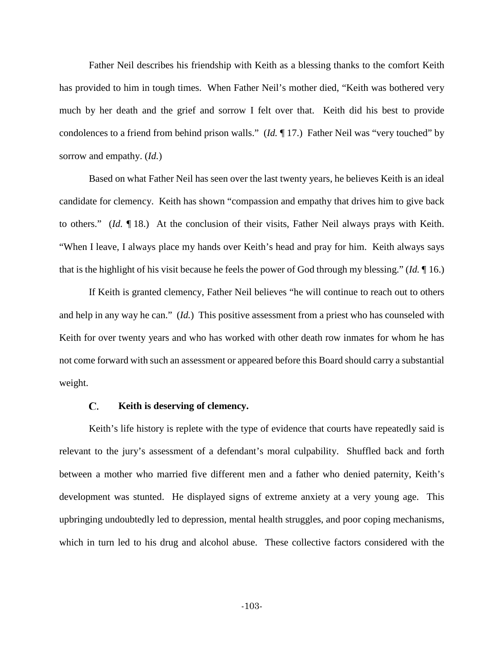Father Neil describes his friendship with Keith as a blessing thanks to the comfort Keith has provided to him in tough times. When Father Neil's mother died, "Keith was bothered very much by her death and the grief and sorrow I felt over that. Keith did his best to provide condolences to a friend from behind prison walls." (*Id.* ¶ 17.) Father Neil was "very touched" by sorrow and empathy. (*Id.*)

Based on what Father Neil has seen over the last twenty years, he believes Keith is an ideal candidate for clemency. Keith has shown "compassion and empathy that drives him to give back to others." (*Id.* ¶ 18.) At the conclusion of their visits, Father Neil always prays with Keith. "When I leave, I always place my hands over Keith's head and pray for him. Keith always says that is the highlight of his visit because he feels the power of God through my blessing." (*Id.* ¶ 16.)

If Keith is granted clemency, Father Neil believes "he will continue to reach out to others and help in any way he can." (*Id.*) This positive assessment from a priest who has counseled with Keith for over twenty years and who has worked with other death row inmates for whom he has not come forward with such an assessment or appeared before this Board should carry a substantial weight.

#### C. **Keith is deserving of clemency.**

Keith's life history is replete with the type of evidence that courts have repeatedly said is relevant to the jury's assessment of a defendant's moral culpability. Shuffled back and forth between a mother who married five different men and a father who denied paternity, Keith's development was stunted. He displayed signs of extreme anxiety at a very young age. This upbringing undoubtedly led to depression, mental health struggles, and poor coping mechanisms, which in turn led to his drug and alcohol abuse. These collective factors considered with the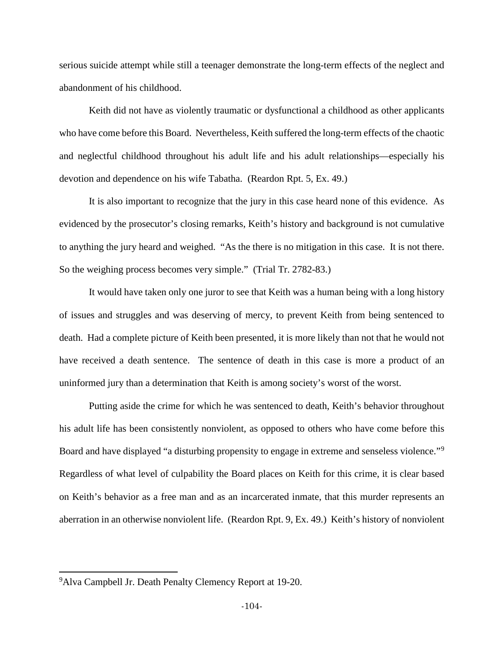serious suicide attempt while still a teenager demonstrate the long-term effects of the neglect and abandonment of his childhood.

Keith did not have as violently traumatic or dysfunctional a childhood as other applicants who have come before this Board. Nevertheless, Keith suffered the long-term effects of the chaotic and neglectful childhood throughout his adult life and his adult relationships—especially his devotion and dependence on his wife Tabatha. (Reardon Rpt. 5, Ex. 49.)

It is also important to recognize that the jury in this case heard none of this evidence. As evidenced by the prosecutor's closing remarks, Keith's history and background is not cumulative to anything the jury heard and weighed. "As the there is no mitigation in this case. It is not there. So the weighing process becomes very simple." (Trial Tr. 2782-83.)

It would have taken only one juror to see that Keith was a human being with a long history of issues and struggles and was deserving of mercy, to prevent Keith from being sentenced to death. Had a complete picture of Keith been presented, it is more likely than not that he would not have received a death sentence. The sentence of death in this case is more a product of an uninformed jury than a determination that Keith is among society's worst of the worst.

Putting aside the crime for which he was sentenced to death, Keith's behavior throughout his adult life has been consistently nonviolent, as opposed to others who have come before this Board and have displayed "a disturbing propensity to engage in extreme and senseless violence."<sup>[9](#page-103-0)</sup> Regardless of what level of culpability the Board places on Keith for this crime, it is clear based on Keith's behavior as a free man and as an incarcerated inmate, that this murder represents an aberration in an otherwise nonviolent life. (Reardon Rpt. 9, Ex. 49.) Keith's history of nonviolent

l

<span id="page-103-0"></span><sup>&</sup>lt;sup>9</sup> Alva Campbell Jr. Death Penalty Clemency Report at 19-20.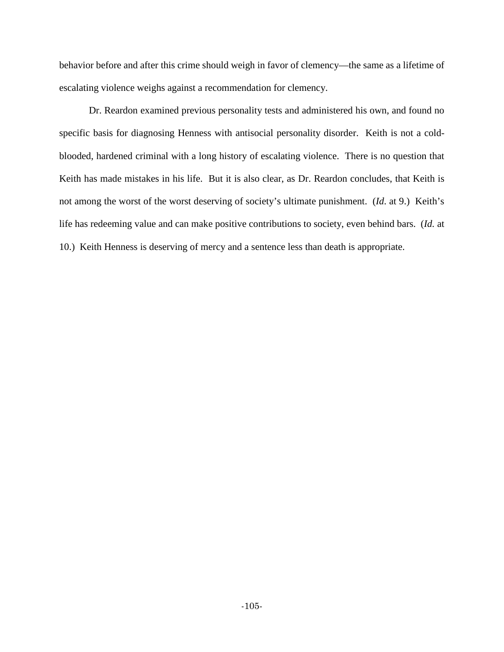behavior before and after this crime should weigh in favor of clemency—the same as a lifetime of escalating violence weighs against a recommendation for clemency.

Dr. Reardon examined previous personality tests and administered his own, and found no specific basis for diagnosing Henness with antisocial personality disorder. Keith is not a coldblooded, hardened criminal with a long history of escalating violence. There is no question that Keith has made mistakes in his life. But it is also clear, as Dr. Reardon concludes, that Keith is not among the worst of the worst deserving of society's ultimate punishment. (*Id*. at 9.) Keith's life has redeeming value and can make positive contributions to society, even behind bars. (*Id.* at 10.) Keith Henness is deserving of mercy and a sentence less than death is appropriate.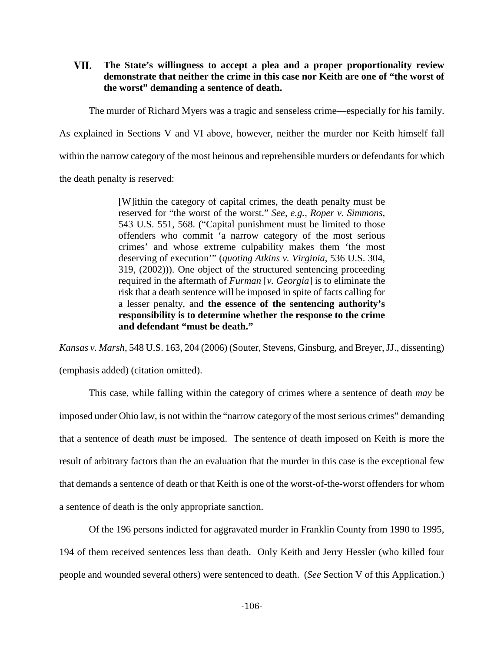VII. **The State's willingness to accept a plea and a proper proportionality review demonstrate that neither the crime in this case nor Keith are one of "the worst of the worst" demanding a sentence of death.**

The murder of Richard Myers was a tragic and senseless crime—especially for his family.

As explained in Sections V and VI above, however, neither the murder nor Keith himself fall

within the narrow category of the most heinous and reprehensible murders or defendants for which

the death penalty is reserved:

[W]ithin the category of capital crimes, the death penalty must be reserved for "the worst of the worst." *See, e.g.*, *Roper v. Simmons,*  543 U.S. 551, 568. ("Capital punishment must be limited to those offenders who commit 'a narrow category of the most serious crimes' and whose extreme culpability makes them 'the most deserving of execution'" (*quoting Atkins v. Virginia*, 536 U.S. 304, 319, (2002))). One object of the structured sentencing proceeding required in the aftermath of *Furman* [*v. Georgia*] is to eliminate the risk that a death sentence will be imposed in spite of facts calling for a lesser penalty, and **the essence of the sentencing authority's responsibility is to determine whether the response to the crime and defendant "must be death."**

*Kansas v. Marsh*, 548 U.S. 163, 204 (2006) (Souter, Stevens, Ginsburg, and Breyer, JJ., dissenting)

(emphasis added) (citation omitted).

This case, while falling within the category of crimes where a sentence of death *may* be imposed under Ohio law, is not within the "narrow category of the most serious crimes" demanding that a sentence of death *must* be imposed. The sentence of death imposed on Keith is more the result of arbitrary factors than the an evaluation that the murder in this case is the exceptional few that demands a sentence of death or that Keith is one of the worst-of-the-worst offenders for whom a sentence of death is the only appropriate sanction.

Of the 196 persons indicted for aggravated murder in Franklin County from 1990 to 1995, 194 of them received sentences less than death. Only Keith and Jerry Hessler (who killed four people and wounded several others) were sentenced to death. (*See* Section V of this Application.)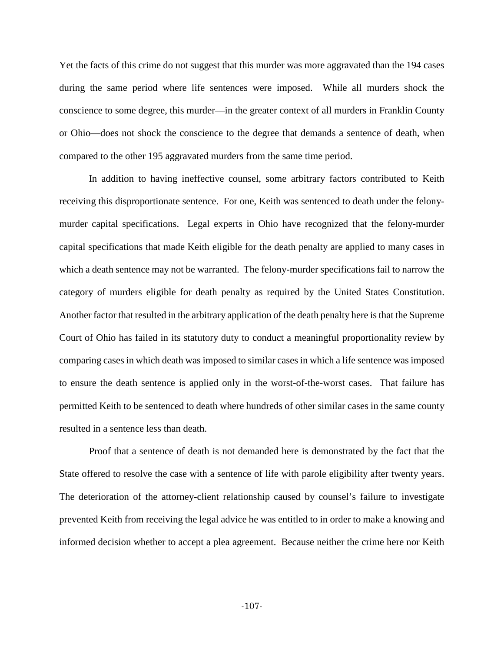Yet the facts of this crime do not suggest that this murder was more aggravated than the 194 cases during the same period where life sentences were imposed. While all murders shock the conscience to some degree, this murder—in the greater context of all murders in Franklin County or Ohio—does not shock the conscience to the degree that demands a sentence of death, when compared to the other 195 aggravated murders from the same time period.

In addition to having ineffective counsel, some arbitrary factors contributed to Keith receiving this disproportionate sentence. For one, Keith was sentenced to death under the felonymurder capital specifications. Legal experts in Ohio have recognized that the felony-murder capital specifications that made Keith eligible for the death penalty are applied to many cases in which a death sentence may not be warranted. The felony-murder specifications fail to narrow the category of murders eligible for death penalty as required by the United States Constitution. Another factor that resulted in the arbitrary application of the death penalty here is that the Supreme Court of Ohio has failed in its statutory duty to conduct a meaningful proportionality review by comparing cases in which death was imposed to similar cases in which a life sentence was imposed to ensure the death sentence is applied only in the worst-of-the-worst cases. That failure has permitted Keith to be sentenced to death where hundreds of other similar cases in the same county resulted in a sentence less than death.

Proof that a sentence of death is not demanded here is demonstrated by the fact that the State offered to resolve the case with a sentence of life with parole eligibility after twenty years. The deterioration of the attorney-client relationship caused by counsel's failure to investigate prevented Keith from receiving the legal advice he was entitled to in order to make a knowing and informed decision whether to accept a plea agreement. Because neither the crime here nor Keith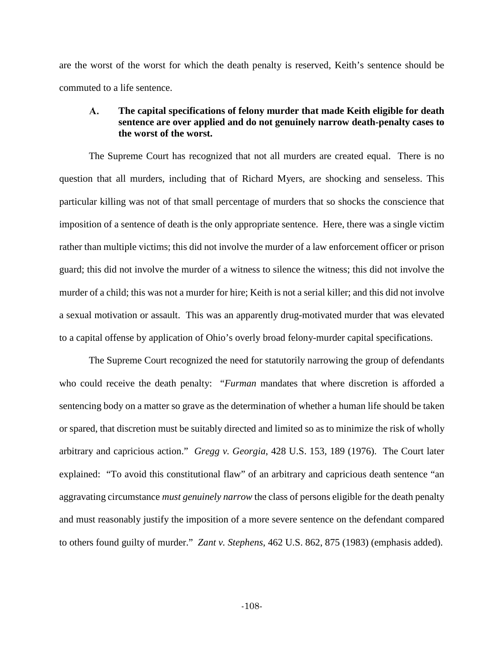are the worst of the worst for which the death penalty is reserved, Keith's sentence should be commuted to a life sentence.

# $\mathbf{A}$ . **The capital specifications of felony murder that made Keith eligible for death sentence are over applied and do not genuinely narrow death-penalty cases to the worst of the worst.**

The Supreme Court has recognized that not all murders are created equal. There is no question that all murders, including that of Richard Myers, are shocking and senseless. This particular killing was not of that small percentage of murders that so shocks the conscience that imposition of a sentence of death is the only appropriate sentence. Here, there was a single victim rather than multiple victims; this did not involve the murder of a law enforcement officer or prison guard; this did not involve the murder of a witness to silence the witness; this did not involve the murder of a child; this was not a murder for hire; Keith is not a serial killer; and this did not involve a sexual motivation or assault. This was an apparently drug-motivated murder that was elevated to a capital offense by application of Ohio's overly broad felony-murder capital specifications.

The Supreme Court recognized the need for statutorily narrowing the group of defendants who could receive the death penalty: "*Furman* mandates that where discretion is afforded a sentencing body on a matter so grave as the determination of whether a human life should be taken or spared, that discretion must be suitably directed and limited so as to minimize the risk of wholly arbitrary and capricious action." *Gregg v. Georgia*, 428 U.S. 153, 189 (1976). The Court later explained: "To avoid this constitutional flaw" of an arbitrary and capricious death sentence "an aggravating circumstance *must genuinely narrow* the class of persons eligible for the death penalty and must reasonably justify the imposition of a more severe sentence on the defendant compared to others found guilty of murder." *Zant v. Stephens*, 462 U.S. 862, 875 (1983) (emphasis added).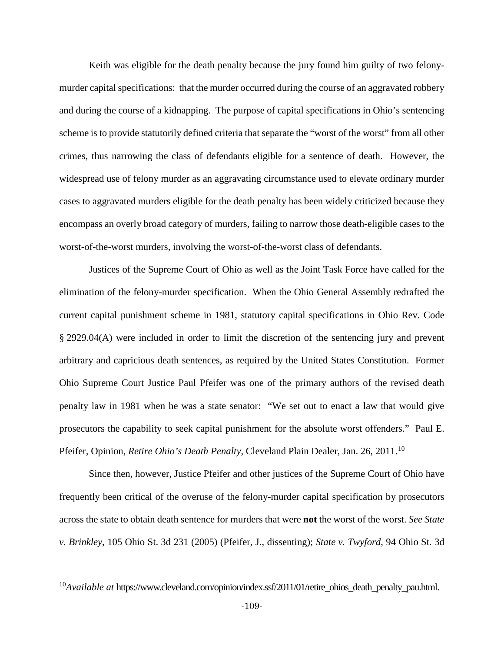Keith was eligible for the death penalty because the jury found him guilty of two felonymurder capital specifications: that the murder occurred during the course of an aggravated robbery and during the course of a kidnapping. The purpose of capital specifications in Ohio's sentencing scheme is to provide statutorily defined criteria that separate the "worst of the worst" from all other crimes, thus narrowing the class of defendants eligible for a sentence of death. However, the widespread use of felony murder as an aggravating circumstance used to elevate ordinary murder cases to aggravated murders eligible for the death penalty has been widely criticized because they encompass an overly broad category of murders, failing to narrow those death-eligible cases to the worst-of-the-worst murders, involving the worst-of-the-worst class of defendants.

Justices of the Supreme Court of Ohio as well as the Joint Task Force have called for the elimination of the felony-murder specification. When the Ohio General Assembly redrafted the current capital punishment scheme in 1981, statutory capital specifications in Ohio Rev. Code § 2929.04(A) were included in order to limit the discretion of the sentencing jury and prevent arbitrary and capricious death sentences, as required by the United States Constitution. Former Ohio Supreme Court Justice Paul Pfeifer was one of the primary authors of the revised death penalty law in 1981 when he was a state senator: "We set out to enact a law that would give prosecutors the capability to seek capital punishment for the absolute worst offenders." Paul E. Pfeifer, Opinion, *Retire Ohio's Death Penalty*, Cleveland Plain Dealer, Jan. 26, 2011.<sup>[10](#page-108-0)</sup>

Since then, however, Justice Pfeifer and other justices of the Supreme Court of Ohio have frequently been critical of the overuse of the felony-murder capital specification by prosecutors across the state to obtain death sentence for murders that were **not** the worst of the worst. *See State v. Brinkley*, 105 Ohio St. 3d 231 (2005) (Pfeifer, J., dissenting); *State v. Twyford*, 94 Ohio St. 3d

l

<span id="page-108-0"></span><sup>10</sup>*Available at* https://www.cleveland.com/opinion/index.ssf/2011/01/retire\_ohios\_death\_penalty\_pau.html.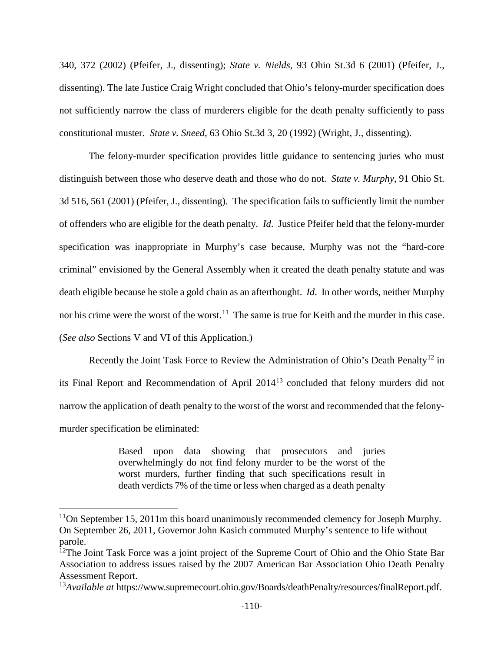340, 372 (2002) (Pfeifer, J., dissenting); *State v. Nields*, 93 Ohio St.3d 6 (2001) (Pfeifer, J., dissenting). The late Justice Craig Wright concluded that Ohio's felony-murder specification does not sufficiently narrow the class of murderers eligible for the death penalty sufficiently to pass constitutional muster. *State v. Sneed*, 63 Ohio St.3d 3, 20 (1992) (Wright, J., dissenting).

The felony-murder specification provides little guidance to sentencing juries who must distinguish between those who deserve death and those who do not. *State v. Murphy*, 91 Ohio St. 3d 516, 561 (2001) (Pfeifer, J., dissenting). The specification fails to sufficiently limit the number of offenders who are eligible for the death penalty. *Id*. Justice Pfeifer held that the felony-murder specification was inappropriate in Murphy's case because, Murphy was not the "hard-core criminal" envisioned by the General Assembly when it created the death penalty statute and was death eligible because he stole a gold chain as an afterthought. *Id*. In other words, neither Murphy nor his crime were the worst of the worst.<sup>[11](#page-109-0)</sup> The same is true for Keith and the murder in this case. (*See also* Sections V and VI of this Application.)

Recently the Joint Task Force to Review the Administration of Ohio's Death Penalty<sup>[12](#page-109-1)</sup> in its Final Report and Recommendation of April 2014[13](#page-109-2) concluded that felony murders did not narrow the application of death penalty to the worst of the worst and recommended that the felonymurder specification be eliminated:

> Based upon data showing that prosecutors and juries overwhelmingly do not find felony murder to be the worst of the worst murders, further finding that such specifications result in death verdicts 7% of the time or less when charged as a death penalty

l

<span id="page-109-0"></span> $11$ On September 15, 2011m this board unanimously recommended clemency for Joseph Murphy. On September 26, 2011, Governor John Kasich commuted Murphy's sentence to life without parole.

<span id="page-109-1"></span> $12$ The Joint Task Force was a joint project of the Supreme Court of Ohio and the Ohio State Bar Association to address issues raised by the 2007 American Bar Association Ohio Death Penalty Assessment Report.

<span id="page-109-2"></span><sup>&</sup>lt;sup>13</sup>Available at https://www.supremecourt.ohio.gov/Boards/deathPenalty/resources/finalReport.pdf.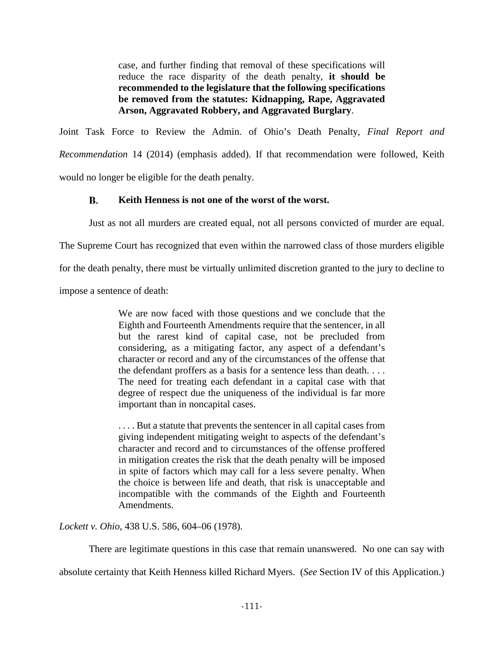case, and further finding that removal of these specifications will reduce the race disparity of the death penalty, **it should be recommended to the legislature that the following specifications be removed from the statutes: Kidnapping, Rape, Aggravated Arson, Aggravated Robbery, and Aggravated Burglary**.

Joint Task Force to Review the Admin. of Ohio's Death Penalty, *Final Report and Recommendation* 14 (2014) (emphasis added). If that recommendation were followed, Keith would no longer be eligible for the death penalty.

### **B. Keith Henness is not one of the worst of the worst.**

Just as not all murders are created equal, not all persons convicted of murder are equal.

The Supreme Court has recognized that even within the narrowed class of those murders eligible

for the death penalty, there must be virtually unlimited discretion granted to the jury to decline to

impose a sentence of death:

We are now faced with those questions and we conclude that the Eighth and Fourteenth Amendments require that the sentencer, in all but the rarest kind of capital case, not be precluded from considering, as a mitigating factor, any aspect of a defendant's character or record and any of the circumstances of the offense that the defendant proffers as a basis for a sentence less than death. . . . The need for treating each defendant in a capital case with that degree of respect due the uniqueness of the individual is far more important than in noncapital cases.

. . . . But a statute that prevents the sentencer in all capital cases from giving independent mitigating weight to aspects of the defendant's character and record and to circumstances of the offense proffered in mitigation creates the risk that the death penalty will be imposed in spite of factors which may call for a less severe penalty. When the choice is between life and death, that risk is unacceptable and incompatible with the commands of the Eighth and Fourteenth Amendments.

*Lockett v. Ohio*, 438 U.S. 586, 604–06 (1978).

There are legitimate questions in this case that remain unanswered. No one can say with

absolute certainty that Keith Henness killed Richard Myers. (*See* Section IV of this Application.)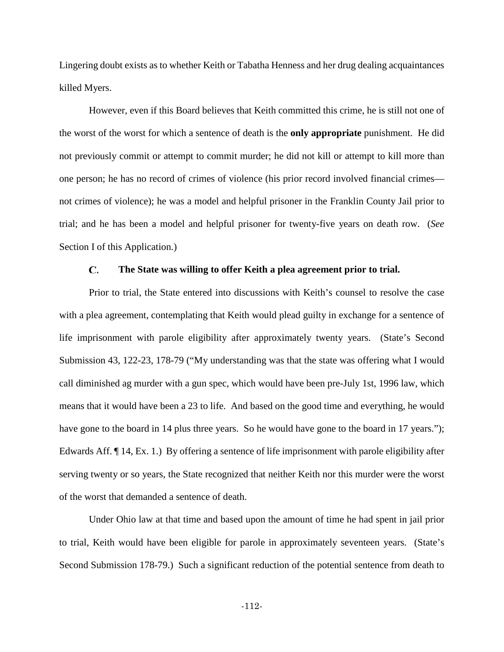Lingering doubt exists as to whether Keith or Tabatha Henness and her drug dealing acquaintances killed Myers.

However, even if this Board believes that Keith committed this crime, he is still not one of the worst of the worst for which a sentence of death is the **only appropriate** punishment. He did not previously commit or attempt to commit murder; he did not kill or attempt to kill more than one person; he has no record of crimes of violence (his prior record involved financial crimes not crimes of violence); he was a model and helpful prisoner in the Franklin County Jail prior to trial; and he has been a model and helpful prisoner for twenty-five years on death row. (*See*  Section I of this Application.)

#### $\mathbf{C}$ . **The State was willing to offer Keith a plea agreement prior to trial.**

Prior to trial, the State entered into discussions with Keith's counsel to resolve the case with a plea agreement, contemplating that Keith would plead guilty in exchange for a sentence of life imprisonment with parole eligibility after approximately twenty years. (State's Second Submission 43, 122-23, 178-79 ("My understanding was that the state was offering what I would call diminished ag murder with a gun spec, which would have been pre-July 1st, 1996 law, which means that it would have been a 23 to life. And based on the good time and everything, he would have gone to the board in 14 plus three years. So he would have gone to the board in 17 years."); Edwards Aff. ¶ 14, Ex. 1.) By offering a sentence of life imprisonment with parole eligibility after serving twenty or so years, the State recognized that neither Keith nor this murder were the worst of the worst that demanded a sentence of death.

Under Ohio law at that time and based upon the amount of time he had spent in jail prior to trial, Keith would have been eligible for parole in approximately seventeen years. (State's Second Submission 178-79.) Such a significant reduction of the potential sentence from death to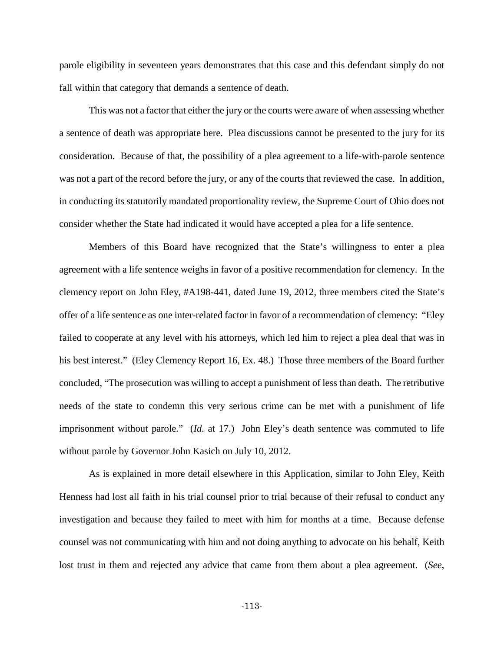parole eligibility in seventeen years demonstrates that this case and this defendant simply do not fall within that category that demands a sentence of death.

This was not a factor that either the jury or the courts were aware of when assessing whether a sentence of death was appropriate here. Plea discussions cannot be presented to the jury for its consideration. Because of that, the possibility of a plea agreement to a life-with-parole sentence was not a part of the record before the jury, or any of the courts that reviewed the case. In addition, in conducting its statutorily mandated proportionality review, the Supreme Court of Ohio does not consider whether the State had indicated it would have accepted a plea for a life sentence.

Members of this Board have recognized that the State's willingness to enter a plea agreement with a life sentence weighs in favor of a positive recommendation for clemency. In the clemency report on John Eley, #A198-441, dated June 19, 2012, three members cited the State's offer of a life sentence as one inter-related factor in favor of a recommendation of clemency: "Eley failed to cooperate at any level with his attorneys, which led him to reject a plea deal that was in his best interest." (Eley Clemency Report 16, Ex. 48.) Those three members of the Board further concluded, "The prosecution was willing to accept a punishment of less than death. The retributive needs of the state to condemn this very serious crime can be met with a punishment of life imprisonment without parole." (*Id.* at 17.) John Eley's death sentence was commuted to life without parole by Governor John Kasich on July 10, 2012.

As is explained in more detail elsewhere in this Application, similar to John Eley, Keith Henness had lost all faith in his trial counsel prior to trial because of their refusal to conduct any investigation and because they failed to meet with him for months at a time. Because defense counsel was not communicating with him and not doing anything to advocate on his behalf, Keith lost trust in them and rejected any advice that came from them about a plea agreement. (*See*,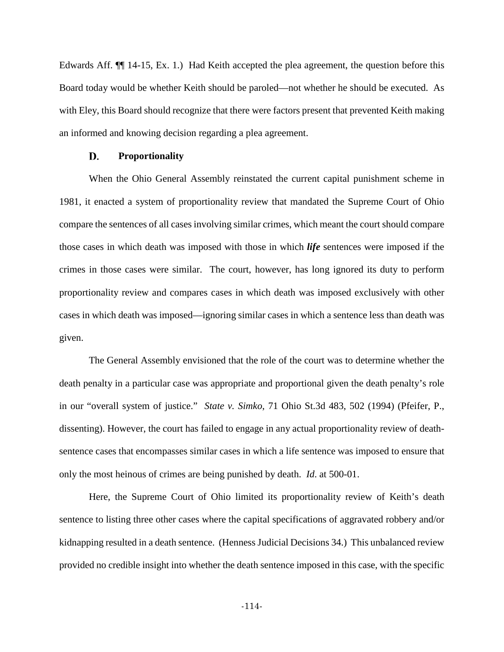Edwards Aff. ¶¶ 14-15, Ex. 1.) Had Keith accepted the plea agreement, the question before this Board today would be whether Keith should be paroled—not whether he should be executed. As with Eley, this Board should recognize that there were factors present that prevented Keith making an informed and knowing decision regarding a plea agreement.

#### D. **Proportionality**

When the Ohio General Assembly reinstated the current capital punishment scheme in 1981, it enacted a system of proportionality review that mandated the Supreme Court of Ohio compare the sentences of all cases involving similar crimes, which meant the court should compare those cases in which death was imposed with those in which *life* sentences were imposed if the crimes in those cases were similar. The court, however, has long ignored its duty to perform proportionality review and compares cases in which death was imposed exclusively with other cases in which death was imposed—ignoring similar cases in which a sentence less than death was given.

The General Assembly envisioned that the role of the court was to determine whether the death penalty in a particular case was appropriate and proportional given the death penalty's role in our "overall system of justice." *State v. Simko*, 71 Ohio St.3d 483, 502 (1994) (Pfeifer, P., dissenting). However, the court has failed to engage in any actual proportionality review of deathsentence cases that encompasses similar cases in which a life sentence was imposed to ensure that only the most heinous of crimes are being punished by death. *Id*. at 500-01.

Here, the Supreme Court of Ohio limited its proportionality review of Keith's death sentence to listing three other cases where the capital specifications of aggravated robbery and/or kidnapping resulted in a death sentence. (Henness Judicial Decisions 34.) This unbalanced review provided no credible insight into whether the death sentence imposed in this case, with the specific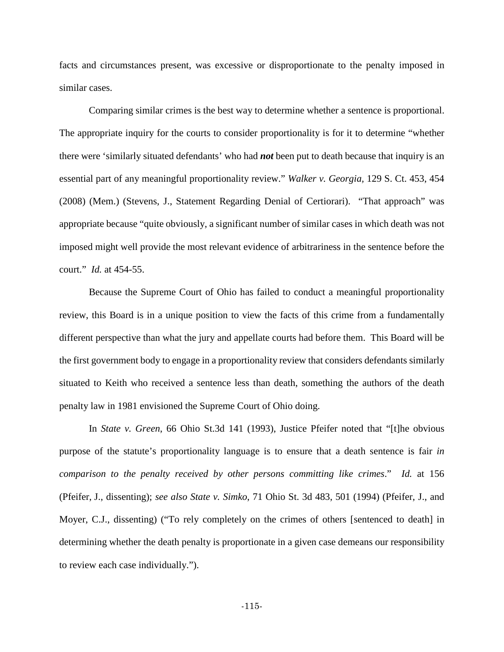facts and circumstances present, was excessive or disproportionate to the penalty imposed in similar cases.

Comparing similar crimes is the best way to determine whether a sentence is proportional. The appropriate inquiry for the courts to consider proportionality is for it to determine "whether there were 'similarly situated defendants' who had *not* been put to death because that inquiry is an essential part of any meaningful proportionality review." *Walker v. Georgia,* 129 S. Ct. 453, 454 (2008) (Mem.) (Stevens, J., Statement Regarding Denial of Certiorari). "That approach" was appropriate because "quite obviously, a significant number of similar cases in which death was not imposed might well provide the most relevant evidence of arbitrariness in the sentence before the court." *Id.* at 454-55.

Because the Supreme Court of Ohio has failed to conduct a meaningful proportionality review, this Board is in a unique position to view the facts of this crime from a fundamentally different perspective than what the jury and appellate courts had before them. This Board will be the first government body to engage in a proportionality review that considers defendants similarly situated to Keith who received a sentence less than death, something the authors of the death penalty law in 1981 envisioned the Supreme Court of Ohio doing.

In *State v. Green*, 66 Ohio St.3d 141 (1993), Justice Pfeifer noted that "[t]he obvious purpose of the statute's proportionality language is to ensure that a death sentence is fair *in comparison to the penalty received by other persons committing like crimes*." *Id.* at 156 (Pfeifer, J., dissenting); *see also State v. Simko*, 71 Ohio St. 3d 483, 501 (1994) (Pfeifer, J., and Moyer, C.J., dissenting) ("To rely completely on the crimes of others [sentenced to death] in determining whether the death penalty is proportionate in a given case demeans our responsibility to review each case individually.").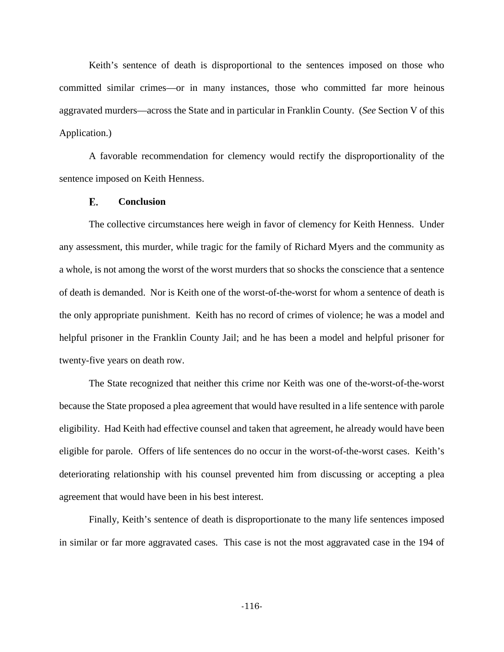Keith's sentence of death is disproportional to the sentences imposed on those who committed similar crimes—or in many instances, those who committed far more heinous aggravated murders—across the State and in particular in Franklin County. (*See* Section V of this Application.)

A favorable recommendation for clemency would rectify the disproportionality of the sentence imposed on Keith Henness.

#### Е. **Conclusion**

The collective circumstances here weigh in favor of clemency for Keith Henness. Under any assessment, this murder, while tragic for the family of Richard Myers and the community as a whole, is not among the worst of the worst murders that so shocks the conscience that a sentence of death is demanded. Nor is Keith one of the worst-of-the-worst for whom a sentence of death is the only appropriate punishment. Keith has no record of crimes of violence; he was a model and helpful prisoner in the Franklin County Jail; and he has been a model and helpful prisoner for twenty-five years on death row.

The State recognized that neither this crime nor Keith was one of the-worst-of-the-worst because the State proposed a plea agreement that would have resulted in a life sentence with parole eligibility. Had Keith had effective counsel and taken that agreement, he already would have been eligible for parole. Offers of life sentences do no occur in the worst-of-the-worst cases. Keith's deteriorating relationship with his counsel prevented him from discussing or accepting a plea agreement that would have been in his best interest.

Finally, Keith's sentence of death is disproportionate to the many life sentences imposed in similar or far more aggravated cases. This case is not the most aggravated case in the 194 of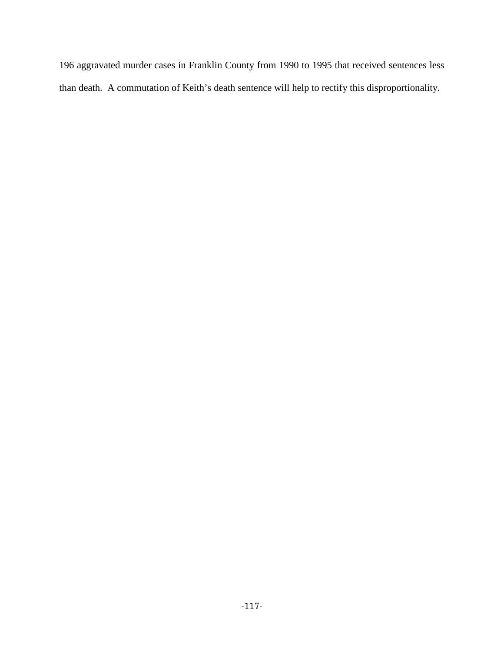196 aggravated murder cases in Franklin County from 1990 to 1995 that received sentences less than death. A commutation of Keith's death sentence will help to rectify this disproportionality.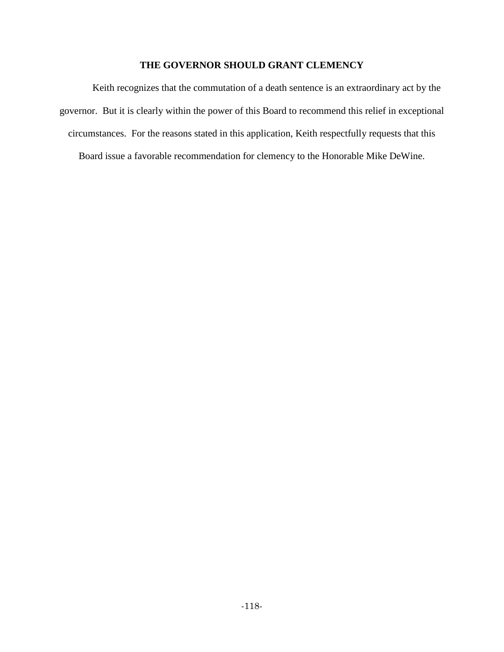## **THE GOVERNOR SHOULD GRANT CLEMENCY**

Keith recognizes that the commutation of a death sentence is an extraordinary act by the governor. But it is clearly within the power of this Board to recommend this relief in exceptional circumstances. For the reasons stated in this application, Keith respectfully requests that this

Board issue a favorable recommendation for clemency to the Honorable Mike DeWine.